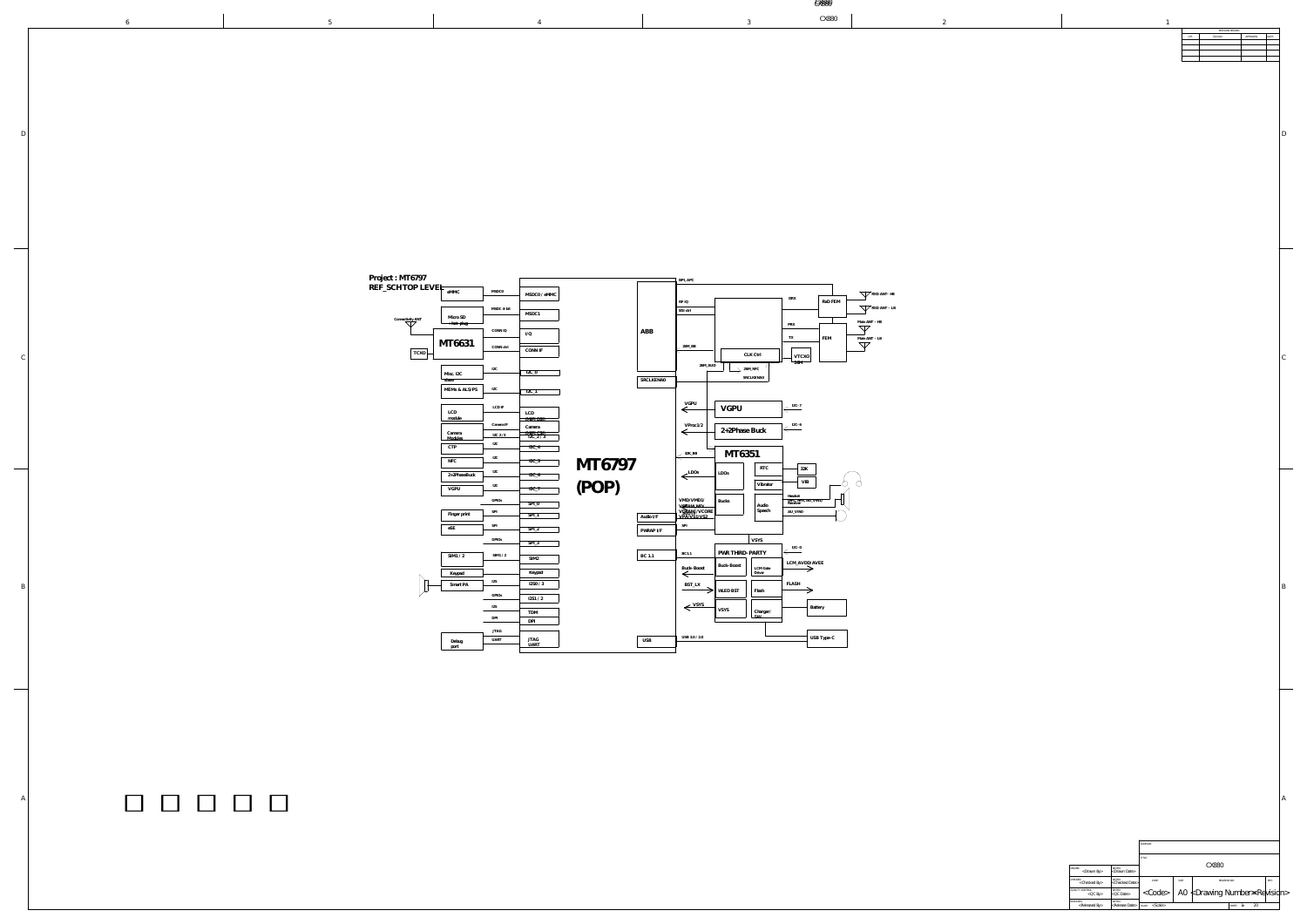|     | REVISION RECORD |           |       |  |  |  |  |  |
|-----|-----------------|-----------|-------|--|--|--|--|--|
| LTR | ECO NO:         | APPROVED: | DATE: |  |  |  |  |  |
|     |                 |           |       |  |  |  |  |  |
|     |                 |           |       |  |  |  |  |  |
|     |                 |           |       |  |  |  |  |  |
|     |                 |           |       |  |  |  |  |  |
|     |                 |           |       |  |  |  |  |  |
|     |                 |           |       |  |  |  |  |  |
|     |                 |           |       |  |  |  |  |  |

A

D

 $\mathcal{C}_{0}^{(n)}$ 

|                          |  |                                                                                                                                                                                                                                                                                                                                                                                                                                                                                                                                                                                                                                                                                                                                                                                                                                                                                                                                                                                                                                                                                                                                                                                                   |                                                                                                                                                                                                                                                                                                                                                                                                                                                                                                                                                                                                                                                                                                                                                                                                                                                                                                                                                                                                                                                                                                                                                                                                                                                                                                                                                                                                                   | UNOOU                                                                                                                                                                                                                                                                                                                         |                                                                                                                                                                  |
|--------------------------|--|---------------------------------------------------------------------------------------------------------------------------------------------------------------------------------------------------------------------------------------------------------------------------------------------------------------------------------------------------------------------------------------------------------------------------------------------------------------------------------------------------------------------------------------------------------------------------------------------------------------------------------------------------------------------------------------------------------------------------------------------------------------------------------------------------------------------------------------------------------------------------------------------------------------------------------------------------------------------------------------------------------------------------------------------------------------------------------------------------------------------------------------------------------------------------------------------------|-------------------------------------------------------------------------------------------------------------------------------------------------------------------------------------------------------------------------------------------------------------------------------------------------------------------------------------------------------------------------------------------------------------------------------------------------------------------------------------------------------------------------------------------------------------------------------------------------------------------------------------------------------------------------------------------------------------------------------------------------------------------------------------------------------------------------------------------------------------------------------------------------------------------------------------------------------------------------------------------------------------------------------------------------------------------------------------------------------------------------------------------------------------------------------------------------------------------------------------------------------------------------------------------------------------------------------------------------------------------------------------------------------------------|-------------------------------------------------------------------------------------------------------------------------------------------------------------------------------------------------------------------------------------------------------------------------------------------------------------------------------|------------------------------------------------------------------------------------------------------------------------------------------------------------------|
|                          |  |                                                                                                                                                                                                                                                                                                                                                                                                                                                                                                                                                                                                                                                                                                                                                                                                                                                                                                                                                                                                                                                                                                                                                                                                   |                                                                                                                                                                                                                                                                                                                                                                                                                                                                                                                                                                                                                                                                                                                                                                                                                                                                                                                                                                                                                                                                                                                                                                                                                                                                                                                                                                                                                   |                                                                                                                                                                                                                                                                                                                               |                                                                                                                                                                  |
|                          |  | Project : MT6797<br>REF_SCH TOP LEVEI <sub>FeMMC</sub><br><b>MSDC0</b><br>$\longrightarrow$ MSDC0 / eMMC<br>MSDC 4-bit<br>$-MSDC1$<br>Micro SD<br>Connectivity ANT<br>CONN IQ<br>I/Q<br>MT6631<br>CONN ctrl<br>TCXO-<br>CONN IF                                                                                                                                                                                                                                                                                                                                                                                                                                                                                                                                                                                                                                                                                                                                                                                                                                                                                                                                                                   | RF IQ<br>BSI ctrl<br>PRX<br>ABB<br>TX<br>$26M$ BB<br>$\overline{\phantom{a}}$                                                                                                                                                                                                                                                                                                                                                                                                                                                                                                                                                                                                                                                                                                                                                                                                                                                                                                                                                                                                                                                                                                                                                                                                                                                                                                                                     | RXD ANT- HB<br>RxD FEM<br>RXD ANT - LB<br>Main ANT - HB<br>$\nabla$<br>Main ANT - LB<br>FEM<br>$\nabla$                                                                                                                                                                                                                       |                                                                                                                                                                  |
| $\overline{\phantom{a}}$ |  | $\overline{\phantom{a}}$ $\overline{\phantom{a}}$ $\overline{\phantom{a}}$ $\overline{\phantom{a}}$ $\overline{\phantom{a}}$ $\overline{\phantom{a}}$ $\overline{\phantom{a}}$ $\overline{\phantom{a}}$ $\overline{\phantom{a}}$ $\overline{\phantom{a}}$ $\overline{\phantom{a}}$ $\overline{\phantom{a}}$ $\overline{\phantom{a}}$ $\overline{\phantom{a}}$ $\overline{\phantom{a}}$ $\overline{\phantom{a}}$ $\overline{\phantom{a}}$ $\overline{\phantom{a}}$ $\overline{\$<br>$\sqrt{12C_0}$<br>- 14 U<br>Misc. I2C<br>slave<br>MEMs & ALS/PS<br>I2C<br>$12C_1$<br>$\sim$ $\sim$ $\sim$ $\sim$<br>LCD IF<br>LCD<br>$\begin{tabular}{ c c } \hline \quad LCD & \quad \\ \hline \quad (MIPI\,DSI) & \quad \\ \hline \end{tabular}$<br>module<br>Camera IF<br>Camera<br>$\frac{\text{(MIPI CSI)}}{\text{I2C_2} / 3}$<br>Camera<br>$\frac{12C2/3}{2}$<br>Modules<br>——<br>$\ensuremath{\mathsf{CTP}}$<br>$12C_4$<br>${\rm NFC}$<br>MT6797<br>$12C_5$<br><u> Tanzania de la contrada de la contrada de la contrada de la contrada de la contrada de la contrada de la con</u><br>2+2PhaseBuck<br>$12C_6$<br>(POP)<br><b>VGPU</b><br>エムし<br>$12C_7$<br>GPIOs<br>$SPI_0$<br>Finger print<br>$SPI_1$ | CLK Ctrl<br>26M<br>26M_AUD<br>$26M_NFC$<br><u> La componente de la componente de la componente de la componente de la componente de la componente de la compo</u><br><b>SRCLKENA0</b><br><u> The Communication of the Communication of the Communication of the Communication of the Communication of the Communication of the Communication of the Communication of the Communication of the Communication of the Commun</u><br>SRCLKENA0<br><u> Linda a contra a contra a contra a contra a con</u><br>VGPU<br>$\left\langle \frac{\text{I2C-7}}{\text{}} \right\rangle$<br>VGPU<br>$\sim$<br>$\left\langle \frac{\text{I2C-6}}{\text{}} \right\rangle$<br>VProc1/2<br>$\leftarrow$ 2+2Phase Buck<br>$\leftarrow$<br>MT6351<br>$\frac{32K_{B}}{B}$<br>RTC<br>$\overline{\phantom{1}}$ 32K<br>$\leftarrow$ <sup>LDOs</sup><br>LDOS<br>the contract of the contract of the contract of<br>$\overline{\phantom{a}}$<br>$\overline{\phantom{a}}$ VIB<br>Vibrator<br>VMD/VMD1/<br>VAAM_MD/<br>VRBAM/VCORE<br>VPA/VS1/VS2<br>Bucks<br>Audio<br>Speech<br>AU_VIN0<br>$\overline{a}$ and $\overline{a}$ and $\overline{a}$ and $\overline{a}$ and $\overline{a}$ and $\overline{a}$ and $\overline{a}$ and $\overline{a}$ and $\overline{a}$ and $\overline{a}$ and $\overline{a}$ and $\overline{a}$ and $\overline{a}$ and $\overline{a}$ and $\overline{a}$ and $\overline{a}$ and $\overline{a}$ and<br>  Audio I/F | $\overline{\phantom{a}}$<br>_________<br><u> La Barancia de la Barancia de la Barancia de la Barancia de la Barancia de la Barancia de la Barancia de la B</u><br>$\overline{\phantom{iiiiiiiiiiiii}}$<br>$M$ $\Lambda$<br>$\overline{\phantom{0}}$<br>$\overline{\phantom{a}}$<br>Headset<br>(HPL, HPR, AU_VIN1)<br>Receiver |                                                                                                                                                                  |
|                          |  | eSE<br>$SPI_2$<br>GPIOs<br>$SPI_3$<br>SIM1 / 2<br>SIM1 / 2<br>SIM2<br><u> 1989 - Johann Stein, mars an t-Amerikaansk kommunister (</u><br>Keypad<br>Keypad<br>$\overbrace{\hspace{27mm}}^{ \hspace{20mm} \circ \hspace{20mm} \bot}$<br><u> 1989 - Johann Stein, mars an t-Amerikaansk ferskeinder (</u><br>I2SO / 3<br>Smart PA<br>$\overline{\phantom{a}}$<br>GPIOs<br>$\begin{array}{c c} \hline 12S1 / 2 \end{array}$<br>I2S<br><b>TDM</b><br>DPI<br>$D_{11}$ DPI<br><b>JTAG</b><br><b>UART</b><br>Debug<br>port<br>the contract of the contract of the contract of the contract of the contract of                                                                                                                                                                                                                                                                                                                                                                                                                                                                                                                                                                                            | SPI<br>PWRAP I/F<br>the control of the control of the control of<br><b>VSYS</b><br>$\overline{12C-0}$<br>PWR THIRD-PARTY<br>$\Big $ BC 1.1<br>BC1.1<br>the control of the control of the control of<br>Buck-Boost<br>Buck-Boost<br>LCM Gate<br>$\leftarrow$<br>FLASH<br>BST_LX<br>  $Flash$<br>VLED BST<br>$\longrightarrow$<br>$\leftarrow$ VSYS<br>つ入つ<br>$\mathsf{L}_{\mathsf{SW}}$<br>USB 3.0 / 2.0<br><b>USB</b>                                                                                                                                                                                                                                                                                                                                                                                                                                                                                                                                                                                                                                                                                                                                                                                                                                                                                                                                                                                             | $\overline{\phantom{a}}$<br>LCM_AVDD/AVEE<br>Battery<br>USB Type-C                                                                                                                                                                                                                                                            |                                                                                                                                                                  |
|                          |  |                                                                                                                                                                                                                                                                                                                                                                                                                                                                                                                                                                                                                                                                                                                                                                                                                                                                                                                                                                                                                                                                                                                                                                                                   |                                                                                                                                                                                                                                                                                                                                                                                                                                                                                                                                                                                                                                                                                                                                                                                                                                                                                                                                                                                                                                                                                                                                                                                                                                                                                                                                                                                                                   |                                                                                                                                                                                                                                                                                                                               |                                                                                                                                                                  |
|                          |  |                                                                                                                                                                                                                                                                                                                                                                                                                                                                                                                                                                                                                                                                                                                                                                                                                                                                                                                                                                                                                                                                                                                                                                                                   |                                                                                                                                                                                                                                                                                                                                                                                                                                                                                                                                                                                                                                                                                                                                                                                                                                                                                                                                                                                                                                                                                                                                                                                                                                                                                                                                                                                                                   |                                                                                                                                                                                                                                                                                                                               | COMPANY:<br>DRAWN:<br><drawn by=""><br/> <drawn date=""><br/> CHECKED:<br/> <checked by=""><br/> <checked date=""><br/>CODE:</checked></checked></drawn></drawn> |

B

|                                          |                                       | COMPANY:<br>TITLE:<br>CX880 |       |                                                |              |    |      |  |
|------------------------------------------|---------------------------------------|-----------------------------|-------|------------------------------------------------|--------------|----|------|--|
|                                          |                                       |                             |       |                                                |              |    |      |  |
| DRAWN:<br>$<$ Drawn By $>$               | DATED:<br><drawn date=""></drawn>     |                             |       |                                                |              |    |      |  |
| CHECKED:<br><checked by=""></checked>    | DATED:<br><checked date=""></checked> | CODE:                       | SIZE: | DRAWING NO:                                    |              |    | REV: |  |
| QUALITY CONTROL:<br>$<$ QC By $>$        | DATED:<br>QCDate                      | $<$ Code $>$                |       | A0 $\nless$ Drawing Number $\geq$ Revision $>$ |              |    |      |  |
| RELEASED:<br><released by=""></released> | DATED:<br><release date=""></release> | <scale><br/>SCALE:</scale>  |       |                                                | SHEET:<br>ΦF | 20 |      |  |

| Project : MT6797  |                                                  |                                |                                   |        |            | BPI, APC                           |
|-------------------|--------------------------------------------------|--------------------------------|-----------------------------------|--------|------------|------------------------------------|
| REF_SCH TOP LEVEL | eMMC                                             | MSDC0                          | MSDC0 / eMMC                      |        |            |                                    |
| Connectivity ANT  | Micro SD                                         | MSDC 4-bit                     | MSDC1                             |        |            | RF IQ<br>$\operatorname{BSI}$ ctrl |
|                   | <del>+ hot-plug</del>                            | CONN IQ                        | I/Q                               |        | ABB        |                                    |
| <b>TCXO</b>       | MT6631                                           | CONN ctrl                      | CONN IF                           |        |            | 26M_BB                             |
|                   | Misc. I2C                                        | I <sub>2</sub> C               | $I2C_0$                           |        |            | 26M_AU                             |
|                   | slave<br>MEMs & ALS/PS                           | I <sub>2</sub> C               | $I2C_1$                           |        | SRCLKENA0  |                                    |
|                   | <b>LCD</b>                                       | $\mathop{\rm LCD}\nolimits$ IF |                                   |        |            | VGPU                               |
|                   | module                                           | Camera IF                      | LCD<br>(MIPI DSI)<br>Camera       |        |            | VProc1/2                           |
|                   | Camera<br>Modules<br>$\ensuremath{\mathsf{CTP}}$ | I2C 2/3<br>I <sub>2</sub> C    | (MIPI CSI)<br>I2C_2 / 3<br>$IC_4$ |        |            | $\Leftarrow$                       |
|                   | $\rm{NFC}$                                       | ${\rm I2C}$                    | $IC_5$                            | MT6797 |            | 32K_BB                             |
|                   | 2+2PhaseBuck                                     | ${\rm I2C}$<br>${\rm I2C}$     | $IC_6$                            |        |            | LDOs                               |
|                   | VGPU                                             | GPIOs                          | $IC_7$<br>$SPI_0$                 |        |            | VMD/VMD1/<br>VSRAM MD/             |
|                   | Finger print                                     | ${\rm SPI}$                    | $SPI_1$                           |        | Audio I/F  | VDRAM/VCORE<br>VPA/VS1/VS2         |
|                   | eSE                                              | SPI<br>GPIOs                   | $SPI_2$<br>$SPI_3$                |        | PWRAP I/F  | SPI                                |
|                   | SIM1/2                                           | $\text{SIM1}$ / $2$            | SIM <sub>2</sub>                  |        | BC 1.1     | <b>BC1.1</b>                       |
|                   | Keypad                                           | $\text{I2S}$                   | Keypad                            |        |            | Buck-Boost                         |
|                   | Smart PA                                         | GPIOs                          | I2SO / 3<br>IZS1/2                |        |            | BST_LX                             |
|                   |                                                  | I2S<br>DPI                     | TDM                               |        |            | VSYS                               |
|                   |                                                  | JTAG                           | DPI                               |        |            | USB 3.0 / 2.0                      |
|                   | Debug<br>port                                    | <b>UART</b>                    | JTAG<br><b>UART</b>               |        | <b>USB</b> |                                    |

|            |                           |                 |                                                         |                                 |                                    | RXD ANT- HB   |
|------------|---------------------------|-----------------|---------------------------------------------------------|---------------------------------|------------------------------------|---------------|
|            | RF IQ                     |                 |                                                         | DRX                             | RxD FEM                            |               |
|            | $\operatorname{BSI}$ ctrl |                 |                                                         |                                 |                                    | RXD ANT - LB  |
|            |                           |                 |                                                         | PRX                             |                                    | Main ANT - HB |
| ABB        |                           |                 |                                                         |                                 |                                    |               |
|            |                           |                 |                                                         | TX                              | FEM                                | Main ANT - LB |
|            | $26\mathrm{M\_BB}$        |                 |                                                         |                                 |                                    |               |
|            |                           |                 | $\mathop{\rm CLK}\nolimits$ $\mathop{\rm Ctr}\nolimits$ | <b>VTCXO</b><br>26M             |                                    |               |
|            | 26M_AUD                   |                 | $26\mathrm{M\_NFC}$                                     |                                 |                                    |               |
| SRCLKENA0  |                           |                 | SRCLKENA0                                               |                                 |                                    |               |
|            |                           |                 |                                                         |                                 |                                    |               |
|            |                           |                 |                                                         |                                 |                                    |               |
|            | VGPU                      | VGPU            |                                                         | $\text{I2C-7}$                  |                                    |               |
|            |                           |                 |                                                         |                                 |                                    |               |
|            | VProc1/2                  | 2+2Phase Buck   |                                                         | $IC-6$                          |                                    |               |
|            |                           |                 |                                                         |                                 |                                    |               |
|            |                           |                 |                                                         |                                 |                                    |               |
|            | $32K\_BB$                 | MT6351          |                                                         |                                 |                                    |               |
|            |                           |                 | $\operatorname{RTC}$                                    | 32K                             |                                    |               |
|            | LDOs                      | LDOs            |                                                         |                                 |                                    |               |
|            |                           |                 | Vibrator                                                | VIB                             |                                    |               |
|            |                           |                 |                                                         | Headset                         |                                    |               |
|            | VMD/VMD1/<br>VERAM_MD/    | <b>Bucks</b>    | Audio                                                   | (HPL, HPR, AU_VIN1)<br>Receiver |                                    |               |
| Audio I/F  | VRRAM/VCORE               |                 | Speech                                                  | AU_VIN0                         |                                    |               |
|            | SPI                       |                 |                                                         |                                 |                                    |               |
| PWRAP I/F  |                           |                 |                                                         |                                 |                                    |               |
|            |                           |                 | VSYS                                                    | $I2C-0$                         |                                    |               |
| BC 1.1     | BC1.1                     | PWR THIRD-PARTY |                                                         |                                 |                                    |               |
|            | Buck-Boost                | Buck-Boost      | LCM Gate                                                | LCM_AVDD/AVEE                   |                                    |               |
|            |                           |                 | Driver                                                  |                                 |                                    |               |
|            | BST_LX                    |                 |                                                         | FLASH                           |                                    |               |
|            |                           | WLED BST        | Flash                                                   |                                 |                                    |               |
|            | VSYS                      |                 |                                                         |                                 | Battery                            |               |
|            |                           | VSYS            | Charger/<br>SW                                          |                                 |                                    |               |
|            |                           |                 |                                                         |                                 |                                    |               |
|            |                           |                 |                                                         |                                 |                                    |               |
| <b>USB</b> | USB 3.0 / 2.0             |                 |                                                         |                                 | $\ensuremath{\mathsf{USB}}$ Type-C |               |

CX880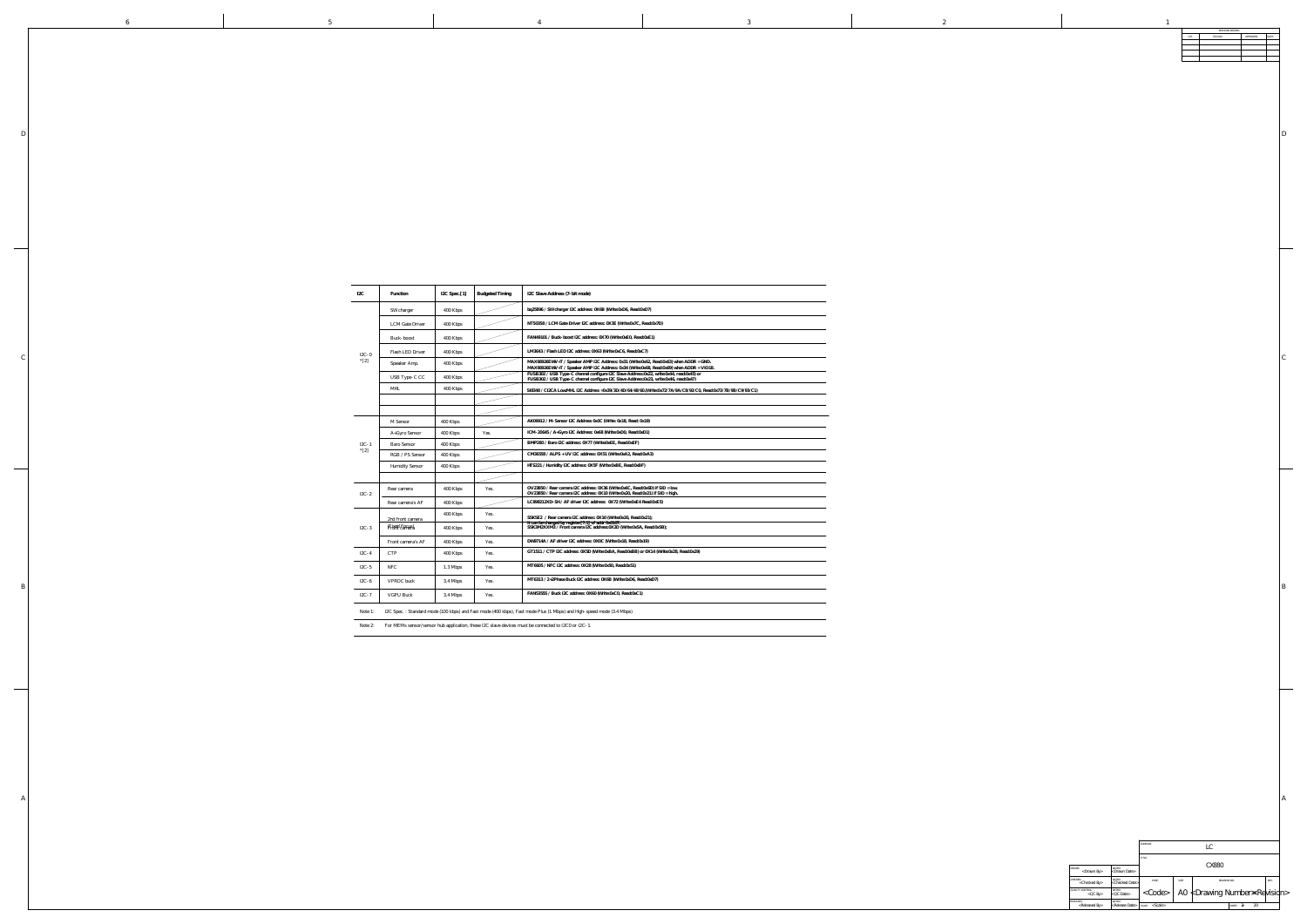|                                          |                                       | COMPANY:<br>LC          |       |                                              |                    |      |  |
|------------------------------------------|---------------------------------------|-------------------------|-------|----------------------------------------------|--------------------|------|--|
|                                          |                                       | TITLE:                  |       |                                              |                    |      |  |
| DRAWN:<br>$<$ Drawn By $>$               | DATED:<br><drawn date=""></drawn>     |                         | CX880 |                                              |                    |      |  |
| CHECKED:<br><checked by=""></checked>    | DATED:<br><checked date=""></checked> | CODE:                   | SIZE: | DRAWING NO:                                  |                    | REV: |  |
| <b>QUALITY CONTROL:</b><br>$QCD$ By      | DATED:<br>$<$ QC Date $>$             | $<$ Code $>$            |       | A0 $\nless$ Drawing Number $\Join$ Revisidn> |                    |      |  |
| RELEASED:<br><released by=""></released> | DATED:<br><release date=""></release> | $<$ Scale $>$<br>SCALE: |       |                                              | 20<br>2F<br>SHEET: |      |  |

B

|  | I2C<br>Function                                            | IZC Spec. [1] Budgeted Timing                                                                               | I2C Slave Address (7-bit mode)                                                                                                                                                     |                              |                                                                                             |
|--|------------------------------------------------------------|-------------------------------------------------------------------------------------------------------------|------------------------------------------------------------------------------------------------------------------------------------------------------------------------------------|------------------------------|---------------------------------------------------------------------------------------------|
|  |                                                            |                                                                                                             |                                                                                                                                                                                    |                              |                                                                                             |
|  | SW charger                                                 | 400 Kbps                                                                                                    | bq25896 / SW charger I2C address: 0X6B (Write:0xD6, Read:0xD7)                                                                                                                     |                              |                                                                                             |
|  | <b>LCM</b> Gate Driver                                     | 400 Kbps                                                                                                    | NT50358 / LCM Gate Driver I2C address: 0X3E (Write:0x7C, Read:0x7D)                                                                                                                |                              |                                                                                             |
|  |                                                            |                                                                                                             |                                                                                                                                                                                    |                              |                                                                                             |
|  | Buck-boost                                                 | 400 Kbps                                                                                                    | FAN49101 / Buck-boost I2C address: 0X70 (Write:0xE0, Read:0xE1)                                                                                                                    |                              |                                                                                             |
|  | Flash LED Driver<br>$I2C-0$                                | 400 Kbps                                                                                                    | LM3643 / Flash LED I2C address: 0X63 (Write:0xC6, Read:0xC7)                                                                                                                       |                              |                                                                                             |
|  | $* [2]$<br>Speaker Amp.                                    | 400 Kbps                                                                                                    | MAX98926EWV+T / Speaker AMP I2C Address: 0x31 (Write:0x62, Read:0x63) when ADDR = GND.<br>MAX98926EWV+T / Speaker AMP I2C Address: 0x34 (Write:0x68, Read:0x69) when ADDR = VIO18. |                              |                                                                                             |
|  | USB Type-C CC                                              | 400 Kbps                                                                                                    | FUSB302 / USB Type-C channel configure I2C Slave Address:0x22, write:0x44, read:0x45) or<br>FUSB302 / USB Type-C channel configure I2C Slave Address:0x23, write:0x46, read:0x47)  | $\sim$ 100 $\sim$ 100 $\sim$ |                                                                                             |
|  |                                                            |                                                                                                             |                                                                                                                                                                                    |                              |                                                                                             |
|  | MHL                                                        | 400 Kbps                                                                                                    | SI8348 / CI2CA Low:MHL I2C Address =0x39/3D/4D/64/48/60.(Write:0x72/7A/9A/C8/92/C0, Read:0x73/7B/9B/C9/93/C1)                                                                      | $\overline{\phantom{a}}$     |                                                                                             |
|  |                                                            |                                                                                                             |                                                                                                                                                                                    |                              |                                                                                             |
|  |                                                            |                                                                                                             |                                                                                                                                                                                    |                              |                                                                                             |
|  | M Sensor                                                   | 400 Kbps                                                                                                    | AK09912 / M-Sensor I2C Address 0x0C (Write: 0x18, Read: 0x19)                                                                                                                      |                              |                                                                                             |
|  | A+Gyro Sensor                                              | 400 Kbps<br>Yes.                                                                                            | ICM-20645 / A+Gyro I2C Address: 0x68 (Write:0xD0, Read:0xD1)                                                                                                                       |                              |                                                                                             |
|  | $IZC-1$<br><b>Baro Sensor</b>                              | 400 Kbps                                                                                                    | BMP280 / Baro I2C address: 0X77 (Write:0xEE, Read:0xEF)                                                                                                                            |                              |                                                                                             |
|  | $* [2]$<br>RGB / PS Sensor                                 | 400 Kbps                                                                                                    | CM36558 / ALPS + UV I2C address: 0X51 (Write:0xA2, Read:0xA3)                                                                                                                      |                              |                                                                                             |
|  | <b>Humidity Sensor</b>                                     | $\vert$ 400 Kbps                                                                                            | HTS221 / Humidity I2C address: 0X5F (Write:0xBE, Read:0xBF)                                                                                                                        |                              |                                                                                             |
|  |                                                            |                                                                                                             |                                                                                                                                                                                    |                              |                                                                                             |
|  | Rear camera                                                | 400 Kbps<br>Yes.                                                                                            | OV23850 / Rear camera I2C address: $0X36$ (Write: $0x6C$ , Read: $0x6D$ ) if SID = low.                                                                                            |                              |                                                                                             |
|  | $IZC-2$                                                    |                                                                                                             | OV23850 / Rear camera I2C address: 0X10 (Write:0x20, Read:0x21) if SID = high.                                                                                                     |                              |                                                                                             |
|  | Rear camera's AF                                           | 400 Kbps                                                                                                    | LC898212XD-SH / AF driver I2C address: 0X72 (Write:0xE4 Read:0xE5)                                                                                                                 |                              |                                                                                             |
|  | 2nd front camera                                           | 400 Kbps<br>Yes.                                                                                            | S5K5E2 / Rear camera I2C address: 0X10 (Write:0x20, Read:0x21);                                                                                                                    |                              |                                                                                             |
|  | Fixed Focus)<br>Front cantera<br>$I2C-3$                   | 400 Kbps<br>Yes.                                                                                            | It can be changed by register[7:1] of addr 0x0107.<br>S5K3M2XXM3 / Front camera I2C address:0X2D (Write:0x5A, Read:0x5B);                                                          |                              |                                                                                             |
|  |                                                            | Front camera's AF   400 Kbps   Yes.                                                                         | DW9714A / AF driver I2C address: 0X0C (Write:0x18, Read:0x19)                                                                                                                      |                              |                                                                                             |
|  | $\overbrace{\hspace{27mm}}^{}$<br>CTP<br>$I2C-4$           | 400 Kbps<br>Yes.                                                                                            | GT1511 / CTP I2C address: 0X5D (Write:0xBA, Read:0xBB) or 0X14 (Write:0x28, Read:0x29)                                                                                             |                              |                                                                                             |
|  |                                                            |                                                                                                             |                                                                                                                                                                                    |                              |                                                                                             |
|  | $\begin{array}{c c} \text{I2C-5} & \text{NFC} \end{array}$ | 1.3 Mbps<br>Yes.                                                                                            | MT6605 / NFC I2C address: 0X28 (Write:0x50, Read:0x51)                                                                                                                             |                              |                                                                                             |
|  | VPROC buck<br>$IZC-6$                                      | 3.4 Mbps<br>Yes.                                                                                            | MT6313 / 2+2Phase Buck I2C address: 0X6B (Write:0xD6, Read:0xD7)                                                                                                                   |                              |                                                                                             |
|  |                                                            | 3.4 Mbps<br>Yes.                                                                                            | FAN53555 / Buck I2C address: 0X60 (Write:0xC0, Read:0xC1)                                                                                                                          |                              |                                                                                             |
|  | $\left  2C-7 \right $<br>VGPU Buck                         |                                                                                                             |                                                                                                                                                                                    |                              |                                                                                             |
|  |                                                            |                                                                                                             | Note 1: I2C Spec.: Standard mode (100 kbps) and Fast mode (400 kbps), Fast mode Plus (1 Mbps) and High-speed mode (3.4 Mbps)                                                       |                              |                                                                                             |
|  |                                                            |                                                                                                             |                                                                                                                                                                                    |                              |                                                                                             |
|  |                                                            | Note 2: For MEMs sensor/sensor hub application, these I2C slave devices must be connected to I2C0 or I2C-1. |                                                                                                                                                                                    |                              |                                                                                             |
|  |                                                            |                                                                                                             |                                                                                                                                                                                    |                              |                                                                                             |
|  |                                                            |                                                                                                             |                                                                                                                                                                                    |                              |                                                                                             |
|  |                                                            |                                                                                                             |                                                                                                                                                                                    |                              |                                                                                             |
|  |                                                            |                                                                                                             |                                                                                                                                                                                    |                              |                                                                                             |
|  |                                                            |                                                                                                             |                                                                                                                                                                                    |                              |                                                                                             |
|  |                                                            |                                                                                                             |                                                                                                                                                                                    |                              |                                                                                             |
|  |                                                            |                                                                                                             |                                                                                                                                                                                    |                              |                                                                                             |
|  |                                                            |                                                                                                             |                                                                                                                                                                                    |                              |                                                                                             |
|  |                                                            |                                                                                                             |                                                                                                                                                                                    |                              |                                                                                             |
|  |                                                            |                                                                                                             |                                                                                                                                                                                    |                              |                                                                                             |
|  |                                                            |                                                                                                             |                                                                                                                                                                                    |                              |                                                                                             |
|  |                                                            |                                                                                                             |                                                                                                                                                                                    |                              |                                                                                             |
|  |                                                            |                                                                                                             |                                                                                                                                                                                    |                              |                                                                                             |
|  |                                                            |                                                                                                             |                                                                                                                                                                                    |                              |                                                                                             |
|  |                                                            |                                                                                                             |                                                                                                                                                                                    |                              |                                                                                             |
|  |                                                            |                                                                                                             |                                                                                                                                                                                    |                              |                                                                                             |
|  |                                                            |                                                                                                             |                                                                                                                                                                                    |                              |                                                                                             |
|  |                                                            |                                                                                                             |                                                                                                                                                                                    |                              |                                                                                             |
|  |                                                            |                                                                                                             |                                                                                                                                                                                    |                              |                                                                                             |
|  |                                                            |                                                                                                             |                                                                                                                                                                                    |                              |                                                                                             |
|  |                                                            |                                                                                                             |                                                                                                                                                                                    |                              | COMPANY:                                                                                    |
|  |                                                            |                                                                                                             |                                                                                                                                                                                    |                              |                                                                                             |
|  |                                                            |                                                                                                             |                                                                                                                                                                                    |                              | $\langle$ Drawn By $\langle$ Drawn Date $\langle$ Drawn Date $\langle$ Drawn Date $\rangle$ |
|  |                                                            |                                                                                                             |                                                                                                                                                                                    |                              | CHECKED:<br><checked by=""><br/> <checked date=""><br/>CODE:</checked></checked>            |
|  |                                                            |                                                                                                             |                                                                                                                                                                                    |                              | QUALITY CONTROL:<br><oc by=""> <oc date=""> <coc c<="" td=""></coc></oc></oc>               |

D

 $\mathcal{C}_{0}^{(n)}$ 

 $\overline{\phantom{a}}$ 

|     | REVISION RECORD |           |       |  |  |  |  |  |
|-----|-----------------|-----------|-------|--|--|--|--|--|
| LTR | ECO NO:         | APPROVED: | DATE: |  |  |  |  |  |
|     |                 |           |       |  |  |  |  |  |
|     |                 |           |       |  |  |  |  |  |
|     |                 |           |       |  |  |  |  |  |
|     |                 |           |       |  |  |  |  |  |
|     |                 |           |       |  |  |  |  |  |
|     |                 |           |       |  |  |  |  |  |
|     |                 |           |       |  |  |  |  |  |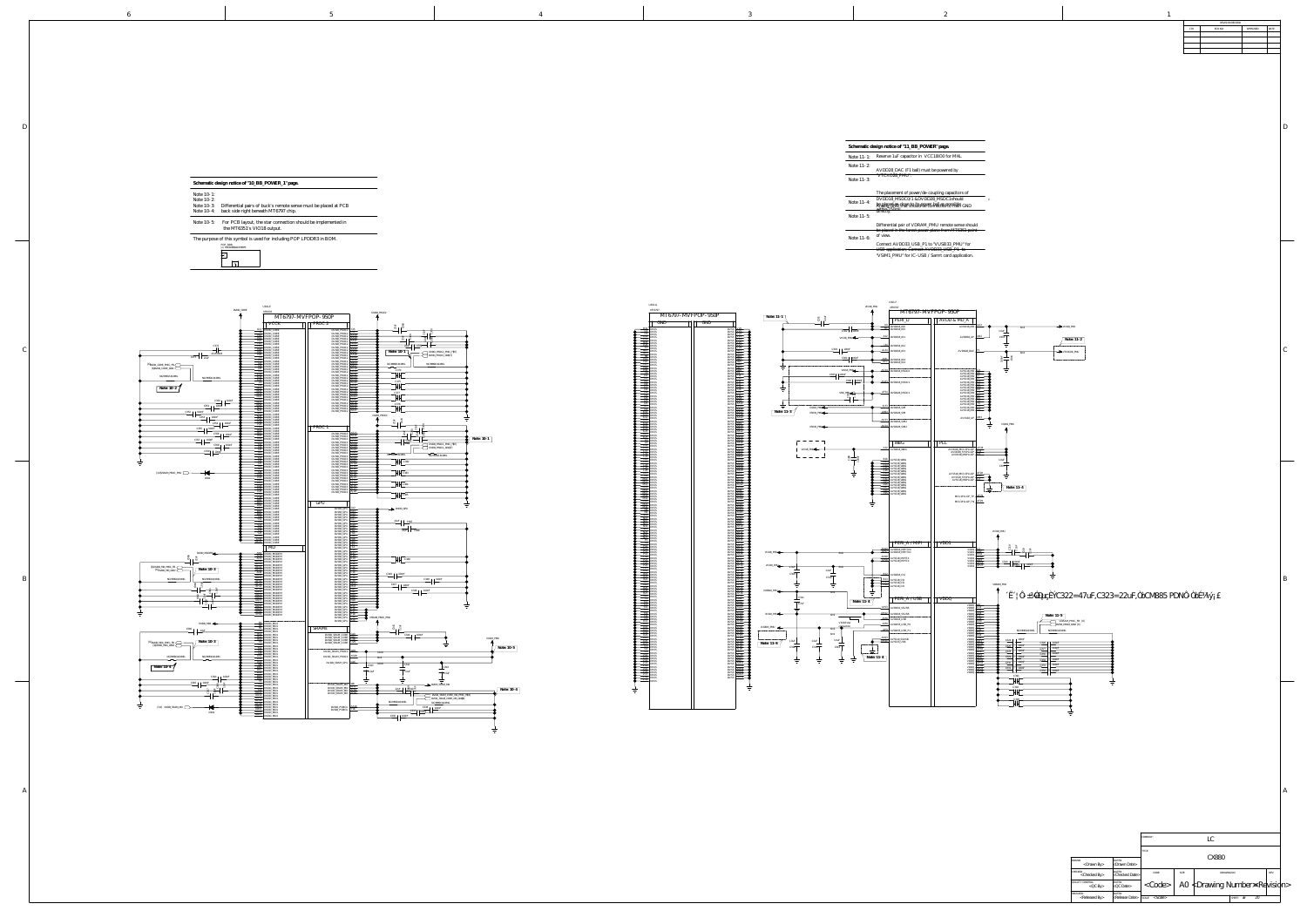A

B

 $\mathcal{C}$ 

|                                                                                                                                                                                                                                                                                                                                                                                                                                                                                                                                                                                                                                                                                                                                                                                                                                                                                                                                                                                                                                                                                                                                                                                                                                                                                                                                                                                                                                                                                                                                                                                                                                                                                                                                                                                                                                                                                                                                                                                                                                                                                                                                                                                                                                                                                                                                                                                                                                                                                                                                                                                                                                                                                                                                                                                                                                                                                                                                                                                                                                                                                                                                                                                                                                                                                                                                                                                                                                                                                                                                                                                                                                                                                                                                                                                                                                                                                                                                                                                                                                                                                                                                                                                                                                                                                                                                                                                                                            | REVISION RECORD<br>ECO NO:<br>LTR.                                                                                                                                                                                                                                                                                                                                                                                                                                                                                                                                                                                                                                                                                                                                                                                                                                                                                                                                                                                                                                                                                                                                                                                                                                                                                                                                                                                                                                                                                                                                                                                                                                                                                                                                                                                                                                                                                                                                                                                                                                                                                                                                                                                                                                                                                                                                                                                                                                                                                                                                                                                                                                                                                                                                                                                                                                                                                                                                                                                                                                                                                                                                                                                                                                                                                                                                                                                                                                                                                                                                                                                                                                                                                                                                                                                                                                                                                                                                                                                                                                                                                                                                                                                                                                                                                                                                                                                                                                                                                                                                                                                                                                                                                                                                                                                                                                                                                                                                                                                                                                                                                                                                                                                                                                                                                                                                                                                                                                                                                                                                                                                                                                                                                                                                                                                                                                                                                                                                                                                                                                                                                                                                                                                                                                                                                                                                                                                                                                                                                                                                                                                                                                                                                                                                                                                                                                                                                                                                                                                                                                                                                                                                                                                                                                                                                                                                                                                                                                                                                                                                                                                                                                                                                                                                                                                                                                                                                                                                                                                                                                                                                                                                                                                                                                                                                                                                                                                                                                                                                                                                                                                                                                                                                                                                                                                                                                                                                                                                                                                                                                                                                                                                                                                                                                                                                                                                                                                                                                                                                                                                                                                                                                                                                                                                                                                                                                                                                                                                                                                                                                                                                                                                                                                                                                                                                                                                                                                                                                                                                                                                                                                                                                                                                                                                                                                                                                                                                                                                                                                                                                                                                                                                                                                                                                                                                                                                                                                                                                                                                                                                                                                                                                                                                                                                                                                                                                                                                                                                                                                                                                                                                                                                                                                                                                                                                                                                                                                                                                                                                                                                                                                                                                                                                                                                                                                                                                                                                                                                                                                                                                                                                                                                                                                                                                                                                                                                                                                                                                                                                                                                                                                                                                                                                                                                                                                                                                                                                                                                                                                                                                                                                                                                                                                                                                                                                                                                                                                                                                                                                                                                                                                                                                                                                                                                                                                                                                                                                                                                                                                                                                                                                                                                                                                                                                                                                                                                                                                                                                                                                                                                                                                                                                                                                                                                                                | APPROVED:          |
|----------------------------------------------------------------------------------------------------------------------------------------------------------------------------------------------------------------------------------------------------------------------------------------------------------------------------------------------------------------------------------------------------------------------------------------------------------------------------------------------------------------------------------------------------------------------------------------------------------------------------------------------------------------------------------------------------------------------------------------------------------------------------------------------------------------------------------------------------------------------------------------------------------------------------------------------------------------------------------------------------------------------------------------------------------------------------------------------------------------------------------------------------------------------------------------------------------------------------------------------------------------------------------------------------------------------------------------------------------------------------------------------------------------------------------------------------------------------------------------------------------------------------------------------------------------------------------------------------------------------------------------------------------------------------------------------------------------------------------------------------------------------------------------------------------------------------------------------------------------------------------------------------------------------------------------------------------------------------------------------------------------------------------------------------------------------------------------------------------------------------------------------------------------------------------------------------------------------------------------------------------------------------------------------------------------------------------------------------------------------------------------------------------------------------------------------------------------------------------------------------------------------------------------------------------------------------------------------------------------------------------------------------------------------------------------------------------------------------------------------------------------------------------------------------------------------------------------------------------------------------------------------------------------------------------------------------------------------------------------------------------------------------------------------------------------------------------------------------------------------------------------------------------------------------------------------------------------------------------------------------------------------------------------------------------------------------------------------------------------------------------------------------------------------------------------------------------------------------------------------------------------------------------------------------------------------------------------------------------------------------------------------------------------------------------------------------------------------------------------------------------------------------------------------------------------------------------------------------------------------------------------------------------------------------------------------------------------------------------------------------------------------------------------------------------------------------------------------------------------------------------------------------------------------------------------------------------------------------------------------------------------------------------------------------------------------------------------------------------------------------------------------------------------------------|---------------------------------------------------------------------------------------------------------------------------------------------------------------------------------------------------------------------------------------------------------------------------------------------------------------------------------------------------------------------------------------------------------------------------------------------------------------------------------------------------------------------------------------------------------------------------------------------------------------------------------------------------------------------------------------------------------------------------------------------------------------------------------------------------------------------------------------------------------------------------------------------------------------------------------------------------------------------------------------------------------------------------------------------------------------------------------------------------------------------------------------------------------------------------------------------------------------------------------------------------------------------------------------------------------------------------------------------------------------------------------------------------------------------------------------------------------------------------------------------------------------------------------------------------------------------------------------------------------------------------------------------------------------------------------------------------------------------------------------------------------------------------------------------------------------------------------------------------------------------------------------------------------------------------------------------------------------------------------------------------------------------------------------------------------------------------------------------------------------------------------------------------------------------------------------------------------------------------------------------------------------------------------------------------------------------------------------------------------------------------------------------------------------------------------------------------------------------------------------------------------------------------------------------------------------------------------------------------------------------------------------------------------------------------------------------------------------------------------------------------------------------------------------------------------------------------------------------------------------------------------------------------------------------------------------------------------------------------------------------------------------------------------------------------------------------------------------------------------------------------------------------------------------------------------------------------------------------------------------------------------------------------------------------------------------------------------------------------------------------------------------------------------------------------------------------------------------------------------------------------------------------------------------------------------------------------------------------------------------------------------------------------------------------------------------------------------------------------------------------------------------------------------------------------------------------------------------------------------------------------------------------------------------------------------------------------------------------------------------------------------------------------------------------------------------------------------------------------------------------------------------------------------------------------------------------------------------------------------------------------------------------------------------------------------------------------------------------------------------------------------------------------------------------------------------------------------------------------------------------------------------------------------------------------------------------------------------------------------------------------------------------------------------------------------------------------------------------------------------------------------------------------------------------------------------------------------------------------------------------------------------------------------------------------------------------------------------------------------------------------------------------------------------------------------------------------------------------------------------------------------------------------------------------------------------------------------------------------------------------------------------------------------------------------------------------------------------------------------------------------------------------------------------------------------------------------------------------------------------------------------------------------------------------------------------------------------------------------------------------------------------------------------------------------------------------------------------------------------------------------------------------------------------------------------------------------------------------------------------------------------------------------------------------------------------------------------------------------------------------------------------------------------------------------------------------------------------------------------------------------------------------------------------------------------------------------------------------------------------------------------------------------------------------------------------------------------------------------------------------------------------------------------------------------------------------------------------------------------------------------------------------------------------------------------------------------------------------------------------------------------------------------------------------------------------------------------------------------------------------------------------------------------------------------------------------------------------------------------------------------------------------------------------------------------------------------------------------------------------------------------------------------------------------------------------------------------------------------------------------------------------------------------------------------------------------------------------------------------------------------------------------------------------------------------------------------------------------------------------------------------------------------------------------------------------------------------------------------------------------------------------------------------------------------------------------------------------------------------------------------------------------------------------------------------------------------------------------------------------------------------------------------------------------------------------------------------------------------------------------------------------------------------------------------------------------------------------------------------------------------------------------------------------------------------------------------------------------------------------------------------------------------------------------------------------------------------------------------------------------------------------------------------------------------------------------------------------------------------------------------------------------------------------------------------------------------------------------------------------------------------------------------------------------------------------------------------------------------------------------------------------------------------------------------------------------------------------------------------------------------------------------------------------------------------------------------------------------------------------------------------------------------------------------------------------------------------------------------------------------------------------------------------------------------------------------------------------------------------------------------------------------------------------------------------------------------------------------------------------------------------------------------------------------------------------------------------------------------------------------------------------------------------------------------------------------------------------------------------------------------------------------------------------------------------------------------------------------------------------------------------------------------------------------------------------------------------------------------------------------------------------------------------------------------------------------------------------------------------------------------------------------------------------------------------------------------------------------------------------------------------------------------------------------------------------------------------------------------------------------------------------------------------------------------------------------------------------------------------------------------------------------------------------------------------------------------------------------------------------------------------------------------------------------------------------------------------------------------------------------------------------------------------------------------------------------------------------------------------------------------------------------------------------------------------------------------------------------------------------------------------------------------------------------------------------------------------------------------------------------------------------------------------------------------------------------------------------------------------------------------------------------------------------------------------------------------------------------------------------------------------------------------------------------------------------------------------------------------------------------------------------------------------------------------------------------------------------------------------------------------------------------------------------------------------------------------------------------------------------------------------------------------------------------------------------------------------------------------------------------------------------------------------------------------------------------------------------------------------------------------------------------------------------------------------------------------------------------------------------------------------------------------------------------------------------------------------------------------------------------------------------------------------------------------------------------------------------------------------------------------------------------------------------------------------------------------------------------------------------------------------------------------------------------------------------------------------------------------------------------------------------------------------------------------------------------------------------------------------------------------------------------------------------------------------------------------------------------------------------------------------------------------------------------------------------------------------------------------------------------------------------------------------------------------------------------------------------------------------------------------------------------------------------------------------------------------------------------------------------------------------------------------------------------------------------------------------------------------------------------------------------------------------------------------------------------------------------------------------------------------------------------------------------------------------------------------------------------------------------------------------------------------------------------------------------------------------------------------------------------------------------------------------------------------------------------------------------------------------------------------------------------------------------------------------------------------------------------------------------------------------------------------------------------------------------------------------------------------------------------------------------------------------------------------------------------------------------------------------------------------------------------------------------------------------------------------------------------------------------------------------------------------------------------------------------------------------------------------------------------------------------------------------------------------------------------------------------------------------------------------------------------------------------------------------------------------------------------------------------------------------------------------------------------------------------------------------------------------------------------------------------------------------------------------------------------------------------------------------------------------------------------------------------------------------------------------------------------------------------------------------------------------------------------------------------------------------------------------------------------------------------------------------------------------------------------------------------------------------------------------------------------------------------------------------------------------------------------------------------------------------------------------------------------------------------------------------------------------------------------------------------------------------------------------------------------------------------------------------------------------------------------------------------------------------------------------------------------------------------------------------------------------------------------------------------------------------------------------------------------------------------------------------------------------|--------------------|
| ed at PCB<br>ented in<br>OM.<br><u> 1989 - Johann Barbara, martxa alemaniar argamento de la contrada de la contrada de la contrada de la contrada</u>                                                                                                                                                                                                                                                                                                                                                                                                                                                                                                                                                                                                                                                                                                                                                                                                                                                                                                                                                                                                                                                                                                                                                                                                                                                                                                                                                                                                                                                                                                                                                                                                                                                                                                                                                                                                                                                                                                                                                                                                                                                                                                                                                                                                                                                                                                                                                                                                                                                                                                                                                                                                                                                                                                                                                                                                                                                                                                                                                                                                                                                                                                                                                                                                                                                                                                                                                                                                                                                                                                                                                                                                                                                                                                                                                                                                                                                                                                                                                                                                                                                                                                                                                                                                                                                                      | Schematic design notice of "11_BB_POWER" page.<br>Note 11-1: Reserve 1uF capacitor in VCC18IO0 for MHL.<br>Note 11-2: AVDD28_DAC (F1 ball) must be powered by<br>"VTCXO28_PMU".<br>Note 11-3:<br>The placement of power/de-coupling capacitors of<br>DVDD18_MSDC0/1 &DVDD28_MSDC1should<br>Note 11-4:<br>4: Analaged as close to its power hall as possible GND<br>$\begin{tabular}{lcccccc} \multicolumn{2}{c }{\textbf{1} & \textbf{2} & \textbf{3} & \textbf{4} & \textbf{5} & \textbf{5} & \textbf{6} & \textbf{6} & \textbf{7} & \textbf{8} & \textbf{8} & \textbf{9} & \textbf{10} & \textbf{10} & \textbf{10} & \textbf{10} & \textbf{10} & \textbf{10} & \textbf{10} & \textbf{10} & \textbf{10} & \textbf{10} & \textbf{10} & \textbf{10} & \textbf{10} & \textbf{10} & \textbf{$<br>Note 11-5:<br>Differential pair of VDRAM_PMU remote sense should<br>be placed in the farest power plane from MT6351 point<br>of view.<br>Note 11-6:<br>Connect AVDD33_USB_P1 to "VUSB33_PMU" for<br>USB application; Connect AVDD33_USB_P1 to<br>"VSIM1_PMU" for IC-USB / Samrt card application.                                                                                                                                                                                                                                                                                                                                                                                                                                                                                                                                                                                                                                                                                                                                                                                                                                                                                                                                                                                                                                                                                                                                                                                                                                                                                                                                                                                                                                                                                                                                                                                                                                                                                                                                                                                                                                                                                                                                                                                                                                                                                                                                                                                                                                                                                                                                                                                                                                                                                                                                                                                                                                                                                                                                                                                                                                                                                                                                                                                                                                                                                                                                                                                                                                                                                                                                                                                                                                                                                                                                                                                                                                                                                                                                                                                                                                                                                                                                                                                                                                                                                                                                                                                                                                                                                                                                                                                                                                                                                                                                                                                                                                                                                                                                                                                                                                                                                                                                                                                                                                                                                                                                                                                                                                                                                                                                                                                                                                                                                                                                                                                                                                                                                                                                                                                                                                                                                                                                                                                                                                                                                                                                                                                                                                                                                                                                                                                                                                                                                                                                                                                                                                                                                                                                                                                                                                                                                                                                                                                                                                                                                                                                                                                                                                                                                                                                                                                                                                                                                                                                                                                                                                                                                                                                                                                                                                                                                                                                                                                                                                                                                                                                                                                                                                                                                                                                                                                                                                                                                                                                                                                                                                                                                                                                                                                                                                                                                                                                                                                                                                                                                                                                                                                                                                                                                                                                                                                                                                                                                                                                                                                                                                                                                                                                                                                                                                                                                                                                                                                                                                                                                                                                                                                                                                                                                                                                                                                                                                                                                                                                                                                                                                                                                                                                                                                                                                                                                                                                                                                                                                                                                                                                                                                                                                                                                                                                                                                                                                                                                                                                                                                                                                                                                                                                                                                                                                                                                                                                                                                                                                                                                                                                                                                                                                                                                                                                                                                                                                                                                                                                                                                                                                                                                                                                                                                                                                                                                                                                                                                                                                                                                                                                                                                                                                                                                                                                                                                                                                                                                                                                                                                                                                                                                                                                                                                                                                                                                                                                                                                                                                                                                                                                                                                                                                                                                                                                                                                                                                                                                                                                                                                                                                                                                                   | D                  |
| DVDD_PROC2<br>P<br>$\frac{3}{2}$ $\frac{1}{2}$<br>DVDD_PROCZ V25<br>DVDD_PROCZ V27<br>DVDD_PROCZ AA10<br>DVDD_PROCZ AA21<br>DVDD_PROCZ AA21<br>DVDD_PROCZ AA21<br>DVDD_PROCZ AA24<br>DVDD_PROCZ AA24<br>DVDD_PROCZ AA24<br>DVDD_PROCZ AA24<br>DVDD_PROCZ AA28<br>DVDD_PROCZ AA28<br>DVDD_PROCZ AA28<br>DVD<br>Note: 10-1<br>DVDD_PROC2_PMIC_F#7]<br>DVDD_PROC2_GND(7)<br>PVDD_PROC2 AC29<br>DVDD_PROC2 AD19<br>DVDD_PROC2 AD23<br>DVDD_PROC2 AD27<br>DVDD_PROC2 AE20<br>DVDD_PROC2 AE20<br>2376<br>DVDD_PROC2 AE20<br>DVDD_PROC2 $\left \frac{\text{A} \text{E20}}{\text{A} \text{E21}}\right $<br>$DVDD_PROC2 \left[\begin{array}{c} \Delta E21 \\ \Delta E27 \end{array}\right]$<br>DVDD_PROC2 $AE27$ $A$<br>DVDD PROC1<br>—— <del>—————————</del> ———————<br>$DVDD_PROC1 \nightharpoonup AEB4$<br>PVDD_PROC1<br>DVDD_PROC1<br>DVDD_PROC1<br>DVDD_PROC1<br>AG19<br>DVDD_PROC1<br>AG19<br>AG20<br>$\frac{1}{\sqrt{1-\frac{1}{2}}\sqrt{1-\frac{1}{2}}\sqrt{1-\frac{1}{2}}\sqrt{1-\frac{1}{2}}}}$<br>$\frac{1}{22.5}$ $\frac{1}{22.5}$ $\frac{1}{22.5}$<br>$\begin{array}{c} \hline \text{I} \quad \text{22uF} \\ \hline \text{DVDD\_PROC1\_CND(7)} \end{array}$<br>DVDD_PROC1 AG20<br>DVDD_PROC1 AG21<br>DVDD_PROC1 AG23<br>DVDD_PROC1 AG23<br>DVDD_PROC1 AG24<br>DVDD_PROC1 AG24<br>DVDD_PROC1 AG24<br>DVDD_PROC1 AG24<br>DVDD_PROC1 AG24<br>DVDD_PROC1 AG25<br>DVDD_PROC1 AG25<br>DVDD_PROC1 AG25<br>DVDD_PROC1 AG25<br>D<br>$DVDD$ PROC1 $A_{U10}$<br>H H C382<br>DVDD_PROC1 $\downarrow$ AH19<br>$DVDD\_PROC1$ $\overline{A119}$<br>$\mathsf{H}$ C383<br>$DVDD_PROC1$ $A120$<br>DVDD_PROCI A121<br>DVDD_PROCI A123<br>DVDD_PROCI A124 <b>COVDD_PROCI</b><br>$DVDD\_PROC1$ $A125$<br>$H$ C385<br><u> Linda a Carl Communication de la communica</u><br>$DVDD_GPU \rightarrow G12$ $Q \rightarrow VDD_GPU$<br>$DVDD_GPU \rightarrow 33$<br>$DVDD_GPU$ $G14$<br>$DVDD_GPU \rightarrow G15$<br>DVDD GPU $\frac{\left  \frac{1}{2} \right }{2}$ $\frac{1}{2}$ $\frac{1}{2}$ $\frac{1}{2}$ $\frac{1}{2}$ $\frac{1}{2}$ $\frac{1}{2}$ $\frac{1}{2}$ $\frac{1}{2}$ $\frac{1}{2}$ $\frac{1}{2}$ $\frac{1}{2}$ $\frac{1}{2}$ $\frac{1}{2}$ $\frac{1}{2}$ $\frac{1}{2}$ $\frac{1}{2}$ $\frac{1}{2}$ $\frac{1}{2}$ $\frac{1}{2}$<br>$DVDD_CPU$ $G18$ $Q2uF$ $C387$<br>DVDD GPU $\frac{1419}{90}$<br>DVDD_GPU $\frac{G20}{1110}$ $\qquad \qquad \qquad \bigoplus$<br>$22uF$ $C388$<br>DVDD GPU $\frac{\text{H12}}{\text{H12}}$ $\rightarrow$<br>DVDD_GPU<br>DVDD_GPU<br>DVDD_GPU<br>DVDD_GPU<br>DVDD_GPU<br>H12<br>T12<br>$DVDD_GPU$<br>DVDD_GPU<br>DVDD_GPU<br>DVDD_GPU<br>$DVDD_GPU$ $K17$<br>$DVDD_GPU$ $K18$<br>$DVDD_GPU$ $K19$<br>$\blacksquare$ $\blacksquare$ $\blacksquare$ $\blacksquare$ $\blacksquare$<br>$DVDD$ GPU $K20$<br>DVDD GPU $\frac{1}{2}$<br>$DVDD_GPU$ $H2$<br>$DVDD$ GPU $\frac{\perp 13}{}$<br>$DVDD_GPU$ $\frac{1.14}{1.12}$<br>C349 100nF<br>$DVDD_GPU$ $H_46$ $H_5$ $H_6$ $H_7$ $H_8$ $H_8$ $H_9$ $H_9$ $H_9$ $H_9$ $H_9$ $H_9$ $H_9$ $H_9$ $H_9$ $H_9$ $H_9$ $H_9$ $H_9$ $H_9$ $H_9$ $H_9$ $H_9$ $H_9$ $H_9$ $H_9$ $H_9$ $H_9$ $H_9$ $H_9$ $H_9$ $H_9$ $H_9$ $H_9$ $H_9$ $H$<br>$DVDD_GPU$ $H8$<br>and the contract of the con-<br>$\overline{C348}$ $100nF$<br>$DVDD$ GPU $\frac{120}{120}$<br>DVDD_GPU<br>DVDD_GPU<br>DVDD_GPU<br>DVDD_GPU<br>M11<br>$\begin{array}{c c}\n\text{C347} & \text{100nF} \\ \hline\n\end{array}$ C346     100nF<br>$DVDD_GPU$ $\frac{N12}{N!}$<br>$DVDD_GPU$ $N14$<br>DVDD_GPU<br>DVDD_GPU<br>DVDD_GPU<br>DVDD_GPU<br>DVDD_GPU<br>DVDD_GPU<br>DVDD_GPU<br>PVDD_GPU<br>PVDD_GPU<br>PVDD_GPU<br>PVDD_GPU<br>PVDD_GPU<br>PVDD_GPU<br>PVDD_GPU<br>PVDD_GPU<br>PVDD_GPU<br>PVDD_GPU<br>PVDD_GPU<br>PVDD_GPU<br>PVDD_GPU<br>PVDD_GPU<br>PVDD_GPU<br>PV<br>—— —————<br>$DD\_SRAM\_CORE$ $\frac{G10}{G20}$<br>$11 \t C344 + 100nF$<br>$DD$ SRAM_CORE $\frac{G22}{100}$<br>——— ————<br>VIO18_PMU<br>bD_SRAM_CORE L28<br>DD_SRAM_CORE L29<br>$\sqrt{\text{Note: }10-5}$<br>$D_SRAM_PROC1$ $AG28$ $8 mil$<br>$C343$ 10mil<br>OuF<br>1.0uF<br>DVDD_SRAM_MD<br>$22uF$ $8340Z$<br>$\sqrt{\text{Note: }10-4}$<br>DVDD_SRAM_CORE_MD_PMIC_FB[6]<br>NC/MMD/L8/4MIL<br>NC/MMD/L8/4MIL NC/MMD/L8/4MIL<br>DVDD_PSMCU AA16<br>DVDD_PSMCU Y16<br>U338   1 100nb<br>$\begin{array}{c c c c c c} \hline \multicolumn{3}{c }{\text{C337}} & \multicolumn{3}{c }{\text{100nF}} \\ \hline \multicolumn{3}{c }{\text{C337}} & \multicolumn{3}{c }{\text{100nF}} \\ \hline \end{array}$<br>C336 100nF | U301-F<br>U301-G<br>VIO18_PMU<br>MT6797<br>MT6797-MVFPOP-950P<br>MT6797-MVFPOP-950P<br>Note: 11-1<br>PERLD<br>    AVDD & MD_A<br>$\overline{\phantom{a}}$<br>GND<br>$\Box$ GND<br>$\bigoplus$ $\bigoplus$ $\bigoplus$ $\bigoplus$ DVDD18 IO0<br>$AVDD18_MD$ $AA2$ $Q$ $Q$<br>$\rightarrow$ VIO18_PMU<br>$-1-1$<br><b>EXAMPLE</b> DVSS<br>$\overline{C302}$ $\overline{100nF}$<br>DVSS $\frac{1}{201}$<br><b>CALCOMORAGE SECURE 2018</b><br>CALCOMORAGE DUSS<br>CALCOMORAGE DUSS<br>FRE DUSS<br>HIS DUSS<br>HIS DUSS<br>RE DUSS<br>HIS DUSS<br>$\frac{1}{2}$ is $\frac{1}{2}$ is $\frac{1}{2}$ is $\frac{1}{2}$ is $\frac{1}{2}$ is $\frac{1}{2}$ is $\frac{1}{2}$ is $\frac{1}{2}$ is $\frac{1}{2}$ is $\frac{1}{2}$ is $\frac{1}{2}$ is $\frac{1}{2}$ is $\frac{1}{2}$ is $\frac{1}{2}$ is $\frac{1}{2}$ is $\frac{1}{2}$ is $\frac{1}{2}$ is<br>vss <u>V22</u><br>VSS <u>V23 —</u><br>VSS <u>V24</u> —<br>$VIO18_PMU$ $Q$ $A22$ DVDD18_IO1<br>$AVDD18_AP$ $AB2$ $---$<br>$\sqrt{\text{Note: } 11-2}$<br>ss <del>I <sup>vzs</sup> — 1</del><br>$DVSS \frac{1}{2}$<br>$\downarrow$ DVDD18_IO2<br>>VSS<br>DVSS W15<br>DVSS W19<br>DVSS W21<br>$\begin{array}{ c c c c }\n\hline\n\text{C303} & \text{100nF} \\ \hline\n\end{array}$<br>$\overline{\bigoplus}$ $\overline{\bigoplus}$ $\overline{\bigoplus}$ $\overline{\bigoplus}$ $\overline{\bigoplus}$ $\overline{\bigoplus}$ $\overline{\bigoplus}$ $\overline{\bigoplus}$ $\overline{\bigoplus}$ $\overline{\bigoplus}$ $\overline{\bigoplus}$ $\overline{\bigoplus}$ $\overline{\bigoplus}$ $\overline{\bigoplus}$ $\overline{\bigoplus}$ $\overline{\bigoplus}$ $\overline{\bigoplus}$ $\overline{\bigoplus}$ $\overline{\bigoplus}$ $\overline{\bigoplus}$<br>VTCXO28_PMU<br>$AVDD28_DAC$ $H$ $\longrightarrow$<br>and the state of the state<br>$\begin{array}{c c c c} \hline \text{C304} & 100 \text{nF} & \text{AM1} & \text{DVDD18\_IO4} \\ \hline \text{AC1} & \text{DVDD18\_IO4} & \text{DVDD18\_IO4} \\\hline \end{array}$<br>H13 DVSS<br>H15 DVSS<br>H17 DVSS<br>H19 DVSS<br>ಠπ ೮<br>$\sqrt{ss}$ $\frac{W25}{W}$ $\frac{1}{2}$<br>$50 \times 5$ $10 \times 6$ $\frac{1}{20}$<br>$s \rightarrow wz \rightarrow 0$<br>H <sub>32</sub> DVSS<br>I8 DVSS<br><u>I10</u> DVSS<br><u>I10</u> DVSS<br>$DVSS$ $W29$ $W29$<br>$VIO18_PMU \longrightarrow \bigoplus_{\Delta C34} \text{DVDD18_MSDCO}$<br>AVSS18 MD<br>dvss <del>P<sup>ry</sup> — C</del><br>AVSS18 MD $\frac{\text{H3}}{\text{H3}}$ $\frac{\text{O}}{\text{O}}$<br>$C30511100nF$ $\qquad \qquad$<br>$\frac{1}{100}$ ivss $\frac{1}{100}$<br>AVSS18 MD $\frac{12}{12}$ $\rightarrow$ 0<br>$\overrightarrow{a}$<br>$\overline{\text{D} - \frac{113}{115}}$ DVSS<br>AVSS18 MD $\frac{13}{112}$ $\rightarrow$ 0<br>vss <del>Litera <b>d</b>e</del><br>$C3081 + 100nF$<br>$\overline{\text{C306}}$ $\overline{\text{100nF}}$ $\overline{\text{A}}$ $\overline{\text{A}G33}}$ DVDD18_MSDC1<br>AVSS <sub>18</sub> MD $\frac{K3}{4}$ – 0<br>$_{\rm VSS}$ $\rightarrow$ $\rightarrow$ $\rightarrow$<br>$\overline{116}$ DVSS<br>DVSS<br>DVSS<br>and the contract<br>AVSS18 MD $\frac{14}{2}$ $\rightarrow$ 0<br>vss <del>L<sup>yll</sup> – C</del><br>AVSS18 MD $\frac{M3}{4}$ – 0<br>dvss <del>L<sup>yzb</sup> — C</del><br>$\frac{18}{100}$ byss<br>vss Lieb — C<br>AVSS18 MD $\frac{103}{2}$ $\frac{1}{2}$<br>$\Phi$ DVSS<br>VMC_PMU $\leftarrow$ $\frac{F_1}{2}$ $\leftarrow$ $\leftarrow$ $\frac{\text{AF34}}{\text{DVD28\_MSDC1}}$<br>$VSS \mid$ $\frac{129}{2} \mid$ $\frac{1}{2}$<br>AVSS18 MD $\frac{124}{22}$ $\rightarrow$ 0<br>$\begin{array}{c c}\n & \text{J20} & \text{DVSS} \\  & \text{DVSS} & \text{DVSS}\n\end{array}$<br>AVSS18 MD $\frac{KZ}{K}$ ––0<br>)VSS <del>  134        </del><br>ੱਸ ਜਾਂ ਜ<br>$\mathbf{s}$ $\mathbf{\mathsf{A}}\mathbf{\mathsf{A}}\mathbf{\mathsf{B}}$ $\mathbf{\mathsf{A}}$<br>AVSS18 MD $\frac{183}{2}$ – $\bigoplus$<br>$\frac{123}{105}$ DVSS<br>dvss <del>  <sup>AA9</sup> - - 1</del><br>AVSS18 MD $\frac{13}{2}$ – C<br>and the contract of the contract of the<br>125 DVSS<br>127 DVSS<br><b>CONTRACT RESERVED</b><br>$\mathcal{C}$ $\Box$<br>AVSS18 MD $\frac{14}{112}$ $\frac{10}{10}$<br>and the second control of the<br>VIO18_PMU<br><del>- 0 <sup>AJ33</sup> DVDD18</del> SIM<br>AVSS18 MD $\frac{113}{112}$ $\rightarrow$ 0<br>and the state of the<br>AVSS18_MD $\frac{11}{2}$ $\rightarrow$ $\bullet$<br>Note: $11-3$<br>K10 DVSS<br>EX11 DVSS<br>COMENCE RANGE<br>$\mathbf{\Phi}$ $\mathbf{\Phi}$<br>$VSIM1_PMU$<br>$\sqrt{\frac{1}{100}}$ $\frac{1}{100}$<br>the control of the control of the control of the control of<br>AA22<br>AVSS18 AP <del>  <sup>AB3</sup>   ©</del><br>K13 DVSS<br>EXTA DVSS<br>$AK33$ DVDD18_SIM2<br>$ABy = 0$<br>$\frac{1}{\sqrt{2}}$ VIO18_PMU<br>EXAMPLE POSSES<br>EXAMPLE POSSES<br>EXAMPLE POSSES<br>EXAMPLE POSSES<br>EXAMPLE POSSES<br>VSIM2_PMU<br>$\sim$ LABIO $\rightarrow$<br>AB12<br>$\overline{\phantom{a}}$<br>$K27$ DVSS<br>$A_{\text{BH}}$<br>$\frac{12}{2}$ DVSS<br>$A_{\text{R}}$<br>$\overline{\mathbf{u}}$<br>TPL<br>$\frac{18}{2}$ DVSS<br>  WBG<br>$\frac{1}{\sqrt{2}}$ $\frac{1}{\sqrt{2}}$ $\frac{1}{\sqrt{2}}$ $\frac{1}{\sqrt{2}}$ $\frac{1}{\sqrt{2}}$ $\frac{1}{\sqrt{2}}$ $\frac{1}{\sqrt{2}}$ $\frac{1}{\sqrt{2}}$ $\frac{1}{\sqrt{2}}$ $\frac{1}{\sqrt{2}}$ $\frac{1}{\sqrt{2}}$ $\frac{1}{\sqrt{2}}$ $\frac{1}{\sqrt{2}}$ $\frac{1}{\sqrt{2}}$ $\frac{1}{\sqrt{2}}$ $\frac{1}{\sqrt{2}}$ $\frac{1}{\sqrt{2}}$<br>$\Phi$ $\rightarrow$ $\frac{110}{10}$ DVSS<br>$\mathcal{S} \models_{\text{pp} \uparrow \uparrow} \blacksquare$<br>$\Phi$ $\longrightarrow$ $\frac{115}{2}$ pvss<br>$A_{\rm B18}$ $A_{\rm C}$<br>$AVDD18_MCU1PLLGP$ $AE28$ $---$<br>VIO18_PMU $\leftarrow$ $\leftarrow$ $\leftarrow$ $\leftarrow$ $\leftarrow$ $\leftarrow$ $\leftarrow$ $\leftarrow$ $\leftarrow$ $\leftarrow$ $\leftarrow$ $\leftarrow$ $\leftarrow$ $\leftarrow$ $\leftarrow$ $\leftarrow$ $\leftarrow$ $\leftarrow$ $\leftarrow$ $\leftarrow$ $\leftarrow$ $\leftarrow$ $\leftarrow$ $\leftarrow$ $\leftarrow$ $\leftarrow$ $\leftarrow$ $\leftarrow$ $\leftarrow$ $\leftarrow$ $\leftarrow$ $\leftarrow$ $\leftarrow$ $\leftarrow$ $\leftarrow$<br>$\Phi$ $\longrightarrow$ $\frac{117}{10}$ DVSS<br>$AVDD18_SYSPLLGP$ $\frac{E33}{E2}$<br>ABZU<br>$\frac{119}{20000}$ by SSS<br>$\overline{\bullet}$<br>$\frac{121}{100}$ DVSS<br>$R \rightarrow R$<br>$_{\rm VSS}$ $\rm A Bzz$ or<br>— — — — —<br>$\Phi$ $\frac{122}{123}$ DVSS<br>೮—−೪<br>$\overline{\qquad}$ $\overline{\qquad}$ $\overline{\qquad}$ $\overline{\qquad}$ $\overline{\qquad}$ $\overline{\qquad}$ $\overline{\qquad}$ $\overline{\qquad}$ $\overline{\qquad}$ $\overline{\qquad}$ $\overline{\qquad}$ $\overline{\qquad}$ $\overline{\qquad}$ $\overline{\qquad}$ $\overline{\qquad}$ $\overline{\qquad}$ $\overline{\qquad}$ $\overline{\qquad}$ $\overline{\qquad}$ $\overline{\qquad}$ $\overline{\qquad}$ $\overline{\qquad}$<br>ABZ4<br>$\phi$ $\frac{123}{184}$ DVSS<br>$B29$ AVSS18 WBG<br>$\theta$ $\rightarrow$ $\frac{124}{2}$ DVSS<br>$\bigoplus$ $\bigoplus$ $\bigoplus$ $\bigoplus$ $\bigoplus$ $\bigoplus$ $\bigoplus$ $\bigoplus$ $\bigoplus$ $\bigoplus$ $\bigoplus$ $\bigoplus$ $\bigoplus$ $\bigoplus$ $\bigoplus$ $\bigoplus$ $\bigoplus$ $\bigoplus$ $\bigoplus$ $\bigoplus$ $\bigoplus$ $\bigoplus$ $\bigoplus$ $\bigoplus$ $\bigoplus$ $\bigoplus$ $\bigoplus$ $\bigoplus$ $\bigoplus$ $\bigoplus$ $\bigoplus$ $\bigopl$<br>$\overline{A}$<br>$\overline{125}$ DVSS<br>$\overline{126}$ DVSS<br>$AB28$ $\rightarrow$<br>$C^{25}$ AVSS18 WBG<br>$\bigoplus$ $\bigoplus$ $\bigoplus$ $\bigoplus$ $\bigoplus$ AVSS18 WBG<br>$\frac{127}{20}$ DVSS<br>$\overline{C^{29}}$ AVSS18 WBG<br>$: A C 3 \longrightarrow$<br>AVSS18 MCU1PLLGP $\frac{\text{APZ8}}{\text{QCD}}$<br>$\overline{\phantom{a}}$<br>M <sub>B</sub> M <sub>B</sub> DVSS<br>M <sub>10</sub> DVSS<br>$ACD - C$<br>$\bigoplus$ $\bigoplus$ $\bigoplus$ $\bigoplus$ AVSS18 WBG<br>AVSS18_SYSPLLGP $\frac{1133}{22}$ ––0<br>$\bigoplus$ $\bigoplus$ $\bigoplus$ $\bigoplus$ $\bigoplus$ $\bigoplus$ $\bigoplus$ $\bigoplus$ $\bigoplus$ $\bigoplus$ $\bigoplus$ $\bigoplus$ $\bigoplus$ $\bigoplus$ $\bigoplus$ $\bigoplus$ $\bigoplus$ $\bigoplus$ $\bigoplus$ $\bigoplus$ $\bigoplus$ $\bigoplus$ $\bigoplus$ $\bigoplus$ $\bigoplus$ $\bigoplus$ $\bigoplus$ $\bigoplus$ $\bigoplus$ $\bigoplus$ $\bigoplus$ $\bigopl$<br>$\frac{1}{10}$ MILL DVSS<br>$\overline{\mathcal{S}}$ $\overline{\mathcal{S}}$ $\overline{\mathcal{S}}$<br>$\bigoplus$ $\bigoplus$ $\bigoplus$ $\bigoplus$ $\bigoplus$ $\bigoplus$ $\bigoplus$ $\bigoplus$ $\bigoplus$ $\bigoplus$ $\bigoplus$ $\bigoplus$ $\bigoplus$ $\bigoplus$ $\bigoplus$ $\bigoplus$ $\bigoplus$ $\bigoplus$ $\bigoplus$ $\bigoplus$ $\bigoplus$ $\bigoplus$ $\bigoplus$ $\bigoplus$ $\bigoplus$ $\bigoplus$ $\bigoplus$ $\bigoplus$ $\bigoplus$ $\bigoplus$ $\bigoplus$ $\bigopl$<br>معاملتين المستنقل<br>vss LAC22 ____<br>$\bigoplus$ $\bigoplus$ $\bigoplus$ $\bigoplus$ $\bigoplus$ AVSS18 WBG<br>$\perp$ $\sqrt{\text{Note: } 11-4}$<br>$\frac{1}{\sqrt{2}}$ M <sub>15</sub> DVSS<br>$155 - 6$<br>$\Phi$ Resolution AVSS18 WBG<br>$\Phi$ Misi DVS<br>$AD9 - C$<br>$\bigoplus$ $\qquad \qquad \frac{128}{122}$ AVSS18 WBG<br>$\frac{1}{2}$ M17 DVSS<br>$E_{25}$ $AVSS18$ WBG<br>$\frac{1}{100}$ $\frac{1}{100}$ $\frac{1}{100}$ $\frac{1}{100}$<br>$\frac{1}{\sqrt{2}}$ M <sub>18</sub> DVSS<br>$\overline{1}$<br>$\frac{100}{200}$ M <sub>19</sub> DVSS<br>$_{\rm NVSS}$ $\rm \left[ \frac{\rm AD18}{\rm APR} \right]$<br>$\Phi$ $\sim$ $\frac{M20}{DVS}$<br>MCU1PLLGP_TN <del>  AF29  </del><br>$A$ DZU $\rightarrow$<br>$\Phi$ $\longrightarrow$ M21 DVSS<br>$\sim$ $\sim$ $\sim$ $\sim$<br>$\overline{A}$<br>$\Phi$ $\longrightarrow$ $\frac{M32}{N}$ DVSS<br>$ADE6 - C$<br>$AD24$ -<br>$\mathcal{S}$ $\vdash$ AD25 $\longrightarrow$ $\blacklozenge$<br>$AD26$ $\rightarrow$<br>$\overline{A}$ $\overline{C}$ $\overline{C}$<br>$\overline{N12}$ DVSS<br>$N19$ DVSS<br>; $\overline{\phantom{1}}$ $\overline{\phantom{1}}$<br>. <del>  ALIU <b>  4</b>1</del><br>$\sim$ $\sim$ $\sim$ $\sim$ $\sim$<br>VIO18_PMU<br>$AE14$ $\rightarrow$<br>$\Box$ PERI_A / MIPI $\Box$ $\Box$ VDD1<br>AED<br>AEL<br>$\begin{array}{c c}\n\text{VDD1} & C2 & \longrightarrow & \overline{C} \\ \text{VDD1} & D32 & \longrightarrow & \overline{C} \\ \hline\n\end{array}$<br>s L <sup>aeis</sup> — (<br>DVSS AE22<br>$\bigoplus$ $\bigoplus$ $\bigoplus$ $\bigoplus$ $\bigoplus$ $\bigoplus$ $\bigoplus$ $\bigoplus$ $\bigoplus$ $\bigoplus$ $\bigoplus$ $\bigoplus$ $\bigoplus$ $\bigoplus$ $\bigoplus$ $\bigoplus$ $\bigoplus$ $\bigoplus$ $\bigoplus$ $\bigoplus$ $\bigoplus$ $\bigoplus$ $\bigoplus$ $\bigoplus$ $\bigoplus$ $\bigoplus$ $\bigoplus$ $\bigoplus$ $\bigoplus$ $\bigoplus$ $\bigoplus$ $\bigopl$<br>$VIO18_PMU$<br>$\sqrt{OD1}$ $\frac{1.034}{1.0001}$ $\frac{1.0001}{1.0001}$ $\frac{1.0001}{1.0001}$ $\frac{1.0001}{1.0001}$<br>VVSS AF3<br>VVSS AF9<br>VVSS AF1<br>VVSS AF13<br>VVSS AF13<br>VVSS AF18<br>VVSS AF18<br>AF18<br>AN18 AVSS18_MIPITX<br>$VDD1$ $AN3$<br>$\begin{array}{c c c c c} \text{VDD1} & \text{API2} & \text{G320} & 100 \text{nF} \\ \text{VDD1} & \text{API2} & \text{G320} & \text{G321} & 100 \text{nF} \\ \end{array}$<br>$VIO18_PMU$ $10^{18}$<br>$\phi$ 6mil<br>1.0uF<br>$B12$ AVDD18_CSI<br>$\frac{1}{\text{S}}$ $\frac{\text{AF19}}{\text{F}}$<br>POSTAGE PRINT PRINT CONTROLLED AVSSIB_CSI<br>$\frac{\text{S}}{\text{S}}$ $\frac{\text{AF20}}{\text{AF21}}$<br>VDRAM_PMU<br>TONSIS AF22<br>NVSS AF24<br>NVSS AF25<br>NVSS AF26<br>NVSS AF27<br>VUSB10_PMU <del>O</del><br>F <sub>min</sub><br><sup>-</sup> Ë´¦Ô-±¾ÓеçÈÝC322=47uF,C323=22uF,ÒòCM885 PDNÔ-Òòɾ <sup>3</sup> ý¡£<br>T PERLA/USB T TVDDQ<br>$\frac{1}{2}$ $\frac{1}{2}$ $\frac{1}{2}$ $\frac{1}{2}$ $\frac{1}{2}$ $\frac{1}{2}$ $\frac{1}{2}$ $\frac{1}{2}$ $\frac{1}{2}$ $\frac{1}{2}$ $\frac{1}{2}$ $\frac{1}{2}$ $\frac{1}{2}$ $\frac{1}{2}$ $\frac{1}{2}$ $\frac{1}{2}$ $\frac{1}{2}$ $\frac{1}{2}$ $\frac{1}{2}$ $\frac{1}{2}$ $\frac{1}{2}$ $\frac{1}{2}$<br>$\sqrt{\text{Note: } 11-4}$<br>$\begin{array}{c}\n\text{VDDQ} \quad \frac{\text{A6}}{\text{A11}} \\ \text{VDDQ} \quad \frac{\text{A11}}{\text{A12}} \\ \text{VDDQ} \quad \frac{\text{A2}}{\text{A21}}\n\end{array}$<br>$A\cup B$<br>$AG22 - 7$<br>$\overline{AP13}$ $\overline{AP13}$ $\overline{AVDD10}$ $SSUSE$<br>$S \rightarrow 4$<br>$\frac{1}{\text{A}\text{H13}}$<br>$VDDQ$ $A21$<br>$\overline{\bullet}$ $\overline{\bullet}$ $\overline{\bullet}$ $\overline{\bullet}$ $\overline{\bullet}$ $\overline{\bullet}$ $\overline{\bullet}$ $\overline{\bullet}$ $\overline{\bullet}$ $\overline{\bullet}$ $\overline{\bullet}$ $\overline{\bullet}$ $\overline{\bullet}$ $\overline{\bullet}$ $\overline{\bullet}$ $\overline{\bullet}$ $\overline{\bullet}$ $\overline{\bullet}$ $\overline{\bullet}$ $\overline{\bullet}$ $\overline{\bullet}$ $\overline{\bullet}$ $\overline{\bullet}$ $\overline{\bullet}$ $\overline{\$<br>$VIO18_PMU$<br>$\sqrt{\text{Note: } 11-5}$<br>$VDDQ$ $Q_2Q_3$<br>$\frac{1}{\sqrt{1-\frac{1}{2}}}\left( \frac{1}{\sqrt{1-\frac{1}{2}}}\right) ^{2}$<br>AM8 AVDD18_USB<br>$AH15$ - $A$<br>$\begin{array}{c}\n\text{VDDQ} & \text{C32} \\ \text{VDDQ} & \text{D30} \\ \text{VDDQ} & \text{F34} \\ \text{VDDQ} & \text{A} \\ \end{array}$<br>VDRAM_PMIC_FB [6]<br>$\frac{1}{\text{S}}$ $\overrightarrow{AB18}$ $\overrightarrow{B}$<br>VIO18 star<br>SS<br>SS<br>SS<br>SS<br>AH22<br>SS<br>AH22<br>AH24<br>VUSB33_PMU<br>VDDQ $\frac{1.3}{1.3}$<br>AP9 AVDD33_USB_P1<br>$VDDQ$ $P3$<br>$VDDQ$ $P3$<br>NC/MMD/L8/4MIL NC/MMD/L8/4MIL<br>6mil<br>$\frac{25}{55}$ $\frac{\text{A}\text{H25}}{\text{A}\text{H26}}$<br>$VDDQ$ $R34$ $\longrightarrow$<br>$AN13$ AVSS10_SSUSB<br>vddo <del>  Y34                  </del><br>1.0uF<br>$\frac{\sqrt{SS}}{\sqrt{SS}}$ $\frac{\triangle H28}{\triangle J18}$<br>$\frac{\triangle J18}{\triangle J22}$<br>$\overline{\text{AM10}}$ $\overline{\text{AVSS33\_USB}}$<br>1.0uF<br>$\sqrt{\text{Note: } 11-6}$<br>$\begin{array}{ c c } \hline \quad \quad & \quad \\\hline \quad \quad & \quad \\\hline \quad \quad & \quad \\\hline \quad \quad & \quad \\\hline \quad \quad & \quad \\\hline \end{array}$<br>$-220$ $-20$<br>$C31\overline{4}$<br>C312<br>C313<br>VDDQ <del>  <sup>All</sup>          </del><br>$\frac{0.060}{0.000}$<br>$\frac{1}{2222} + \frac{1}{21} + \frac{1}{200}$<br>$\frac{35}{25}$ $\frac{\text{A126}}{25}$<br>ว์   ∆H34  ———<br>$\frac{2}{35}$ $\frac{\text{AL3}}{\text{A}}$<br><u>nó L<sup>all</sup> —</u><br>$\mathbb{A}$ $\mathbb{B}$ $\mathbb{C}$<br>$_0$ $_{\rm AP4}$ $_{\rm 2}$<br>$\sqrt{\text{Note: } 11-4}$<br>로 고<br><u>,nn Laps _____</u><br>$\frac{1}{2004}$ 100pF<br>$_{\rm DO}$ $_{\rm AFLU}$ $_{\rm}$<br>$\frac{0.334}{2}$ $\frac{10011}{2}$<br><u>no Laris — </u><br>ppă <del>  <sup>AP20</sup> - - - - - -</del><br>$\sim$<br>$\bigoplus$ $\bigoplus$ $\bigoplus$ $\bigoplus$ $\bigoplus$ $\bigoplus$ $\bigoplus$ $\bigoplus$ $\bigoplus$ $\bigoplus$ $\bigoplus$ $\bigoplus$ $\bigoplus$ $\bigoplus$ $\bigoplus$ $\bigoplus$ $\bigoplus$ $\bigoplus$ $\bigoplus$ $\bigoplus$ $\bigoplus$ $\bigoplus$ $\bigoplus$ $\bigoplus$ $\bigoplus$ $\bigoplus$ $\bigoplus$ $\bigoplus$ $\bigoplus$ $\bigoplus$ $\bigoplus$ $\bigopl$<br>$\frac{1}{2000}$ 100pF<br>AM31<br>$\theta$ and the set of $\theta$<br>C392<br>$\overline{\phantom{a}}$<br>$\theta$ and $\theta$ and $\theta$ and $\theta$ and $\theta$ and $\theta$ and $\theta$ and $\theta$ and $\theta$ and $\theta$ and $\theta$ and $\theta$ and $\theta$ and $\theta$ and $\theta$ and $\theta$ and $\theta$ and $\theta$ and $\theta$ and $\theta$ and $\theta$ and $\theta$ and $\theta$ and $\theta$ and $\theta$ | $\cap$<br>  U<br>H |
|                                                                                                                                                                                                                                                                                                                                                                                                                                                                                                                                                                                                                                                                                                                                                                                                                                                                                                                                                                                                                                                                                                                                                                                                                                                                                                                                                                                                                                                                                                                                                                                                                                                                                                                                                                                                                                                                                                                                                                                                                                                                                                                                                                                                                                                                                                                                                                                                                                                                                                                                                                                                                                                                                                                                                                                                                                                                                                                                                                                                                                                                                                                                                                                                                                                                                                                                                                                                                                                                                                                                                                                                                                                                                                                                                                                                                                                                                                                                                                                                                                                                                                                                                                                                                                                                                                                                                                                                                            | LC<br>COMPANY<br><b>CX880</b><br>DRAWN:<br><drawn by=""> <drawn date=""><br/>DRAWING NO</drawn></drawn>                                                                                                                                                                                                                                                                                                                                                                                                                                                                                                                                                                                                                                                                                                                                                                                                                                                                                                                                                                                                                                                                                                                                                                                                                                                                                                                                                                                                                                                                                                                                                                                                                                                                                                                                                                                                                                                                                                                                                                                                                                                                                                                                                                                                                                                                                                                                                                                                                                                                                                                                                                                                                                                                                                                                                                                                                                                                                                                                                                                                                                                                                                                                                                                                                                                                                                                                                                                                                                                                                                                                                                                                                                                                                                                                                                                                                                                                                                                                                                                                                                                                                                                                                                                                                                                                                                                                                                                                                                                                                                                                                                                                                                                                                                                                                                                                                                                                                                                                                                                                                                                                                                                                                                                                                                                                                                                                                                                                                                                                                                                                                                                                                                                                                                                                                                                                                                                                                                                                                                                                                                                                                                                                                                                                                                                                                                                                                                                                                                                                                                                                                                                                                                                                                                                                                                                                                                                                                                                                                                                                                                                                                                                                                                                                                                                                                                                                                                                                                                                                                                                                                                                                                                                                                                                                                                                                                                                                                                                                                                                                                                                                                                                                                                                                                                                                                                                                                                                                                                                                                                                                                                                                                                                                                                                                                                                                                                                                                                                                                                                                                                                                                                                                                                                                                                                                                                                                                                                                                                                                                                                                                                                                                                                                                                                                                                                                                                                                                                                                                                                                                                                                                                                                                                                                                                                                                                                                                                                                                                                                                                                                                                                                                                                                                                                                                                                                                                                                                                                                                                                                                                                                                                                                                                                                                                                                                                                                                                                                                                                                                                                                                                                                                                                                                                                                                                                                                                                                                                                                                                                                                                                                                                                                                                                                                                                                                                                                                                                                                                                                                                                                                                                                                                                                                                                                                                                                                                                                                                                                                                                                                                                                                                                                                                                                                                                                                                                                                                                                                                                                                                                                                                                                                                                                                                                                                                                                                                                                                                                                                                                                                                                                                                                                                                                                                                                                                                                                                                                                                                                                                                                                                                                                                                                                                                                                                                                                                                                                                                                                                                                                                                                                                                                                                                                                                                                                                                                                                                                                                                                                                                                                                                                                                                                                                           |                    |

SCALE: < > SCALE> OF DETERMINING SHEET: OF DETERMINING SHEET: OF

 $\vert <^{\text{DATED}}_{\text{CQCDate}>}\vert <\text{Code}> \vert$  A0  $\nmid$  Drawing Number $\gg$  Revision $>$ 

SHEET:  $\delta$ F 20

RELEASED:<br>
<Released By><br>
<Release Date>

QUALITY CONTROL: DATED:

<Checked Date>

<QC By>

<Checked By>

**Schematic design notice of "10\_BB\_POWER\_1" page.** Note 10-1: Note 10-2: Note 10-3: Differential pairs of buck's remote sense must be placed at PCB Note 10-4: back side right beneath MT6797 chip.

 $\mathbb{D}$ 



 $\sqrt{N}$ 

| Schematic design notice of "11_BB_POWER" page. |                                                                                            |   |  |  |  |  |
|------------------------------------------------|--------------------------------------------------------------------------------------------|---|--|--|--|--|
| Note $11 - 1$ :                                | Reserve 1uF capacitor in VCC18IO0 for MHL.                                                 |   |  |  |  |  |
| Note $11-2$ :                                  | AVDD28_DAC (F1 ball) must be powered by                                                    |   |  |  |  |  |
| Note 11-3:                                     | 'VTCXO28_PMU".                                                                             |   |  |  |  |  |
|                                                | The placement of power/de-coupling capacitors of                                           |   |  |  |  |  |
| Note 11-4:                                     | DVDD18_MSDC0/1 &DVDD28_MSDC1should<br>be placed as close to its nower hall as possible GND | C |  |  |  |  |
| Note 11-5:                                     | within 150mil-                                                                             |   |  |  |  |  |
|                                                | Differential pair of VDRAM_PMU remote sense should                                         |   |  |  |  |  |
| Note 11-6:                                     | be placed in the farest power plane from MT6351 point<br>of view.                          |   |  |  |  |  |
|                                                | Connect AVDD33_USB_P1 to "VUSB33_PMU" for                                                  |   |  |  |  |  |
|                                                |                                                                                            |   |  |  |  |  |



|                                                      |                                         | U301-E                   |                                                             |
|------------------------------------------------------|-----------------------------------------|--------------------------|-------------------------------------------------------------|
|                                                      | DVDD CORE                               | MT6797                   |                                                             |
|                                                      |                                         | MT6797-MVFPOP-950P       |                                                             |
|                                                      |                                         | <b>VCCK</b>              | PROC <sub>2</sub>                                           |
|                                                      | G11                                     | DVDD_CORE                | <u>Y25 </u><br>DVDD_PROC2                                   |
|                                                      | H <sub>9</sub><br>H10                   | DVDD_CORE<br>DVDD_CORE   | Y27<br>DVDD_PROC2<br>AA19<br>DVDD_PROC2                     |
|                                                      | H11<br>H <sub>21</sub>                  | DVDD_CORE                | AA20<br>DVDD_PROC2<br>AA21                                  |
| C372                                                 | H22<br>H23                              | DVDD_CORE<br>DVDD_CORE   | DVDD_PROC2<br>AA23<br>DVDD_PROC2<br>AA24                    |
|                                                      | H24                                     | DVDD CORE<br>DVDD_CORE   | DVDD_PROC2<br>AA25<br>DVDD_PROC2                            |
| 47uF/0603                                            | H <sub>25</sub><br>Œ<br>H <sub>26</sub> | DVDD CORE<br>DVDD CORE   | AA27<br>DVDD_PROC2<br><b>AA28</b><br>DVDD_PROC2             |
| C373<br>22uF                                         | J9<br>J11                               | DVDD_CORE<br>DVDD_CORE   | AA29<br>DVDD_PROC2<br><b>AB19</b><br>DVDD_PROC2             |
| [6DVDD_CORE_PMIC_FB <                                | J22<br>J24                              | DVDD_CORE                | AB23<br>DVDD_PROC2<br>AB27<br>DVDD_PROC2                    |
| [6]DVDD_CORE_GND                                     | J26<br>K9                               | DVDD_CORE<br>DVDD_CORE   | AC19<br>DVDD_PROC2<br>AC <sub>20</sub>                      |
| NC/MMD/L8/4MIL                                       | K22<br>K24                              | DVDD_CORE<br>DVDD_CORE   | DVDD_PROC2<br>AC21<br>DVDD_PROC2<br>AC23                    |
| NC/MMD/L8/4MIL                                       | K26                                     | DVDD_CORE<br>DVDD_CORE   | DVDD_PROC2<br>AC24<br>DVDD_PROC2                            |
|                                                      | L9<br>M9                                | DVDD CORE<br>DVDD_CORE   | AC25<br>DVDD PROC2<br>AC27<br>DVDD_PROC2                    |
| Note: 10-2                                           | M22<br>M23                              | DVDD_CORE<br>DVDD_CORE   | AC <sub>28</sub><br>DVDD_PROC2<br>AC29<br>DVDD_PROC2        |
|                                                      | M24<br>M25                              | DVDD_CORE                | AD19<br>DVDD_PROC2<br>AD23                                  |
| C <sub>350</sub><br>100nF                            | M26<br>M27                              | DVDD_CORE<br>DVDD_CORE   | DVDD_PROC2<br>AD <sub>27</sub><br>DVDD_PROC2<br><b>AE19</b> |
| C351<br>100nF                                        | M28<br>N22                              | DVDD_CORE<br>DVDD_CORE   | DVDD_PROC2<br>AE20<br>DVDD_PROC2<br>AE21                    |
| C352<br>100 <sub>n</sub> F                           | N24                                     | DVDD CORE<br>DVDD_CORE   | DVDD_PROC2<br><b>AE27</b><br>DVDD_PROC2                     |
| C353<br>100nF                                        | N26<br>N28                              | DVDD_CORE<br>DVDD CORE   |                                                             |
|                                                      | P <sub>22</sub><br>P24<br>Œ             | DVDD_CORE<br>DVDD_CORE   |                                                             |
| C354<br>100nF                                        | P <sub>26</sub><br>P <sub>28</sub>      | DVDD_CORE                | PROC 1                                                      |
| C355<br>100 <sub>n</sub> F                           | R16<br>R17                              | DVDD_CORE<br>DVDD_CORE   | AE23                                                        |
| C356<br>100 <sub>nF</sub>                            | <b>R18</b><br>R <sub>19</sub>           | DVDD_CORE<br>DVDD_CORE   | DVDD_PROC1<br>AE24<br>DVDD_PROC1<br><b>AE25</b>             |
| C357<br>100 <sub>nF</sub>                            | R <sub>20</sub>                         | DVDD_CORE<br>DVDD_CORE   | DVDD_PROC1<br>AF23<br>DVDD_PROC1                            |
| C358<br>100nF                                        | T <sub>16</sub><br>T <sub>18</sub>      | DVDD_CORE<br>DVDD_CORE   | AG19<br>DVDD_PROC1<br>AG20<br>DVDD_PROC1                    |
| C359<br>100 <sub>n</sub> F                           | T <sub>20</sub><br>T <sub>21</sub>      | DVDD_CORE<br>DVDD_CORE   | AG21<br>DVDD_PROC1<br>AG23<br>DVDD_PROC1                    |
|                                                      | T <sub>22</sub><br>T <sub>23</sub>      | DVDD_CORE<br>DVDD_CORE   | AG24<br>DVDD_PROC1<br>AG25<br>DVDD_PROC1                    |
|                                                      | T <sub>24</sub><br>T <sub>25</sub>      | DVDD_CORE                | AG27<br>DVDD_PROC1<br>AH19                                  |
|                                                      | T <sub>26</sub><br>T27                  | DVDD_CORE<br>DVDD_CORE   | DVDD_PROC1<br>AH23<br>DVDD_PROC1<br>AH27                    |
| [3,6]VSRAM_PROC_PMU                                  | T <sub>28</sub><br>U16                  | DVDD_CORE<br>DVDD CORE   | DVDD_PROC1<br>AJ19<br>DVDD_PROC1<br>A.I20                   |
| D301                                                 | U18                                     | DVDD_CORE<br>DVDD_CORE   | DVDD_PROC1<br>A.I21<br>DVDD_PROC1                           |
|                                                      | U20<br>U22                              | DVDD_CORE<br>DVDD_CORE   | AJ23<br>DVDD_PROC1<br>AJ24<br>DVDD_PROC1                    |
|                                                      | U24<br>U <sub>26</sub>                  | DVDD_CORE<br>DVDD_CORE   | AJ25<br>DVDD_PROC1<br>A.J27<br>DVDD_PROC1                   |
|                                                      | U28<br>V26                              | DVDD_CORE                | AJ28<br>DVDD_PROC1                                          |
|                                                      | V28<br>W16                              | DVDD_CORE<br>DVDD_CORE   |                                                             |
|                                                      | W17<br>W18                              | DVDD_CORE<br>DVDD_CORE   | GPU                                                         |
|                                                      | W20                                     | DVDD_CORE<br>DVDD_CORE   | G12<br>DVDD_GPU                                             |
|                                                      | W22<br>W24                              | DVDD_CORE<br>DVDD_CORE   | G13<br>DVDD_GPU<br>G14<br>DVDD_GPU                          |
|                                                      | Y18<br>Y19                              | DVDD_CORE<br>DVDD_CORE   | G15<br>DVDD_GPU<br>G17<br>DVDD GPU                          |
|                                                      | Y20<br>Y21                              | DVDD_CORE                | G18<br>DVDD_GPU<br>G19                                      |
|                                                      | Y22<br>Y23                              | DVDD_CORE<br>DVDD_CORE   | DVDD_GPU<br>G20<br>DVDD_GPU<br>H12                          |
|                                                      | Y24<br>AH11                             | DVDD_CORE<br>DVDD_CORE   | DVDD_GPU<br>H14<br>DVDD_GPU<br>H <sub>16</sub>              |
|                                                      | AJ30                                    | DVDD_CORE<br>DVDD_CORE   | DVDD_GPU<br>H18<br>DVDD_GPU                                 |
|                                                      | AK21                                    | DVDD_CORE                | H20<br>DVDD_GPU<br>J12<br>DVDD_GPU                          |
|                                                      |                                         | MD                       | J14<br>DVDD_GPU<br>K16<br>DVDD_GPU                          |
| DVDD_MODEM                                           | AB8.<br>AC8                             | DVDD_MODEM<br>DVDD_MODEM | K17<br>DVDD_GPU<br>K18<br>DVDD_GPU                          |
| C386<br>22uF                                         | AC9<br>AC10                             | DVDD_MODEM               | K19<br>DVDD_GPU<br>K20<br>DVDD_GPU                          |
| [6] DVDD_MD_PMIC_FB                                  | AC11<br>AC12                            | DVDD_MODEM<br>DVDD_MODEM | L11<br>DVDD_GPU<br>L12                                      |
| Note: 10-3<br>[6] DVDD_MD_GND                        | AC13<br>AD8                             | DVDD_MODEM<br>DVDD_MODEM | DVDD_GPU<br>L13<br>DVDD_GPU<br>1.14                         |
|                                                      | AD10                                    | DVDD_MODEM<br>DVDD_MODEM | DVDD_GPU<br>L16<br>DVDD_GPU                                 |
| NC/MMD/L8/4MIL<br>NC/MMD/L8/4MIL                     | AD12<br>AF10                            | DVDD_MODEM<br>DVDD_MODEM | L <sub>18</sub><br>DVDD_GPU<br>L20<br>DVDD_GPU              |
| 0uF<br>C360                                          | AF12<br>AF14                            | DVDD_MODEM<br>DVDD_MODEM | M12<br>DVDD_GPU<br>M14<br>DVDD_GPU                          |
| 凸<br>$\frac{1}{2}$<br>C36                            | AF16<br><b>AG10</b>                     | DVDD_MODEM<br>DVDD_MODEM | N11<br>DVDD_GPU<br>N <sub>12</sub><br>DVDD_GPU              |
| 雪<br>ē<br>E                                          | AG11<br>AG12                            | DVDD_MODEM<br>DVDD_MODEM | N14<br>DVDD_GPU<br>N16<br>DVDD_GPU                          |
| 雪<br>$\frac{1}{2}$<br>C36                            | AG13<br>AG14                            | DVDD_MODEM               | N <sub>18</sub><br>DVDD_GPU<br>N20                          |
|                                                      | <b>AG15</b><br>AG16                     | DVDD_MODEM<br>DVDD_MODEM | DVDD_GPU<br>P <sub>15</sub><br>DVDD_GPU<br>P16              |
|                                                      | AH14                                    | DVDD_MODEM<br>DVDD_MODEM | DVDD_GPU<br>P17<br>DVDD_GPU                                 |
|                                                      | AH16                                    | DVDD MODEM               | P18<br>DVDD_GPU<br>P <sub>19</sub><br>DVDD_GPU              |
| $D VDD_MD1$                                          | <u>P8</u>                               | DVDD_MD1                 | P20<br>DVDD_GPU                                             |
| C390                                                 | R8<br>R9                                | DVDD_MD1<br>DVDD_MD1     | <b>SRAMs</b>                                                |
| 22uF                                                 | R <sub>10</sub><br><b>R11</b>           | DVDD_MD1<br>DVDD_MD1     | G10<br>DVDD_SRAM_CORE                                       |
|                                                      | R12<br>R13                              | DVDD_MD1<br>DVDD_MD1     | G22<br>DVDD_SRAM_CORE<br>L28<br>DVDD_SRAM_CORE              |
| Note: 10-3<br>[6]DVDD_MD1_PMIC_FB                    | T8<br>T <sub>10</sub>                   | DVDD_MD1                 | U <sub>29</sub><br>DVDD SRAM CORE                           |
| [6] DVDD_MD1_GND                                     | T <sub>12</sub><br>T14                  | DVDD_MD1<br>DVDD_MD1     | W28                                                         |
|                                                      | U8<br>U10                               | DVDD_MD1<br>DVDD_MD1     | DVDD_SRAM_PROC2<br>AG28                                     |
| NC/MMD/L8/4MIL<br>NC/MMD/L8/4MIL                     | U12<br>U14                              | DVDD_MD1<br>DVDD_MD1     | DVDD_SRAM_PROC1                                             |
|                                                      | W9                                      | DVDD_MD1<br>DVDD_MD1     | G16<br>DVDD_SRAM_GPU                                        |
| Note: 10-4                                           | W10<br>W11                              | DVDD_MD1<br>DVDD_MD1     |                                                             |
| C364<br>100nF                                        | W12<br>W13                              | DVDD_MD1<br>DVDD_MD1     |                                                             |
|                                                      | W14<br>Y8                               | DVDD_MD1<br>DVDD_MD1     |                                                             |
| C365<br>100nF<br>円<br>$\frac{1}{2}$<br>Ĩ             | Y10<br>Y12                              | DVDD_MD1                 | W8.<br>DVDD_SRAM_MD<br>AF8<br>DVDD SRAM MD                  |
| $\mathbb{L} \mathbb{L}_q$<br>C36<br>$\overline{1.0}$ | Y14<br>AA10                             | DVDD_MD1<br>DVDD_MD1     | AH12<br>DVDD_SRAM_MD<br><b>AH17</b>                         |
|                                                      | AA12<br>AA14                            | DVDD_MD1<br>DVDD_MD1     | DVDD_SRAM_MD                                                |
|                                                      | AC14                                    | DVDD_MD1<br>DVDD_MD1     |                                                             |
| [3,6] DVDD_SRAM_MD                                   | AC16<br>AD14                            | DVDD MD1<br>DVDD_MD1     | AA16<br>DVDD_PSMCU                                          |
| D302                                                 | AD15<br>AD16                            | DVDD_MD1<br>DVDD_MD1     | Y16<br>DVDD_PSMCU                                           |
|                                                      | AD17                                    | DVDD_MD1                 |                                                             |
|                                                      |                                         |                          |                                                             |



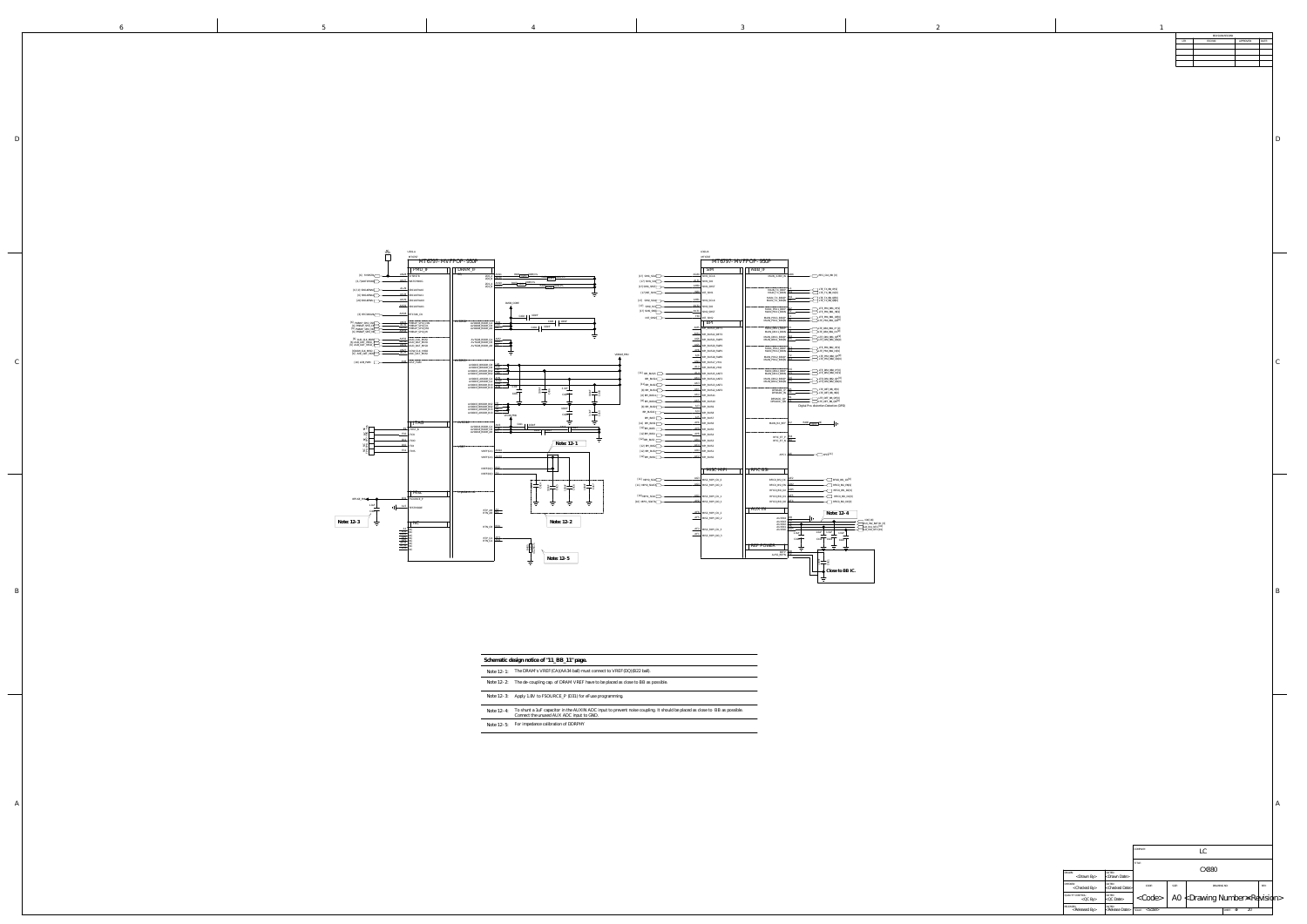DRAWN: <Drawn By> <Drawn Date> <Checked By> <QC By> RELEASED:<br>
<Released By><br>
<Release Date> <Checked Date>  $\vert < \infty$   $\vert <$  Code $> \vert$  A0  $<$  Drawing Number $\rm \approx$  Revision $>$ LC CX880 SHEET:  $4F$  20 CHECKED: DATED: DATED: CODE: SIZE: SIZE: DRAWING NO: REV: REV: QUALITY CONTROL: DATED: COMPANY: TITLE: DRAWING NO:

SCALE: < > SCALE> OF THE OF THE OF THE OF THE OF THE OF THE OF THE OF THE OF THE OF THE OF THE OF THE OF THE O

B

<u> 1989 - Andrea Stadt Britain, amerikansk politik (d. 1989)</u> i close to BB as possible.

6 D  $\vert$  $\overline{\phantom{a}}$ B  $\overline{\phantom{a}}$ A

D

A

 $\mathcal{C}_{0}^{(n)}$ 

| REVISION RECORD |         |           |       |  |  |  |
|-----------------|---------|-----------|-------|--|--|--|
| LTR             | ECO NO: | APPROVED: | DATE: |  |  |  |
|                 |         |           |       |  |  |  |
|                 |         |           |       |  |  |  |
|                 |         |           |       |  |  |  |
|                 |         |           |       |  |  |  |
|                 |         |           |       |  |  |  |
|                 |         |           |       |  |  |  |
|                 |         |           |       |  |  |  |
|                 |         |           |       |  |  |  |

| Note 12-1: | The DRAM's VREF(CA)(AA34 ball) must connect to VREF(DQ)(B22 ball).                                                                                             |
|------------|----------------------------------------------------------------------------------------------------------------------------------------------------------------|
| Note 12-2: | The de-coupling cap. of DRAM VREF have to be placed as close to BB as possible.                                                                                |
| Note 12-3: | Apply 1.8V to FSOURCE_P (D31) for eFuse programming.                                                                                                           |
| Note 12-4: | To shunt a 1uF capacitor in the AUXIN ADC input to prevent noise coupling. It should be placed as close to BB as p<br>Connect the unused AUX ADC input to GND. |
| Note 12-5: | For impedance calibration of DDRPHY                                                                                                                            |

**Schematic design notice of "11\_BB\_11" page.**

<u> El antigo de la contenentación de la contenentación de la contenentación de la contenentación de la contenentación de la contenentación de la contenentación de la contenentación de la contenentación de la contenentación </u>

| MT6797-MVFPOP-950P            |                                  |                                                                        |
|-------------------------------|----------------------------------|------------------------------------------------------------------------|
| <b>SIM</b>                    | ABB IF                           |                                                                        |
| M1_SCLK                       | MAIN_X26M_IN                     | AB <sub>6</sub><br>>RFIC_CLK_BB [9]                                    |
| M1_SIO                        |                                  |                                                                        |
| M1_SRST                       |                                  | LTE_TX_BB_IP[9]                                                        |
| T_SIM1                        | MAIN_TX_BBIP<br>MAIN_TX_BBIN     | M1<br>LTE_TX_BB_IN[9]                                                  |
| M <sub>2</sub> SCLK           | MAIN_TX_BBQP<br>MAIN_TX_BBQN     | M <sub>2</sub><br>LTE_TX_BB_QP[9]<br>N <sub>2</sub><br>LTE_TX_BB_QN[9] |
| M2 SIO                        |                                  | G2<br>LTE PRX BB1 IP[9]                                                |
| M2_SRST                       | MAIN PRX1 BBIP<br>MAIN_PRX1_BBIN | H <sub>2</sub><br>LTE_PRX_BB1_IN[9]                                    |
| T_SIM2<br><b>BPI</b>          | MAIN_PRX1_BBQP<br>MAIN_PRX1_BBQN | $11$<br>LTE_PRX_BB1_QP[9]<br>H1<br>LTE_PRX_BB1_QN[9]                   |
|                               |                                  | J5                                                                     |
| PLBUS23_DET1                  | MAIN DRX1 BBIP<br>MAIN_DRX1_BBIN | >LTE_DRX_BB1_IP [9]<br>J4<br>>LTE_DRX_BB1_IN [9]                       |
| PI BUS22 DETO<br>PLBUS21_SWP3 | MAIN DRX1 BBQP<br>MAIN_DRX1_BBQN | K4<br>LTE_DRX_BB1_QP[9]<br>K <sub>5</sub><br>LTE DRX BB1 QN[9]         |
| PLBUS20_SWP2                  |                                  |                                                                        |
| PLBUS19_SWP1                  | MAIN_PRX2_BBIP<br>MAIN_PRX2_BBIN | V1<br>LTE_PRX_BB2_IP[9]<br>U1<br>LTE PRX BB2 IN[9]                     |
| PLBUS18_SWP0                  | MAIN PRX2 BBQP                   | T2<br>LTE_PRX_BB2_QP[9]                                                |
| PI BUS17 VM1                  | MAIN PRX2 BBQN                   | U <sub>2</sub><br>LTE_PRX_BB2_QN[9]                                    |
| PLBUS16_VM0                   |                                  | V <sub>6</sub>                                                         |
| PLBUS15_ANT3                  | MAIN_DRX2_BBIP<br>MAIN_DRX2_BBIN | LTE DRX BB2 IP[9]<br>V <sub>5</sub><br>LTE_DRX_BB2_IN [9]              |
| PLBUS14_ANT2                  | MAIN DRX2 BBQP                   | U <sub>6</sub><br>LTE_DRX_BB2_QP [9]<br>U <sub>5</sub>                 |
| PLBUS13_ANT1                  | MAIN_DRX2_BBQN                   | LTE_DRX_BB2_QN[9]                                                      |
| PLBUS12_ANT0                  | DPDADC_IP                        | R5<br>$LTE\_DET_BB\_IP[9]$<br>R4<br>LTE_DET_BB_IN[9]                   |
| PI BUS11                      | DPDADC_IN<br>DPDADC QP           | R1<br>, LTE_DET_BB_QP[9]                                               |
| PLBUS10                       | DPDADC_QN                        | P1<br>>LTE_DET_BB_QN[9]                                                |
| PLBUS9                        |                                  | Digital Pre-distortion Detection (DPD)                                 |
| PI_BUS8                       |                                  |                                                                        |
| PLBUS7                        |                                  |                                                                        |
| PLBUS6                        | MAIN_RX_REF                      | R406<br>ıМC<br>K <sub>2</sub><br>$\vert$<br>0201                       |
| PI BUS5                       |                                  |                                                                        |
| PI_BUS4                       | RFIC_ET_P                        | M4                                                                     |
| PI BUS3                       | RFIC ET N                        | N4                                                                     |
| PLBUS2                        |                                  |                                                                        |
| PLBUS1                        | APC1                             | G6<br>APC1[11]                                                         |
| PI BUS0                       |                                  |                                                                        |
|                               |                                  |                                                                        |
| <b>MISC MIPI</b>              | RFIC BSI                         |                                                                        |
| ISC_MIPI_CK_0                 | RFICO_BSI_CK                     | AE2<br>RFICO_BSI_CK                                                    |
| ISC_MIPI_DO_0                 | RFICO_BSI_EN                     | AD <sub>2</sub><br>RFICO_BSI_EN                                        |
|                               | RFICO_BSI_D2                     | AD5<br>RFICO_BSI_D2                                                    |
| ISC_MIPI_CK_1                 | RFICO_BSI_D1                     | AE5<br>RFICO_BSI_D                                                     |
| <b>ICC MDI DO</b>             | price pet b                      | AF4<br>price pet pe                                                    |



|                 | <b>DITAI</b>         | unn <sup>-</sup> ii              |                                  |             |                                         |                                       |
|-----------------|----------------------|----------------------------------|----------------------------------|-------------|-----------------------------------------|---------------------------------------|
| AG30            | SIM1 SCLK            | MAIN_X26M_IN                     | AB <sub>6</sub>                  |             | RFIC_CLK_BB [9]                         |                                       |
| <u>AJ31</u>     | SIM1 SIO             |                                  |                                  |             |                                         |                                       |
| AH30            | SIM1_SRST            | MAIN_TX_BBIP                     |                                  |             | LTE_TX_BB_IP[9]                         |                                       |
| W30             | INT_SIM1             | MAIN_TX_BBIN                     | M1                               |             | LTE_TX_BB_IN[9]                         |                                       |
| AH31            | SIM2_SCLK            | MAIN_TX_BBQP<br>MAIN_TX_BBQN     | M <sub>2</sub><br>N <sub>2</sub> |             | LTE_TX_BB_QP[9]<br>LTE_TX_BB_QN[9]      |                                       |
| AK32            | SIM2_SIO             |                                  |                                  |             |                                         |                                       |
| AK31            | SIM2_SRST            | MAIN_PRX1_BBIP<br>MAIN_PRX1_BBIN | G <sub>2</sub><br>H2             |             | LTE_PRX_BB1_IP[9]<br>LTE_PRX_BB1_IN[9]  |                                       |
| Y30             | INT_SIM2             | MAIN_PRX1_BBQP                   |                                  |             | LTE_PRX_BB1_QP[9]                       |                                       |
|                 | <b>BPI</b>           | MAIN_PRX1_BBQN                   | H1                               |             | LTE_PRX_BB1_QN[9]                       |                                       |
| AM5             | BPI_BUS23_DET1       | MAIN_DRX1_BBIP                   | J5                               |             | >LTE_DRX_BB1_IP [9]                     |                                       |
| AM4             | BPI_BUS22_DET0       | MAIN_DRX1_BBIN                   | J4                               |             | >LTE_DRX_BB1_IN [9]                     |                                       |
| AG6             | BPI_BUS21_SWP3       | MAIN_DRX1_BBQP<br>MAIN_DRX1_BBQN | K4<br>K <sub>5</sub>             |             | )LTE_DRX_BB1_QP[9]<br>LTE_DRX_BB1_QN[9] |                                       |
| AG5             | BPI_BUS20_SWP2       |                                  |                                  |             |                                         |                                       |
| AH <sub>6</sub> | BPI BUS19 SWP1       | MAIN_PRX2_BBIP<br>MAIN_PRX2_BBIN | U1                               |             | LTE_PRX_BB2_IP[9]<br>LTE PRX BB2 IN[9]  |                                       |
| AJ6             | BPI_BUS18_SWP0       | MAIN_PRX2_BBQP                   | Т2<br>U2                         |             | LTE_PRX_BB2_QP[9]<br>LTE PRX BB2 QN[9]  |                                       |
| AN4             | BPI_BUS17_VM1        | MAIN_PRX2_BBQN                   |                                  |             |                                         |                                       |
| AL <sub>2</sub> | BPI_BUS16_VM0        |                                  | V6                               |             | LTE_DRX_BB2_IP[9]                       |                                       |
| AL4             | BPI_BUS15_ANT3       | MAIN_DRX2_BBIP<br>MAIN DRX2 BBIN | V <sub>5</sub>                   |             | LTE_DRX_BB2_IN [9]                      |                                       |
| AK4             | BPI_BUS14_ANT2       | MAIN DRX2 BBQP<br>MAIN_DRX2_BBQN | U6<br>U <sub>5</sub>             |             | LTE_DRX_BB2_QP [9]<br>LTE DRX BB2 QN[9] |                                       |
| AK3             | BPI_BUS13_ANT1       |                                  |                                  |             |                                         |                                       |
| AK1             | BPI_BUS12_ANT0       | DPDADC_IP<br>DPDADC_IN           | R5<br>R4                         |             | LTE_DET_BB_IP[9]<br>LTE_DET_BB_IN[9]    |                                       |
| AK <sub>2</sub> | BPI_BUS11            | DPDADC_QP                        | R1                               |             | LTE_DET_BB_QP[9] >                      |                                       |
| AK5             | BPI_BUS10            | DPDADC_QN                        | P1                               |             | LTE_DET_BB_QN[9]                        |                                       |
| AJ3             | BPI_BUS9             |                                  |                                  |             | Digital Pre-distortion Detection (DPD)  |                                       |
| AJ4             | BPI_BUS8             |                                  |                                  |             |                                         |                                       |
| AJ5<br>AH1      | BPI_BUS7             |                                  | K2                               | R406<br>NC. |                                         |                                       |
| AH3             | BPI_BUS6             | MAIN_RX_REF                      |                                  | 0201        | $\perp$                                 |                                       |
| AH5             | BPI_BUS5             |                                  |                                  |             |                                         |                                       |
| AB4             | BPI_BUS4             | RFIC_ET_P                        | M4<br>N4                         |             |                                         |                                       |
| AC4             | BPI BUS3<br>BPI_BUS2 | RFIC_ET_N                        |                                  |             |                                         |                                       |
| AD4             | BPI_BUS1             |                                  |                                  |             |                                         |                                       |
| AC <sub>2</sub> | BPI_BUS0             | APC1                             | G6                               |             | $\neg$ APC <sub>1</sub> [11]            |                                       |
|                 |                      |                                  |                                  |             |                                         |                                       |
|                 |                      |                                  |                                  |             |                                         |                                       |
|                 | <b>MISC MIPI</b>     | <b>RFIC BSI</b>                  |                                  |             |                                         |                                       |
| AG3             | MISC_MIPI_CK_0       | RFICO_BSI_CK                     | AE <sub>2</sub>                  |             | RFICO_BSI_CK[9]                         |                                       |
| AG4             | MISC_MIPI_DO_0       | RFICO_BSI_EN                     | AD <sub>2</sub>                  |             | RFICO_BSI_EN[9]                         |                                       |
|                 |                      | RFIC0_BSI_D2                     | AD <sub>5</sub>                  |             | RFICO_BSI_D2 <sup>[9]</sup>             |                                       |
| AG <sub>2</sub> | MISC_MIPI_CK_1       | RFIC0_BSI_D1                     | AE5                              |             | RFICO_BSI_D1[9]                         |                                       |
| AH <sub>2</sub> | MISC_MIPI_DO_1       | RFIC0_BSI_D0                     | AF4                              |             | RFICO_BSI_DO[9]                         |                                       |
|                 |                      | <b>AUX IN</b>                    |                                  |             |                                         |                                       |
| AF <sub>6</sub> | MISC_MIPI_CK_2       |                                  |                                  |             | Note: 12-4                              |                                       |
| AF <sub>5</sub> | MISC_MIPI_DO_2       | AUXIN4                           | W <sub>3</sub><br>W <sub>4</sub> |             |                                         | ID0[18]                               |
|                 |                      | AUXIN3<br>AUXIN3<br>AUXIN1       | Y4<br>Y5                         |             |                                         | AUX_IN2_BATID [6]<br>AUX_IN1_NTC [10] |
| AF <sub>2</sub> | MISC_MIPI_CK_3       | AUXIN0                           | AA5<br>1.0 <sub>u</sub> F        | 1.0uF       | 1.0uF<br>1.0uF                          | AUX_INO_NTC [19]                      |
| AF1             | MISC_MIPI_DO_3       |                                  | C418                             | C419        | C422<br>C420                            |                                       |
|                 |                      | <b>REF POWER</b>                 |                                  |             |                                         |                                       |
|                 |                      |                                  | W <sub>2</sub>                   |             |                                         |                                       |
|                 |                      | REFP<br>AVSS_REFN                | Y2                               |             |                                         |                                       |
|                 |                      |                                  |                                  | 5           | - 121<br>C421                           |                                       |
|                 |                      |                                  |                                  |             |                                         |                                       |
|                 |                      |                                  |                                  |             | Close to BB IC.<br>O.                   |                                       |
|                 |                      |                                  |                                  |             |                                         |                                       |
|                 |                      |                                  |                                  |             |                                         |                                       |
|                 |                      |                                  |                                  |             |                                         |                                       |

MT6797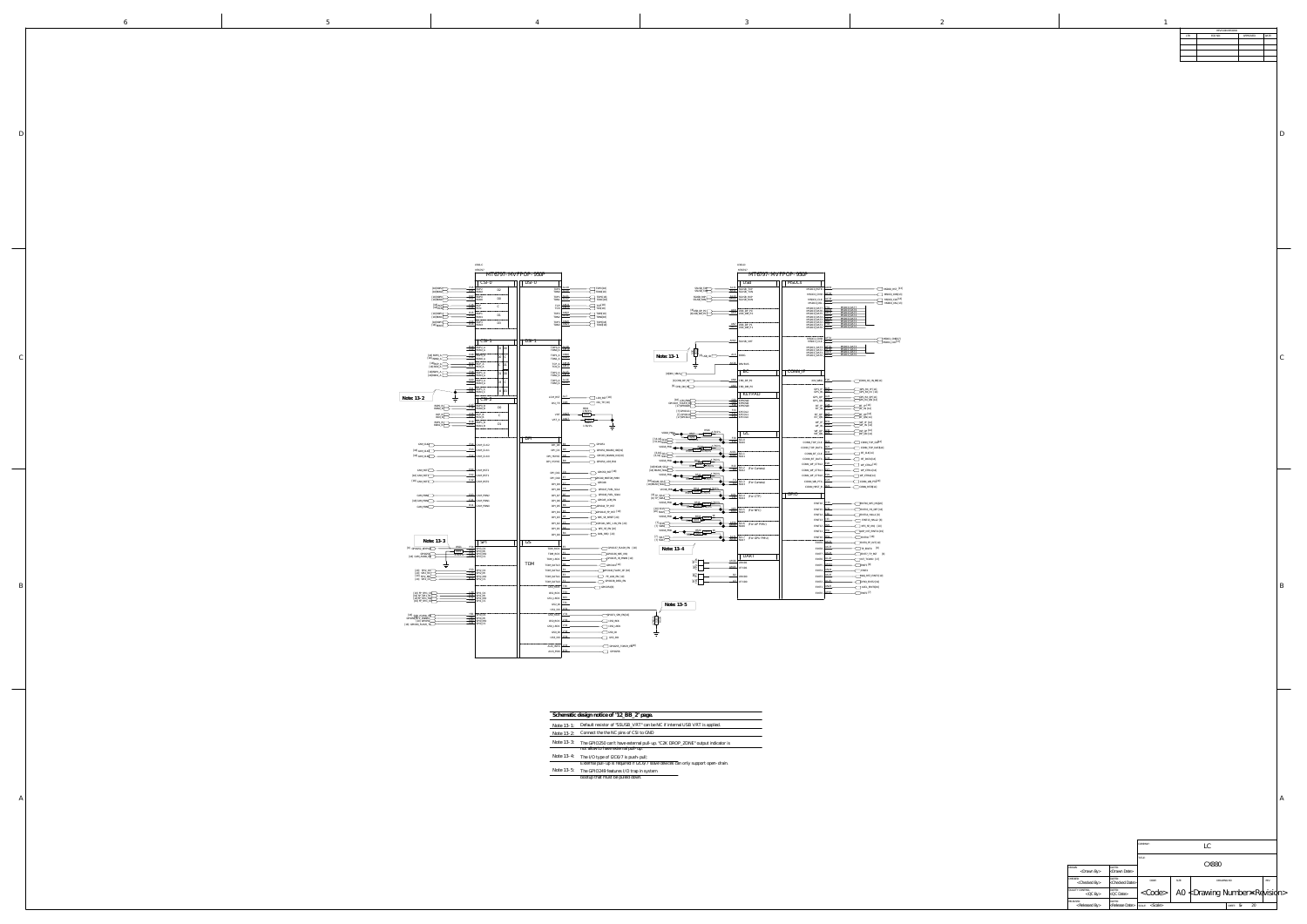|                                          |                                       | COMPANY:<br>LC          |       |                                              |              |    |      |  |
|------------------------------------------|---------------------------------------|-------------------------|-------|----------------------------------------------|--------------|----|------|--|
|                                          |                                       | TITLE:                  |       |                                              |              |    |      |  |
| DRAWN:<br>$<$ Drawn By $>$               | DATED:<br><drawn date=""></drawn>     | CX880                   |       |                                              |              |    |      |  |
| CHECKED:<br><checked by=""></checked>    | DATED:<br><checked date=""></checked> | CODE:                   | SIZE: | DRAWING NO:                                  |              |    | REV: |  |
| QUALITY CONTROL:<br>$QCD$ By             | DATED:<br>$<$ QC Date>                | $<$ Code $>$            |       | A0 $\nless$ Drawing Number $\Join$ Revisidn> |              |    |      |  |
| RELEASED:<br><released by=""></released> | DATED:<br><release date=""></release> | $s$ CALE: $<$ Scale $>$ |       |                                              | bг<br>SHEET: | 20 |      |  |

B

6 D  $\mathcal{C}_{0}^{(n)}$ B A

D

 $\mathcal{C}_{0}^{(n)}$ 

A

|     | REVISION RECORD |           |       |
|-----|-----------------|-----------|-------|
| LTR | ECO NO:         | APPROVED: | DATE: |
|     |                 |           |       |
|     |                 |           |       |
|     |                 |           |       |
|     |                 |           |       |
|     |                 |           |       |
|     |                 |           |       |
|     |                 |           |       |
|     |                 |           |       |

|            | Schematic design notice of "12_BB_2" page.                                        |  |  |  |  |  |  |
|------------|-----------------------------------------------------------------------------------|--|--|--|--|--|--|
| Note 13-1: | Default resistor of "SSUSB_VRT" can be NC if internal USB VRT is applied.         |  |  |  |  |  |  |
| Note 13-2: | Connect the the NC pins of CSI to GND                                             |  |  |  |  |  |  |
| Note 13-3: | The GPIO250 can't have external pull-up. "C2K DROP_ZONE" output indicator is      |  |  |  |  |  |  |
|            | not allow to have external pull-up.                                               |  |  |  |  |  |  |
| Note 13-4: | The I/O type of I2C6/7 is push-pull;                                              |  |  |  |  |  |  |
|            | External pull-up is required if I2C6/7 slave devices can only support open-drain. |  |  |  |  |  |  |
| Note 13-5: | The GPIO249 features I/O trap in system<br>bootup that must be pulled down.       |  |  |  |  |  |  |

U301-D



|                                                        | MT6797<br>MT6797-MVFPOP-950P                                           |                                            |                          |                                        |                                 |
|--------------------------------------------------------|------------------------------------------------------------------------|--------------------------------------------|--------------------------|----------------------------------------|---------------------------------|
|                                                        | USB                                                                    | <b>MSDCs</b>                               |                          |                                        |                                 |
| AL11<br>SSUSB_TXP<br><b>AK11</b><br>SSUSB_TXI          | SSUSB_TXP                                                              | MSDC0_RSTB                                 | AD <sub>30</sub>         |                                        | MSDCO_RST_[13]                  |
| AL13<br>SSUSB_RXP                                      | SSUSB_TXN<br>SSUSB_RXP                                                 | MSDC0_CMD                                  | AC30                     |                                        | MSDC0_CMD[13]                   |
| AM13<br>SSUSB_RXN                                      | SSUSB_RXN                                                              | MSDC0_CLK<br>MSDC0_DSL                     | AC33<br>AB30             |                                        | MSDCO_CLK [13]<br>MSDC0_DSL[13] |
| AK8                                                    |                                                                        | MSDC0_DAT7                                 | Y31<br>AA31              | MSDC0 DAT7<br>MSDC0 DAT6               |                                 |
| $[8]$ USB_DP_P0<br>AK9<br>$[8]$ USB_DM_PO              | USB DP P0<br>USB_DM_P0                                                 | MSDC0_DAT6<br>MSDC0_DAT5<br>MSDC0_DAT4     | AB31<br>AB32             | MSDC0 DAT5<br>MSDC0 DAT4               |                                 |
|                                                        |                                                                        | MSDC0_DAT3<br>MSDC0_DAT2                   | AB33<br>W33<br>Y33       | MSDC0 DAT3<br>MSDC0_DAT2<br>MSDC0 DAT1 |                                 |
| AN7<br>AP7                                             | USB_DP_P1<br>USB_DM_P1                                                 | MSDC0_DAT1<br>MSDC0_DAT0                   | AA33                     | MSDC0 DAT0                             |                                 |
|                                                        |                                                                        |                                            |                          |                                        |                                 |
| AN12                                                   | SSUSB_VRT                                                              | MSDC1_CMD<br>MSDC1_CLK                     | AF31<br>AF33             |                                        | MSDC1_CMD[17]<br>MSDC1 CLK[17]  |
|                                                        |                                                                        | MSDC1_DAT3                                 | AF32<br>AF30             | MSDC1 DAT3<br>MSDC1_DAT2               |                                 |
| $\frac{0201}{R505}$<br>$5.1K$<br>AL6<br>$[8]$ USB_ID   | <b>IDDIG</b>                                                           | MSDC1_DAT2<br>MSDC1_DAT1<br>MSDC1_DAT0     | AD31<br><b>AE31</b>      | MSDC1_DAT1<br>MSDC1 DAT0               |                                 |
| AK26                                                   |                                                                        |                                            |                          |                                        |                                 |
|                                                        | <b>DRVBUS</b>                                                          |                                            |                          |                                        |                                 |
|                                                        | $\overline{\text{BC}}$                                                 | CONN_IF                                    |                          |                                        |                                 |
| AN8.                                                   | CHD_DP_P0                                                              | XIN_WBG                                    | F <sub>26</sub>          | CONN_XO_IN_BB[14]                      |                                 |
| AN <sub>9</sub><br>Pd                                  | CHD_DM_P0                                                              |                                            | <b>B25</b>               |                                        |                                 |
|                                                        | <b>KEYPAD</b>                                                          | $GPS\_IP$<br>GPS_IN                        | A25                      | GPS_RX_IP [14]<br>GPS_RX_IN [14]       |                                 |
| G30<br>NN:                                             | KPROW2                                                                 | $GPS_QP$<br>GPS_QN                         | A24<br><b>B24</b>        | GPS_RX_QP [14]<br>GPS_RX_QN [14]       |                                 |
| G29<br>ΗEN<br>F <sub>29</sub><br>ŴΟ                    | KPROW1<br>KPROW0                                                       | $BT\_IP$                                   | 728<br>C27               | BT_IP [14]                             |                                 |
| F33<br>111<br>F31<br>110                               | KPCOL2<br>KPCOL1                                                       | $BT_$ IN<br>BT_QP                          | A27                      | BT_IN [14]<br> BT_QP [14]              |                                 |
| F32<br>O.IC                                            | <b>KPCOL0</b>                                                          | BT_QN                                      | <b>B27</b>               | <b>BT_QN</b> [14]                      |                                 |
|                                                        |                                                                        | WF_IP<br>WF_IN                             | <b>B31</b><br><b>B30</b> | WF_IP [14]<br>$WF$ <sup>IN [14]</sup>  |                                 |
| R506<br>4.7K/1%<br>0201<br>. <del>650</del>            | IC                                                                     | ${\rm WF\_QP}$<br>WF_QN                    | A30<br>A29               | WF_QP [14]<br>WF_QN [14]               |                                 |
| 0201<br>⊕<br>4.7K/1%<br>E30                            | $F30$ SCLO                                                             |                                            |                          |                                        |                                 |
| 4.7K/1%<br>0201                                        | SDA0                                                                   | $\texttt{CONN\_TOP\_CLK}$<br>CONN_TOP_DATA | D <sub>24</sub><br>D23   | $\Box$ CONN_TOP_CLK <sup>14]</sup>     | CONN_TOP_DATA14]                |
| 0201<br>R509<br>AN31<br>AN30                           | SCL1                                                                   | $\texttt{CONN\_BT\_CLK}$                   | <u>B33</u>               | BT_CLK [14]                            |                                 |
| R510<br>$-0201 + 4.7K/1\%$                             | SDA1                                                                   | CONN_BT_DATA                               | C33                      | BT_DATA[14]                            |                                 |
| $R511$ 0201                                            |                                                                        | CONN_WF_CTRL2                              | E28                      | WF_CTRL2 [14]                          |                                 |
| $rac{B10}{B9}$                                         | $\begin{array}{c}\text{SCL2}\\ \text{SDA2}\end{array}$<br>(For Camera) | CONN_WF_CTRL1                              | E27                      | WF_CTRL1[14]                           |                                 |
| .7K/1%<br>0201<br>0201<br>4.7K/1%<br>R513              |                                                                        | CONN_WF_CTRL0                              | E29                      | WF_CTRLO[14]                           |                                 |
| $\frac{F4}{G4}$                                        | SCL3<br>SDA3<br>(For Camera)                                           | CONN_WB_PTA<br>CONN_HRST_B                 | C23<br>D <sub>22</sub>   | CONN_WB_PTA[14]<br>CONN_RSTB[14]       |                                 |
| 4.7K/1%<br>0201<br>0201<br>$\frac{1}{6515}$<br>4.7K/1% |                                                                        |                                            |                          |                                        |                                 |
| M31<br>L31                                             | SCL4<br>SDA4<br>(For CTP)                                              | <b>GPIO</b>                                |                          |                                        |                                 |
| 4.7K/1%<br>0201<br>0201<br>4.7K/1%                     |                                                                        | $\text{EINT}{16}$                          | V33                      | EINT16_NFC_IRQ[20]                     |                                 |
| R517<br>N33<br>M33                                     | SCL5<br>SDA5<br>(For NFC)                                              | EINT15                                     | K30                      |                                        | EINT15_HS_DET [16]              |
| R518<br>$0201 + 1K$<br>0201                            |                                                                        | EINT14                                     | <u>J30</u><br><u>J33</u> | EINT14_HALL1 [8]                       |                                 |
| R519<br>AP30<br>AM30                                   | SCL6<br>SDA6<br>(For AP PMU)                                           | EINT13<br>EINT12                           | H29                      | NFC_SE_IRQ [20]                        | EINT13_HALL2 [8]                |
| 1K<br>R520<br>$\frac{0201}{1K}$                        |                                                                        | EINT11                                     | H30                      | ALSP_INT_EINT11[19]                    |                                 |
| 0201<br>R521<br>AL31<br><b>AK30</b>                    | SCL7<br>SDA7<br>(For GPU PMU)                                          | EINT10                                     | H34                      | EINT10 [18]                            |                                 |
|                                                        |                                                                        | EINT9                                      | AK22                     | EINT9_FP_INT [19]                      |                                 |
|                                                        |                                                                        | EINT8                                      | AK23                     | TP_EINT8 [8]                           |                                 |
|                                                        | UART                                                                   | EINT7                                      | AK24<br>AL.24            |                                        | EINT7_TP_RST [8]                |
| <b>DE</b><br>AM26                                      | URXD1                                                                  | $\rm EINT6$<br>EINT5                       | AM24                     | INT_TCARD [17]<br>EINT5 [8]            |                                 |
| $\frac{\text{NC}}{\text{TP2}}$<br>AM25                 | UTXD1                                                                  | EINT4                                      | AN24                     | EINT4                                  |                                 |
| $\mathbb{Z}_\mathbb{H}^\mathbb{C}$<br>D <sub>2</sub>   | URXD0                                                                  | EINT3                                      | AK25                     |                                        | MAG_RST_EINT3 [19]              |
| $_{\mathrm{TP4}}^{\mathrm{NC}}$<br>A3                  | UTXD0                                                                  | EINT2                                      | AL <sub>25</sub>         | GYRO_EINT2 [19]                        |                                 |
|                                                        |                                                                        | EINT1                                      | AN25                     | ACCL_EINT1[19]                         |                                 |
|                                                        |                                                                        | EINT0                                      | AP25                     | EINTO [7]                              |                                 |
|                                                        |                                                                        |                                            |                          |                                        |                                 |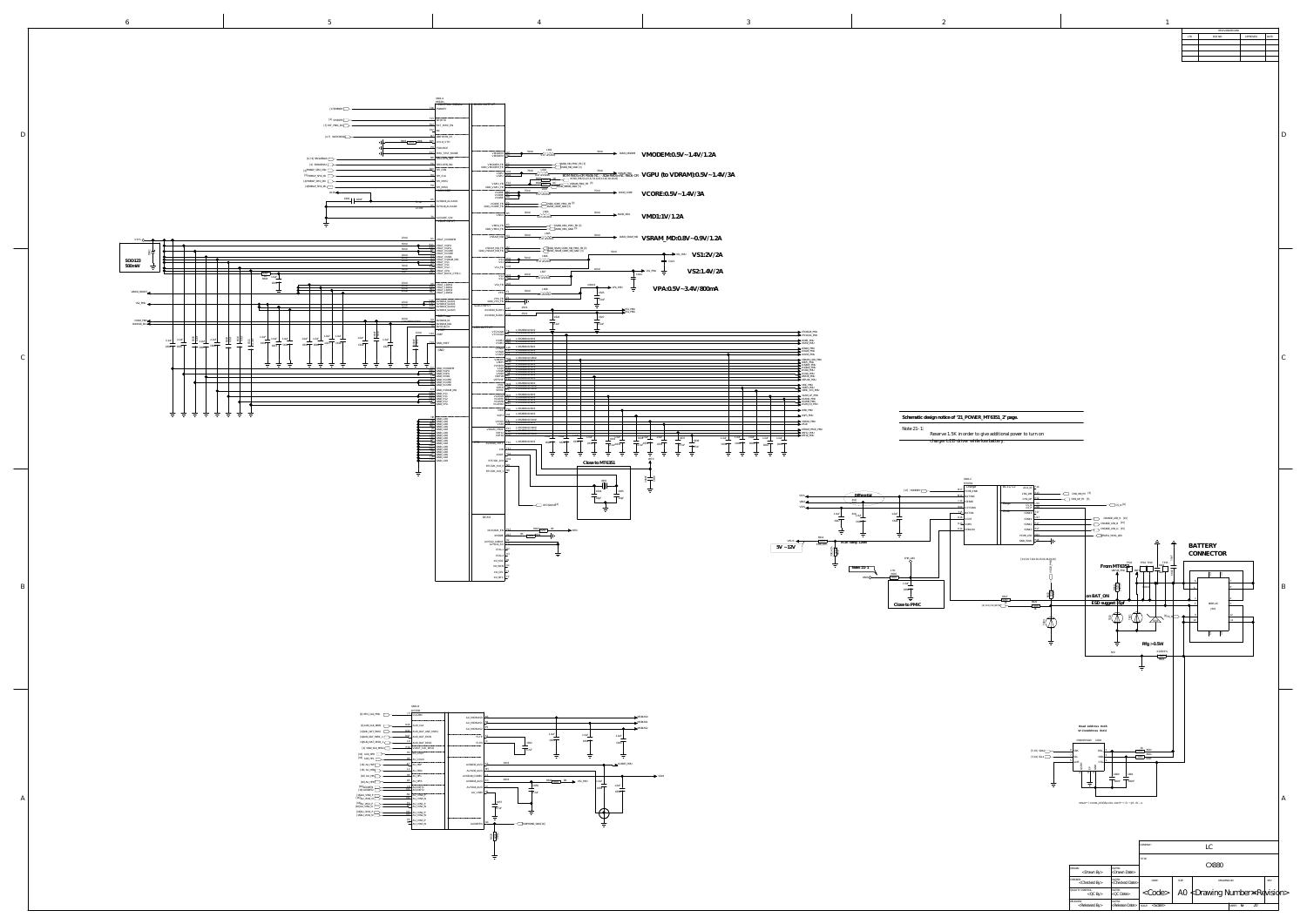<QC By> <QC Date> QUALITY CONTROL: DATED:

RELEASED:<br>
<Released By> <Release Date>

 $|\texttt{`}|`$  A0  $|\texttt{Drawing Number*Rel} \times \text{Rel}$ 

SCALE: < > SCALE: OF

SHEET:  $6F$  20

|                                                                                                                                                                                                                                                                                                                                                                                                                                                                                                                                                                                                                                                                                                                                                                                                                                                                                                                                                                                                                                                                                                                                                                                                                                                                                                                                                                                                                                                                                                                                                                                                                                                                                                                                                                                                                                                                                                                                                                                                                                                                                                                                                                                                                                                                                                                                                                                                                                                                                                                                                                                                                                                                                                                                                                                                                                                                                                   |                                                                                                                                                                                                                                                                                                                                                                                                                                                                                                                                                                                                                                                                                                                                                                                                                                                                                                                                                                                                                                                                                                                                                                                                                                                                                                                                                                                                                                                                                                                                                                                                                                                                                                                                                                                                                                                                                                                                                                                                                                                                                                                                                                                                                                                                                                                                                                                                                                                                                                                                                                                                                                                                                                                                                                                                                                                                                      |                                                                                                                                                                                                                                                                                                                                                                                                                                                                                                                                                   |                                                                                                                                                                                                                                                                                                                                                                                                                                                                                                                                                                                                                                                                                                                                                                                                                                         | LTR.                                                                                                                                                                                                                                                                                                                                                                                                                                                                                                                                                                                                                                                                                                                                                                                                                                                                                                                                                                                                                                                                                                                                                                                                                                                                                                                       | REVISION RECORD<br>ECO NO:<br>APPROVED:<br><b>DATE:</b> |
|---------------------------------------------------------------------------------------------------------------------------------------------------------------------------------------------------------------------------------------------------------------------------------------------------------------------------------------------------------------------------------------------------------------------------------------------------------------------------------------------------------------------------------------------------------------------------------------------------------------------------------------------------------------------------------------------------------------------------------------------------------------------------------------------------------------------------------------------------------------------------------------------------------------------------------------------------------------------------------------------------------------------------------------------------------------------------------------------------------------------------------------------------------------------------------------------------------------------------------------------------------------------------------------------------------------------------------------------------------------------------------------------------------------------------------------------------------------------------------------------------------------------------------------------------------------------------------------------------------------------------------------------------------------------------------------------------------------------------------------------------------------------------------------------------------------------------------------------------------------------------------------------------------------------------------------------------------------------------------------------------------------------------------------------------------------------------------------------------------------------------------------------------------------------------------------------------------------------------------------------------------------------------------------------------------------------------------------------------------------------------------------------------------------------------------------------------------------------------------------------------------------------------------------------------------------------------------------------------------------------------------------------------------------------------------------------------------------------------------------------------------------------------------------------------------------------------------------------------------------------------------------------------|--------------------------------------------------------------------------------------------------------------------------------------------------------------------------------------------------------------------------------------------------------------------------------------------------------------------------------------------------------------------------------------------------------------------------------------------------------------------------------------------------------------------------------------------------------------------------------------------------------------------------------------------------------------------------------------------------------------------------------------------------------------------------------------------------------------------------------------------------------------------------------------------------------------------------------------------------------------------------------------------------------------------------------------------------------------------------------------------------------------------------------------------------------------------------------------------------------------------------------------------------------------------------------------------------------------------------------------------------------------------------------------------------------------------------------------------------------------------------------------------------------------------------------------------------------------------------------------------------------------------------------------------------------------------------------------------------------------------------------------------------------------------------------------------------------------------------------------------------------------------------------------------------------------------------------------------------------------------------------------------------------------------------------------------------------------------------------------------------------------------------------------------------------------------------------------------------------------------------------------------------------------------------------------------------------------------------------------------------------------------------------------------------------------------------------------------------------------------------------------------------------------------------------------------------------------------------------------------------------------------------------------------------------------------------------------------------------------------------------------------------------------------------------------------------------------------------------------------------------------------------------------|---------------------------------------------------------------------------------------------------------------------------------------------------------------------------------------------------------------------------------------------------------------------------------------------------------------------------------------------------------------------------------------------------------------------------------------------------------------------------------------------------------------------------------------------------|-----------------------------------------------------------------------------------------------------------------------------------------------------------------------------------------------------------------------------------------------------------------------------------------------------------------------------------------------------------------------------------------------------------------------------------------------------------------------------------------------------------------------------------------------------------------------------------------------------------------------------------------------------------------------------------------------------------------------------------------------------------------------------------------------------------------------------------------|----------------------------------------------------------------------------------------------------------------------------------------------------------------------------------------------------------------------------------------------------------------------------------------------------------------------------------------------------------------------------------------------------------------------------------------------------------------------------------------------------------------------------------------------------------------------------------------------------------------------------------------------------------------------------------------------------------------------------------------------------------------------------------------------------------------------------------------------------------------------------------------------------------------------------------------------------------------------------------------------------------------------------------------------------------------------------------------------------------------------------------------------------------------------------------------------------------------------------------------------------------------------------------------------------------------------------|---------------------------------------------------------|
| U601-A<br>MT6351<br>  CONTROL SIGNAL    BUCK OUTPUT<br>$[17] \text{PWRKEY}$<br>PWRKEY<br>$[4]$ SYSRSTB<br>ئة RESETB<br>EXT_PMIC_EN<br>EXT PMIC EN<br>7] WATCHDOG<br><u>NZ</u> WDTRSTB_IN<br>603 0201 200K R15 UVLO_VTH<br>FSOURCE<br><sup>17</sup> PMU_TEST_MODE<br>SRCLKEN_IN0<br>SRCLKEN_IN1<br>VMODEM FB H<br>GND_VMODEM_FB<br>$\mathrel{\sqcup}$ SPI_CSN<br><sup>RY</sup> SPI_CLK<br>SPI_MOSI<br><sup>8</sup> SPI_MISO<br>AUX ADC<br>$VA18$ $\longrightarrow$<br>$\overline{C602}$ $100nF$<br>$\frac{15}{3}$ mil $\frac{15}{3}$ AVDD18_AUXADC<br>$\frac{R5}{15 \text{ mil}}$ AVSS18_AUXADC<br>AUXADC_VIN<br>VBAT INPUT                                                                                                                                                                                                                                                                                                                                                                                                                                                                                                                                                                                                                                                                                                                                                                                                                                                                                                                                                                                                                                                                                                                                                                                                                                                                                                                                                                                                                                                                                                                                                                                                                                                                                                                                                                                                                                                                                                                                                                                                                                                                                                                                                                                                                                                                        | $\begin{tabular}{lll} \multicolumn{2}{c}{\textbf{30mil}} & \multicolumn{2}{c}{\textbf{DVD\_MODEM}} & \multicolumn{2}{c}{\textbf{VMODEM:0.5V}\sim1.4V/1.2A} \end{tabular}$<br>$\begin{array}{c c}\n\hline\n\text{UMODEM} & A2 \longrightarrow 50 \text{mil} & \text{MeV} \\ \hline\n\text{VMODEM} & B2 \longrightarrow 0.47 \text{ uH/2016}\n\end{array}$<br>NOD_MD_RMC_FB [3]<br>$\begin{array}{cccccccccccccc} \text{75mil} & \text{75mil} & \text{75 mil} & \text{75 mil} & \text{75 mil} & \text{75 ml} & \text{75 ml} & \text{75 ml} & \text{75 ml} & \text{75 ml} & \text{75 ml} & \text{75 ml} & \text{75 ml} & \text{75 ml} & \text{75 ml} & \text{75 ml} & \text{75 ml} & \text{75 ml} & \text{75 ml} & \text{75 ml} & \text{75 ml} & \text{75 ml} & \text{75 ml} & \text{75 ml} & \text{75 ml} & \text{75 ml} & \text$<br>$\frac{1603}{15000}$ $\frac{1603}{1500}$ $\frac{1603}{0.47 \text{ uH/2016}}$ $\frac{75 \text{ mil}}{25000}$ $\frac{75 \text{ mil}}{25000}$ $\frac{75 \text{ mil}}{25000}$ $\frac{1603}{1500}$ $\frac{1603}{1500}$ $\frac{1603}{1500}$ $\frac{1603}{1500}$ $\frac{1603}{1500}$ $\frac{1603}{1500}$ $\frac{16$<br>VCORE $\frac{BZ}{B}$ 0.47 uH/2016<br>VCORE_FB F4<br>GND_VCORE_FB F5<br>DVDD_CORE_GND [3]<br>$\frac{1.85}{1.85}$ 30mil $\frac{1.604}{0.47 \text{ uH/2016}}$ 30mil $\bullet$ DVDD_MD1 $\text{VMD1:1V/1.2A}$<br>$\begin{tabular}{c c c c} \hline VMD1_FB & E3 & & \multicolumn{3}{c}{\text{D3}}\\ \hline GND\_VMD1_FB & D3 & & \multicolumn{3}{c}{\text{NDD\_MD1\_END}} & [3] \\ \hline \end{tabular}$                                                                                                                                                                                                                                                                                                                                                                                                                                                                                                                                                                                                                                                                                                                                                                                                                                                                                                                                                                                                                                                                                                                                                                                                                                                                                                                               |                                                                                                                                                                                                                                                                                                                                                                                                                                                                                                                                                   |                                                                                                                                                                                                                                                                                                                                                                                                                                                                                                                                                                                                                                                                                                                                                                                                                                         |                                                                                                                                                                                                                                                                                                                                                                                                                                                                                                                                                                                                                                                                                                                                                                                                                                                                                                                                                                                                                                                                                                                                                                                                                                                                                                                            |                                                         |
| 25mil A1 VBAT_VMODEM<br>$\begin{tabular}{c c} 50mil & $\pbox{\small \bf 0.41} $VBA1$VBAT_VGPU \\ 50mil & $\pbox{\small \bf 0.41} $VBAT_VGPU \\ 50mil & $\pbox{\small \bf 0.41} $VBAT_VGPU \\ 20mil & $\pbox{\small \bf 0.48} $VBAT_VCORE \\ 20mil & $\pbox{\small \bf 0.48} $VBAT_VCORE \\ 20mil & $\pbox{\small \bf 0.48} $VBAT_VMDI \\ 45 mil & $\pbox{\small \bf 0.8} $VBAT_VS1 \\ 30mil & $\pbox{\small \bf 0.49} $VBAT_VS1$<br>$\frac{L5 \text{m}}{25 \text{m}}$ VBAT_LDOS1<br>$\frac{25 \text{ mil}}{25 \text{ mil}}$ $\frac{P15}{W10}$ VBAT_LDOS2<br>$\frac{113}{25}$ VBAT_LDOS3<br>$\overline{\phantom{a}}$<br>$\overline{\phantom{a}}$ $\overline{\phantom{a}}$<br>25mil H17 VBAT_LDOS4<br>VPA FB $\frac{1}{2}$<br>$\begin{tabular}{c c c} 25mil & $\bullet$ & $\text{G16}$ & $\text{AVDD14\_SLDO1}$ \\ \hline 25mil & $\bullet$ & $\text{G17}$ & $\text{AVDD14\_SLDO1}$ \\ \hline 25mil & $\text{E16}$ & $\text{AVDD14\_SLDO2}$ \\ \end{tabular}$<br>$GND_VPAFB$ $FB$ $\rightarrow$ $\rightarrow$ $\rightarrow$<br>SLDO INPUT<br>$AVDD20\_SLDO1$ $LL17$ $25mil$ $25mil$<br>$D16$ $AVDD14$ $SLDO3$<br>DIG Power<br>10mil<br>10mii 119 DVDD18_10<br>L/W:2800mil/8mii T10 DVDD18_DIG<br>$\circ$ $\circ$<br>$\overline{19}$ DVSS18_IO<br>LDO OUTPUT<br>VREF<br>---<br>VTCXO28 T6 L/W:2800mil/6mil<br>VTCXO24 R6 L/W:2800mil/6mil<br>$\frac{12\text{mil}}{\text{VREF}}$<br>$\frac{1.0uF}{17 \cdot 0.618}$<br>$=$<br>1.0uF<br>VSIM1 G13 L/W:2800mil/6mil<br>VSIM2 H14 L/W:2800mil/6mil<br>$\frac{1.0 \text{uF}}{2}$<br>$T14$ GND_VREF<br>C619<br>C621<br><u>and the state of the state of the state of the state of the state of the state of the state of the state of the state of the state of the state of the state of the state of the state of the state of the state of the state</u><br>$=$<br>GND<br>$\frac{1}{\pi} \frac{1}{\pi}$ $\frac{1}{\pi}$ $\frac{1}{\pi}$<br>一二<br>C <sub>2</sub> GND_VMODEM<br>D11 GND_VGPU<br>D12 GND_VGPU<br>$C5$ GND VMD1<br>$\frac{D}{A}$ GND VCORE<br>E8 GND_VCORE<br>$\frac{C3}{D40}$ GND_VSRAM_MD<br>$\begin{tabular}{ll} \textbf{w} & \textbf{N15} & L/W:2800 \text{mil/8mil} \\ \textbf{VLDO28} & \textbf{N15} & L/W:2800 \text{mil/8mil} \\ \textbf{VCAMA} & \textbf{F15} & L/W:2800 \text{mil/8mil} \\ \textbf{VCAMD} & L13 & L/W:2800 \text{mil/8mil} \\ \end{tabular}$<br>$\overline{\mathbf{B}}$ $\overline{\mathbf{B}}$ $\overline{\mathbf{B}}$ $\overline{\mathbf{C}}$ $\overline{\mathbf{A}}$ $\overline{\mathbf{D}}$ $\overline{\mathbf{C}}$ $\overline{\mathbf{S}}$ $\overline{\mathbf{A}}$ $\overline{\mathbf{B}}$ $\overline{\mathbf{C}}$ $\overline{\mathbf{A}}$ $\overline{\mathbf{D}}$ $\overline{\mathbf{C}}$ $\overline{\mathbf{S}}$ $\overline{\mathbf{A}}$ $\overline{\mathbf{B}}$ $\overline{\mathbf{B}}$ $\overline{\$<br>D13 GND_VS2<br>$\overline{G3}$ GND_VPA<br>VXO22 T4 L/W:2800mil/10mil<br>VA18 J14 L/W:2800mil/8mil | $\begin{array}{c c c c c c c c c} \hline \text{C} & \text{C} & \text{C} & \text{C} & \text{C} & \text{C} & \text{C} & \text{C} & \text{C} & \text{C} & \text{C} & \text{C} & \text{C} & \text{C} & \text{C} & \text{C} & \text{C} & \text{C} & \text{C} & \text{C} & \text{C} & \text{C} & \text{C} & \text{C} & \text{C} & \text{C} & \text{C} & \text{C} & \text{C} & \text{C} & \text{C} & \text{C} & \text$<br>$\begin{tabular}{l c c c c c} \multicolumn{2}{c }{VSRAM\_MD\_FB} & D2 & \multicolumn{2}{c }{DND\_SRAM\_CORE\_MD\_PMIC\_FB} & 3} \\ \hline \multicolumn{2}{c }{GND\_VSRAM\_MD\_FB} & D1 & \multicolumn{2}{c }{DND\_SRAM\_CORE\_MD\_GND} & 3} \\ \hline \multicolumn{2}{c }{GND\_VSRAM\_CDRE\_MD\_GND} & 3} & 3 \\ \hline \multicolumn{2}{c }{VDD\_SRAM\_CORE\_MD\_GND} & 3} & 3 \\ \hline \multicolumn{2}{c }{VDD\_SRAM\_CORE\_MD$<br>50mil<br>$\rightarrow$ $\rightarrow$ vsi_pmu $\frac{V}{S1:2V/2A}$<br>1.606<br>S1 R10 9 50mil 1.606<br>S1 A10 9 0.47 uH/2016<br>$\equiv$ C623<br>40mil 40mil<br>VS2:1.4V/2A<br>$\leftarrow \qquad \qquad \bullet \qquad \qquad \bullet$ VS2_PMU<br>$VSS \n\n\left[\n\begin{array}{ccc}\n\text{A13} & \text{Q} & \text{1.607} \\ \text{B13} & \text{Q} & \text{0.47} \text{ uH/2016}\n\end{array}\n\right]\n\rightarrow$<br>>=30mil<br>$\longrightarrow$ =30mii $\bigoplus$ VPA_PMU $\frac{1}{\longrightarrow}$<br>VPA:0.5V~3.4V/800mA<br>VPA $\frac{F2}{T1}$ 30mil 1.608<br>C625<br>$T_{1.0uF}$<br>VS1_PMU<br>VS1_PMU<br>VS1_PMU<br>$\Omega$ and $\Omega$<br>$AVDD20$ _SLDO2 $K15$ $25$ mil $\overline{\phantom{0}}$<br>C627<br>C626<br>VORAM R16 L/W:1500mil/18mil<br>VMIP1 M16 L/W:2800mil/8mil<br>VUSB33 H16 L/W:2800mil/8mil<br>VUSB33 H16 L/W:2800mil/8mil<br>VA10 E15 L/W:2800mil/8mil<br>VIO28 L16 L/W:2800mil/8mil<br>VIO18 L13 L/W:2800mil/8mil<br>VEIF28 L18 L/W:2800mil/8<br><u>and the state of the state of the state of the state of the state of the state of the state of the state of the state of the state of the state of the state of the state of the state of the state of the state of the state</u><br>$\overline{\phantom{a}}$ . The contract of $\overline{\phantom{a}}$<br>P16 L/W:2800mil/8mil<br>L/W:2800mil/8mil                                                                                                                                                                                                                                                                                                                                                                                                                                                                                                                                                                                                                                                                               | VTCXO28_PMU<br>VTCXO24_PMU<br>VSIM1_PMU<br>VSIM2_PMU<br>$\blacktriangleright$ VCN18 PMU<br>$\rightarrow$ VCN28 PMU<br>VDRAM_LDO_PMU<br>$\longrightarrow$ VMIPI_PMU<br>$\sim$ VUSB33_PMU<br>$\blacktriangleright$ VIO18 PMU<br>$\blacktriangleright$ VBIF28_PMU<br>VEFUSE PMU<br>VMC PMU<br>$\rightarrow$ VMCH_PMU<br>$\rightarrow$ VEMC_3V3_PMU<br>VCAM_AF_PMU<br>VCAMA_PMU<br>———— <del>——————</del><br>$VCAMD$ PMU<br>$\overline{\phantom{a}}$ VCAM IO PMU<br>- VIBR PMU<br>VGP3_PMU<br>- VDCXO PMU                                             | Schematic design notice of "21_POWER_MT6351_2" page.                                                                                                                                                                                                                                                                                                                                                                                                                                                                                                                                                                                                                                                                                                                                                                                    |                                                                                                                                                                                                                                                                                                                                                                                                                                                                                                                                                                                                                                                                                                                                                                                                                                                                                                                                                                                                                                                                                                                                                                                                                                                                                                                            | $\vert C \vert$                                         |
| HA GND_LDO<br>HA GND_LDO<br>HA GND_LDO<br>HA GND_LDO<br>B GND_LDO<br>19 GND_LDO<br>THE CRIP LIDE<br>CRIP LIDE OF A SAMPLE CRIP LIDE<br>GAD LIDE OF A SAMPLE CRIP LIDE<br>CRIP LIDE OF A SAMPLE CRIP LIDE<br>FILE OF A SAMPLE CRIP LIDE<br>FILE OF A SAMPLE CRIP LIDE<br>CRIP LIDE OF A SAMPLE CRIP LIDE<br>CRIP LIDE CRIP LIDE<br>RTC<br>AVDD28_VRTC T12 L/W:2800mil/6mil<br>$XIN \ \blacksquare$<br>XOUT $\vdash$ $\qquad \qquad$ $\qquad$ $\qquad$ $\qquad$ $\qquad$ $\qquad$ $\qquad$ $\qquad$ $\qquad$ $\qquad$ $\qquad$ $\qquad$ $\qquad$ $\qquad$ $\qquad$ $\qquad$ $\qquad$ $\qquad$ $\qquad$ $\qquad$ $\qquad$ $\qquad$ $\qquad$ $\qquad$ $\qquad$ $\qquad$ $\qquad$ $\qquad$ $\qquad$ $\qquad$ $\qquad$ $\qquad$ $\qquad$ $\qquad$ $\q$<br>$RTC32K_2V8$ $\rightarrow$ $12$<br>RTC32K_1V8_0 <u>N9 __</u> ____<br>RTC32K_1V8_1 H <sup>N8</sup><br>言。<br>DCXO<br>XMODE HILL<br>AVSS22 XOBUF HY<br>AVSS22_XO $\overline{\phantom{1}}$<br>$\overline{\text{XTAL1}}$ $\overline{\phantom{0}}$<br>– XTAL2 ∣ <sup>⊥J</sup><br>XO_SOC <u>P</u><br>XO_WCN ├─<br>– XO_CEL ⊣<br>XO_NFC P                                                                                                                                                                                                                                                                                                                                                                                                                                                                                                                                                                                                                                                                                                                                                                                                                                                                                                                                                                                                                                                                                                                                                                                                                                                                                                                                                                                                                                                                                                                                                                                                                                                                                                                                                                                                             | _____<br>$\frac{1.0 \text{uF}}{1.0 \text{uF}}$ $\frac{1.0 \text{uF}}{1.0 \text{uF}}$ $\frac{1.0 \text{uF}}{1.0 \text{uF}}$<br>$\overline{C} = \frac{C632 \cdot 0 \text{uF}}{C}$<br>$C632$ OuF<br>C637<br>C638<br>C630<br>$\overline{C629}$<br>C628<br>$\frac{1}{4.7uF}$ C635<br>$C639$ $C640$ $C641$<br>C631<br>$\sqrt{2.2uF}$ C633<br>C636<br>$\sqrt{4.7uF}$ $\sqrt{4.7uF}$<br>$\overline{\phantom{a}}$<br>المستشمر المستحدث<br>$\begin{tabular}{c} \multicolumn{2}{c} {\textbf{1}} & \multicolumn{2}{c} {\textbf{1}} & \multicolumn{2}{c} {\textbf{1}} \\ \multicolumn{2}{c} {\textbf{1}} & \multicolumn{2}{c} {\textbf{1}} & \multicolumn{2}{c} {\textbf{1}} \\ \multicolumn{2}{c} {\textbf{1}} & \multicolumn{2}{c} {\textbf{1}} & \multicolumn{2}{c} {\textbf{1}} \\ \multicolumn{2}{c} {\textbf{1}} & \multicolumn{2}{c} {\textbf{1}} & \multicolumn{2}{c} {\textbf{1}} \\ \multicolumn{2}{c} {\textbf{1}} & \multicolumn$<br>그는 그는 그<br>$\overline{\phantom{a}}$<br>$\overline{\phantom{a}}$<br>$\begin{tabular}{c} \multicolumn{2}{c} {\textbf{1}} & \multicolumn{2}{c} {\textbf{1}} & \multicolumn{2}{c} {\textbf{1}} \\ \multicolumn{2}{c} {\textbf{1}} & \multicolumn{2}{c} {\textbf{1}} & \multicolumn{2}{c} {\textbf{1}} \\ \multicolumn{2}{c} {\textbf{1}} & \multicolumn{2}{c} {\textbf{1}} & \multicolumn{2}{c} {\textbf{1}} \\ \multicolumn{2}{c} {\textbf{1}} & \multicolumn{2}{c} {\textbf{1}} & \multicolumn{2}{c} {\textbf{1}} \\ \multicolumn{2}{c} {\textbf{1}} & \multicolumn$<br>$\begin{tabular}{c} \multicolumn{2}{c} {\textbf{1}} & \multicolumn{2}{c} {\textbf{1}} & \multicolumn{2}{c} {\textbf{1}} \\ \multicolumn{2}{c} {\textbf{1}} & \multicolumn{2}{c} {\textbf{1}} & \multicolumn{2}{c} {\textbf{1}} \\ \multicolumn{2}{c} {\textbf{1}} & \multicolumn{2}{c} {\textbf{1}} & \multicolumn{2}{c} {\textbf{1}} \\ \multicolumn{2}{c} {\textbf{1}} & \multicolumn{2}{c} {\textbf{1}} & \multicolumn{2}{c} {\textbf{1}} \\ \multicolumn{2}{c} {\textbf{1}} & \multicolumn$<br>المستطيعات<br>$\overline{\phantom{a}}$<br>$\overline{\phantom{a}}$<br>Close to MT6351<br>ی ــــــــــ ﷺ<br>8—g<br>X601<br>$1 \square 1$<br>- 1 1 1<br>LC644<br>$\overline{22pF}$<br>$\sqrt{22pF}$<br>$\overline{\phantom{a}}$ $\overline{\phantom{a}}$<br>RTC32K1V8[4]<br>$\begin{tabular}{c} \multicolumn{1}{c} {\textbf{1}} & \multicolumn{1}{c} {\textbf{1}} & \multicolumn{1}{c} {\textbf{1}} & \multicolumn{1}{c} {\textbf{1}} \\ \multicolumn{1}{c} {\textbf{1}} & \multicolumn{1}{c} {\textbf{1}} & \multicolumn{1}{c} {\textbf{1}} & \multicolumn{1}{c} {\textbf{1}} & \multicolumn{1}{c} {\textbf{1}} & \multicolumn{1}{c} {\textbf{1}} \\ \multicolumn{1}{c} {\textbf{1}} & \multicolumn{1}{c} {\textbf{1}} & \multicolumn{1}{c} {\textbf{1}} & \multicolumn$<br>$\overline{\phantom{a}}$<br>$DCXO32K_EN$ $PL3$ $R607$ $0201$ $0R$ $VRTC$<br>$OR$ 0201 $R609$ | $\rightarrow$ VA18<br><b>Example 2018</b> VSRAM_PROC_PMU<br>VRF12_PMU<br>VRF12_PMU<br>$1.0uF$ $1.0uF$ $1.0uF$ $1.0uF$ $1.0uF$ $1.0uF$ $1.0uF$ $1.0uF$ $1.0uF$<br>$\overline{C642}$ $C643$<br>그 눈이 눈이<br>一士<br>$\overbrace{\phantom{aaaaa}}^{\text{Differential}}$<br>VSYS <<br>4mil<br>VBAT<br>المستعملة ومسايدين<br>VSYS<br>1.0uF<br>$4\text{mi}$ <sub>LOUF</sub><br>(647)<br>C648<br>VBUS $\leftarrow$ $\frac{R614}{Q201}$ $\downarrow$ $\downarrow$ VCDT rating<br>VCDI rating: 1.268V<br>330K   A1%<br>$5V \sim 12V$<br>INOTE: 41-1<br>VBUS O | Note 21-1:<br>Reserve 1.5K in order to give additional power to turn on<br>charger LED driver while low battery.<br>U601-C<br>MT6351<br>Charger<br>$\sqrt{\text{BC1.1/1.2}}$<br>$_{\rm ACA\_ID}$ $\mathsf{\perp}^{\rm E14}$<br>[17] HOMEKEY $B17$ FCHR_ENB<br><del>" I</del> BATSNS<br>  ISENSE<br>Gauge<br>$\cos N$ $\frac{\mu}{\mu}$<br>$CSP$ $\overline{+}$<br>⊣ VSYSSNS<br><b>ISINK</b><br>ISINKO $\vdash$<br>$\overline{\phantom{a}}$ BATON<br>1.0uF<br>$\overline{\phantom{a}}$<br>$ISINK1$ $\frac{111}{11}$<br>C649<br>$K13$ VDRV<br>$K14$ CHRLDO<br>ISINK3 H<br>PCHR_LED <u>  NL3</u><br>$GND$ ISINK $R16$<br>CHR_LDO<br>$[3, 4, 5, 6, 7, 8, 9, 10, 13, 16, 18, 19, 20]$<br>$\rightarrow$ 0201<br>C650<br>R620<br>Close to PMIC<br>$\begin{array}{c c} \hline 0201 \end{array}$<br>$[4]$ AUX_IN2_BATII $\overline{\phantom{1}}$ | $CHG_DM$ $F13$ CHD_DM_P0 [5]<br>$CHG\_DP$ $E12$ $CHD\_DP\_PO$ [5]<br>$\begin{array}{c}\n\hline\n\text{CS}_N [6]\n\end{array}$<br>CHARGE_LED_R [15]<br>$\overline{\phantom{A}}$ CHARGE_LED_B [15]<br>$\leftarrow$ CHARGE_LED_G [15]<br>$\overline{\phantom{A}}$ MT6351_PCHG_LED<br>三 三<br><b>BATTERY</b><br>TP20 TP19 TP16<br>TP15<br>From MT63 $51$<br>$\overline{\phantom{0}}$<br>VBIF28_PMU<br>$\frac{1}{2}$ $\frac{1}{2}$ $\frac{1}{2}$ $\frac{1}{2}$ $\frac{1}{2}$ $\frac{1}{2}$ $\frac{1}{2}$ $\frac{1}{2}$ $\frac{1}{2}$ $\frac{1}{2}$ $\frac{1}{2}$ $\frac{1}{2}$ $\frac{1}{2}$ $\frac{1}{2}$ $\frac{1}{2}$ $\frac{1}{2}$ $\frac{1}{2}$ $\frac{1}{2}$ $\frac{1}{2}$ $\frac{1}{2}$ $\frac{1}{2}$ $\frac{1}{2}$<br>on BAT_ON<br>$\overline{\phantom{a}}$ $\overline{\phantom{a}}$ $\overline{\phantom{a}}$ $\overline{\phantom{a}}$ $\overline{\phantom{a}}$ $\overline{\phantom{a}}$ $\overline{\phantom{a}}$ $\overline{\phantom{a}}$ $\overline{\phantom{a}}$ $\overline{\phantom{a}}$ $\overline{\phantom{a}}$ $\overline{\phantom{a}}$ $\overline{\phantom{a}}$ $\overline{\phantom{a}}$ $\overline{\phantom{a}}$ $\overline{\phantom{a}}$ $\overline{\phantom{a}}$ $\overline{\phantom{a}}$ $\overline{\$<br>$ESD$ suggest $\xi$ 5pf<br>$\downarrow \downarrow \downarrow$<br>Rfg > 0.5W<br>$0.01R/1\%$<br>R601 | CONNECTOR<br>BM25-4S<br>J601<br>_______                 |
| U601-B<br>$[9] RFIC_CCLK_PMU \t\t 15 CLK26M$<br>AU_MICBIAS0<br>AU_MICBIAS1 <u>R</u><br>$[4]$ AUD_CLK_MOSI $\Box$ AUD_CLK<br>AU_MICBIAS2 Pb<br>$[4]$ ANC_DAT_MOSI $\boxed{\phantom{2557711}}$ AUD_DAT_ANC_MOSI<br>$[4]\text{AUD\_DAT\_MOSI\_1} \begin{tabular}{ c c c c } \hline & & & & \text{N11} & \text{AUD\_DAT\_MOSI} \end{tabular}$<br>$FLYP$ $\perp$<br>$[4]\text{AUD\_DAT\_MISO\_1} \begin{picture}(100,100) \put(0,0){\line(1,0){10}} \put(10,0){\line(1,0){10}} \put(10,0){\line(1,0){10}} \put(10,0){\line(1,0){10}} \put(10,0){\line(1,0){10}} \put(10,0){\line(1,0){10}} \put(10,0){\line(1,0){10}} \put(10,0){\line(1,0){10}} \put(10,0){\line(1,0){10}} \put(10,0){\line(1,0){10}} \put(10,0){\line(1,$<br>FLYN H<br>$[4]$ VOW_CLK_MISO $\sqrt{\frac{P10}{P10}}$ VOICE_CLK_MISO<br>$[16]$ AU0_HPL $\overline{\phantom{1}}$ AU_LOLN<br>$[16]$ AU_HSP $K2$ AU_HSP<br>$AVDD30_AUD$ $K5$<br>$[16]$ AU_HSN $\longrightarrow$ $L^2$ AU_HSN<br>AVSS30_AUD<br>$H5$ AU_HPL<br>AU_HPL<br>AU_HPL<br>AVDD18_CODEC <u>  L4</u><br>20mil<br>$[16]$ AU_HPR $\overline{\phantom{151}}$ AU_HPR<br>$AVDD18_AUD$ $K3$<br>$\begin{tabular}{ c c c c } \hline & $16$ & $\ldots$ & $\ldots$ & $\ldots$ & $\ldots$ \\ \hline & $16$ & ACCDET1 & $\ldots$ & $\ldots$ & $\ldots$ & $\ldots$ \\ \hline & $16$ & ACCDET2 & $\ldots$ & $\ldots$ & $\ldots$ & $\ldots$ \\ \hline \end{tabular}$<br>$AVSS18_AUD$ $12$<br>AU_V18N $\frac{\mu_{2}}{\mu_{1}}$<br>$[16]\text{AU_VINO_P}\xrightarrow{\text{N1}}\xrightarrow{\text{AU_VINO_P}}\xrightarrow{\text{N1}}\xrightarrow{\text{AU_VINO_P}}$<br>$\perp$ C657<br>$\begin{tabular}{ c c c c c } \hline & $16\,\mathrm{AU\_VIN1\_P}$ & & & $P2$ \\ \hline \hline $16\,\mathrm{AU\_VIN1\_N}$ & & & & $N2$ \\ \hline \end{tabular} \begin{tabular}{ c c c c c c c c c } \hline & $P2$ & $\mathrm{AU\_VIN1\_P}$ \\ \hline $N2$ & $\mathrm{AU\_VIN1\_N}$ \\ \hline \end{tabular}$<br>$\frac{1}{4.7}$ uF<br>$\begin{picture}(10,10) \put(0,0){\line(1,0){10}} \put(10,0){\line(1,0){10}} \put(10,0){\line(1,0){10}} \put(10,0){\line(1,0){10}} \put(10,0){\line(1,0){10}} \put(10,0){\line(1,0){10}} \put(10,0){\line(1,0){10}} \put(10,0){\line(1,0){10}} \put(10,0){\line(1,0){10}} \put(10,0){\line(1,0){10}} \put(10,0){\line(1,0){10}} \put(10,0){\line(1$<br>P4 AU_VIN3_P<br>R3 AU_VIN3_N<br>$\text{AUDREFN}$ $\left \frac{G4}{4} \right $ $\left \frac{Q}{G4} \right $ $\left \frac{Q}{G4} \right $ $\left \frac{Q}{G4} \right $ $\left \frac{Q}{G4} \right $ $\left \frac{Q}{G4} \right $ $\left \frac{Q}{G4} \right $ $\left \frac{Q}{G4} \right $ $\left \frac{Q}{G4} \right $ $\left \frac{Q}{G4} \right $ $\left \frac{Q}{G4} \right $ $\left \frac{Q}{G4} \right $ $\left \frac{Q}{G4} \right $ $\$                                                                                                                                                       | $\odot$ MICBIASO<br>MICBIAS1<br>$\bigoplus$ MICBIAS2<br>C654<br>C655<br>$\bigoplus$ VUSB33_PMU<br>$\longrightarrow$ VA18<br>$\overline{\mathbf{P}}$ R619 0201 OR VS1_PMU<br>1.0uF<br>$\overline{a}$<br>C659<br>$\sqrt{2}$                                                                                                                                                                                                                                                                                                                                                                                                                                                                                                                                                                                                                                                                                                                                                                                                                                                                                                                                                                                                                                                                                                                                                                                                                                                                                                                                                                                                                                                                                                                                                                                                                                                                                                                                                                                                                                                                                                                                                                                                                                                                                                                                                                                                                                                                                                                                                                                                                                                                                                                                                                                                                                                            |                                                                                                                                                                                                                                                                                                                                                                                                                                                                                                                                                   | $[5,19]$ SCL1 $\Box$                                                                                                                                                                                                                                                                                                                                                                                                                                                                                                                                                                                                                                                                                                                                                                                                                    | Read Address 0xC5<br>WriteAddress 0xC4<br>CW2015CSAD U602<br>$\frac{16}{0201}$ R622<br>$VDD$ $\overline{3}$ $\overline{Q}$ $\overline{0201}$ $\overline{R621}$<br>$C660$ $C661$<br>$\boxed{\hspace{.2cm}100nF}$ $\boxed{\hspace{.2cm}100nF}$<br>$-$<br>R2120 º Í C2138 ¿ÉÒÔÅä±È£¬ĐèÒª º Í Ô- ª§È⋅ÈÏ ¡£<br>COMPANY:<br>$\begin{matrix} NN: \\ <\text{Drawn By>}\end{matrix}$ $\begin{matrix} \text{DATE:} \\ \text{Drawn Date>}\end{matrix}$<br>DRAWN:<br>DATED:<br><checked date=""><br/>CHECKED:<br/>SIZE:<br/>CODE:<br/><checked by=""></checked></checked>                                                                                                                                                                                                                                                                                                                                                                                                                                                                                                                                                                                                                                                                                                                                                              | _____<br>A<br>LC<br><b>CX880</b><br>DRAWING NO:         |

B

 $\mathcal{C}$ 

 $\overline{\phantom{a}}$ 

 $\overline{\phantom{a}}$ 

A

 $\mathbb{D}$ 

 $\overline{\phantom{a}}$ 

6



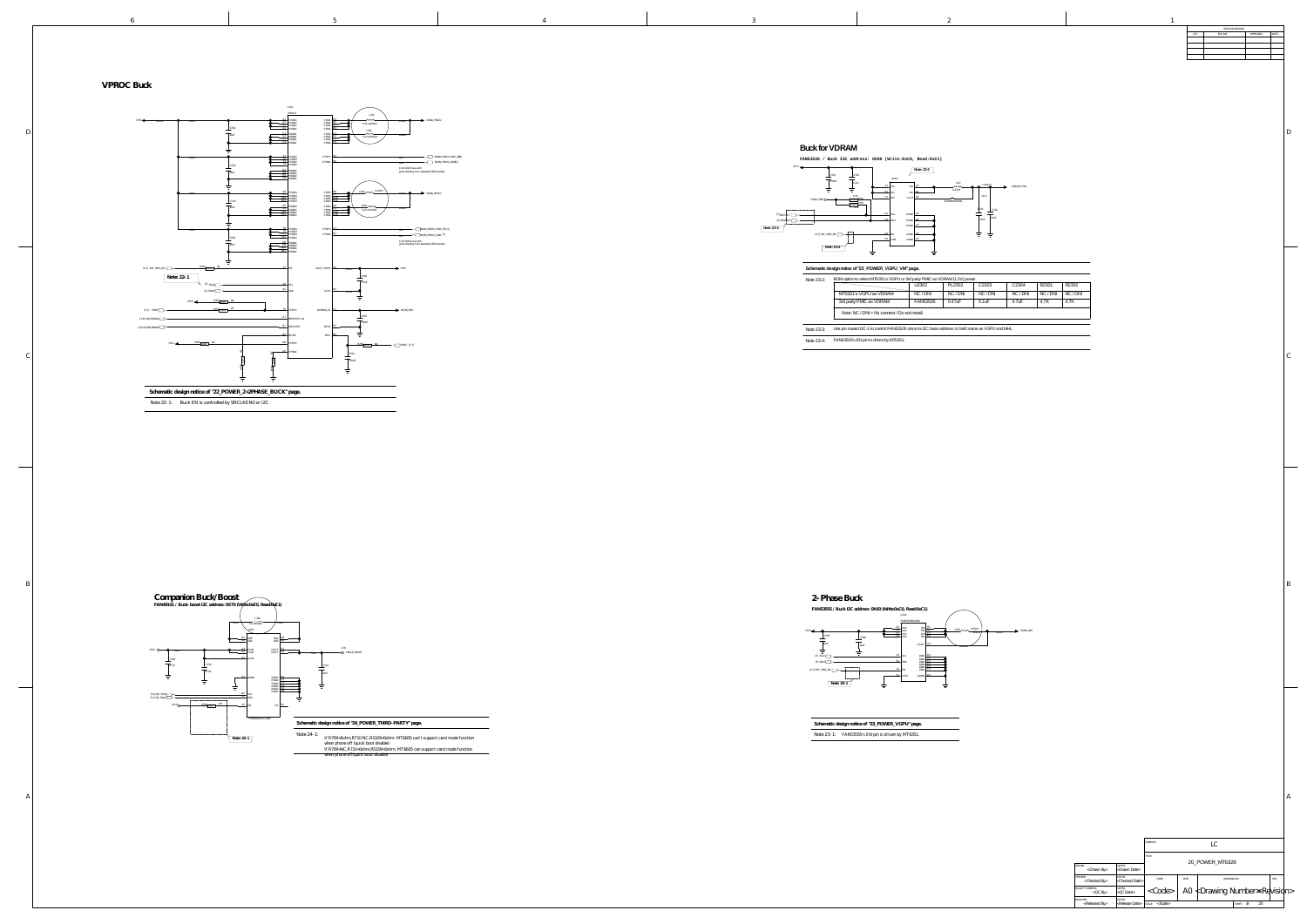LC DRAWN: <Drawn By> <Drawn Date> <Checked By> <QC By> <QC Date> QUALITY CONTROL: DATED: RELEASED:<br>
<Released By><br>
<Release Date> <Checked Date>  $|\ll$ Code $>|\hspace{0.1cm}$  A0  $|\ll$ Drawing Number $\ll$ Re $|$ visi $|$ n $>$ SHEET:  $\vec{\delta}$ F 20 CODE: SIZE: REV: DRAWING NO: CKED: TITLE: SCALE: < > SCALe> called > setting the setting of structure of sheet in the setting of  $\sim$  sheet in the setting of  $\sim$ 20\_POWER\_MT6328

COMPANY:

B

D

 $\mathcal{C}_{0}^{(n)}$ 

 $\sim$   $\sim$   $\sim$   $\sim$   $\sim$   $\sim$ 

B

A

D

A

| REVISION RECORD |         |           |       |  |  |  |  |
|-----------------|---------|-----------|-------|--|--|--|--|
| LTR             | ECO NO: | APPROVED: | DATE: |  |  |  |  |
|                 |         |           |       |  |  |  |  |
|                 |         |           |       |  |  |  |  |
|                 |         |           |       |  |  |  |  |
|                 |         |           |       |  |  |  |  |
|                 |         |           |       |  |  |  |  |

 $\mathcal{C}_{0}^{(n)}$ 

Note 22-1: Buck EN is controlled by SRCLKEN0 or I2C

### **VPROC Buck**





**Schematic design notice of "23\_POWER\_VGPU" page.**  $\frac{1}{2}$  and  $\frac{1}{2}$  and  $\frac{1}{2}$ FAN53555's EN pin is driven by MT6351. Note 23-1:

<u> The Communication of the Communication of the Communication of the Communication of the Communication of the Communication of the Communication of the Communication of the Communication of the Communication of the Commun</u>



If R709=0ohm,R710 NC,R5109=0ohm: MT6605 can't support card mode function when phone off (quick boot disable) If R709=NC,R710=0ohm,R5109=0ohm: MT6605 can support card mode function when phone off(quick boot disable)



### **Schematic design notice of "23\_POWER\_VGPU\_VM" page.**



| Note 23-2: | BOM option to select MT6351's VGPU or 3rd party PMIC as VDRAM (1.2V) power                       | U2302           | PL2302    | C <sub>2303</sub> | C <sub>2304</sub> | R2301    | R2302 |  |  |
|------------|--------------------------------------------------------------------------------------------------|-----------------|-----------|-------------------|-------------------|----------|-------|--|--|
|            | MT6351's VGPU as VDRAM                                                                           | NC / DNI        | NC/DN     | NC / DNI          | NC / DNI          | NC / DNI | NC/DN |  |  |
|            | 3rd party PMIC as VDRAM                                                                          | <b>FAN53526</b> | $0.47$ uF | $0.1$ u $F$       | 4.7uF             | 4.7K     | 4.7K  |  |  |
|            | Note: $NC / DN = No$ connect / Do not install.                                                   |                 |           |                   |                   |          |       |  |  |
| Note 23-3: | Use pin muxed I2C-1 to control FAN53526 since its I2C base address is 0x60 same as VGPU and MHL. |                 |           |                   |                   |          |       |  |  |
| Note 23-4: | FAN53526's EN pin is driven by MT6351.                                                           |                 |           |                   |                   |          |       |  |  |



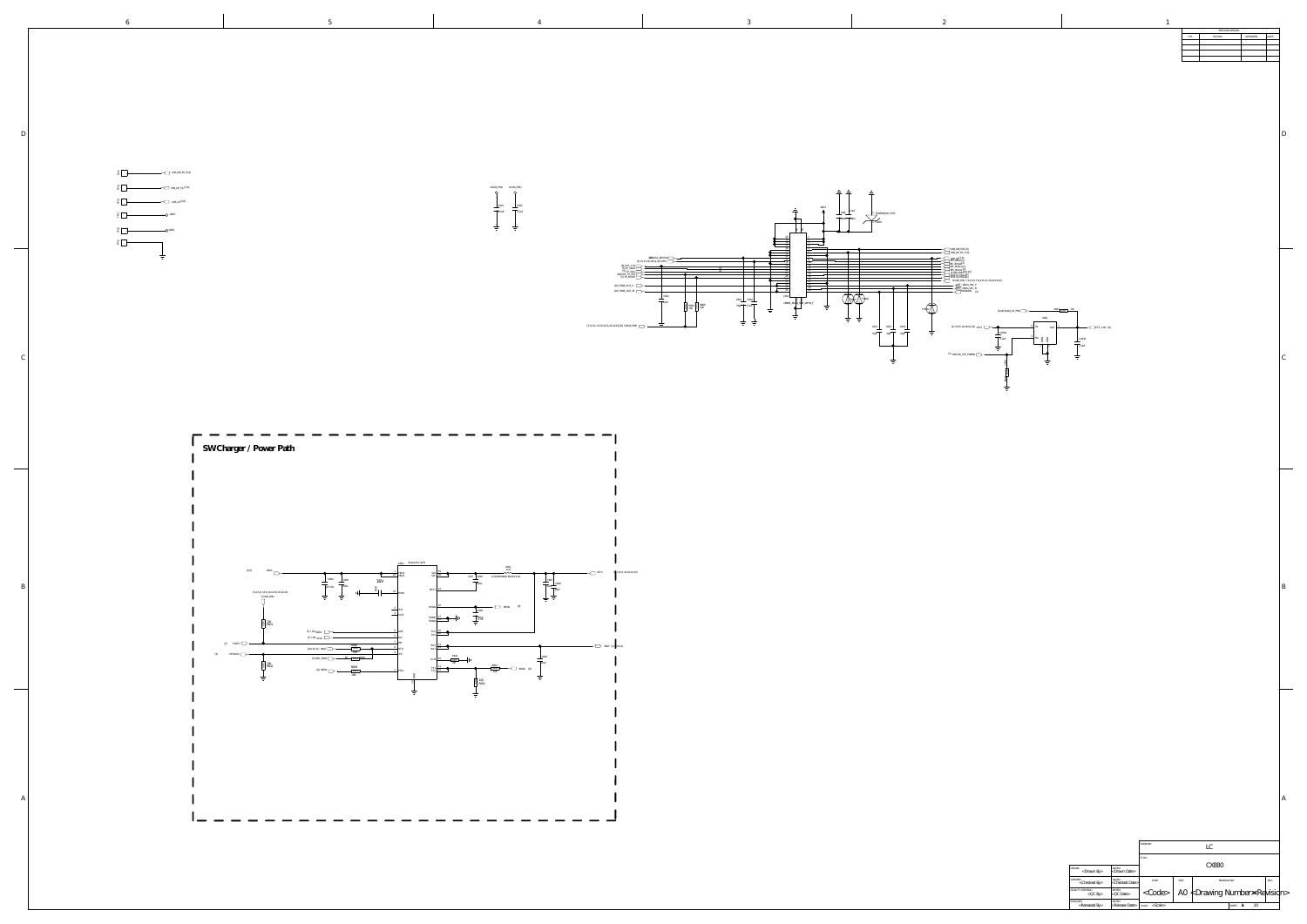|                                          |                                       | COMPANY:<br>LC          |       |                                              |                    |      |  |
|------------------------------------------|---------------------------------------|-------------------------|-------|----------------------------------------------|--------------------|------|--|
|                                          |                                       | TITLE:                  |       | <b>CX880</b>                                 |                    |      |  |
| DRAWN:<br>$<$ Drawn By $>$               | DATED:<br>$\kappa$ Drawn Date>        |                         |       |                                              |                    |      |  |
| CHECKED:<br><checked by=""></checked>    | DATED:<br><checked date=""></checked> | CODE:                   | SIZE: | DRAWING NO:                                  |                    | REV: |  |
| QUALITY CONTROL:<br>$<$ QC By $>$        | DATED:<br>$<$ QC Date $>$             | $<$ Code $>$            |       | A0 $\nless$ Drawing Number $\Join$ Revisidn> |                    |      |  |
| RELEASED:<br><released by=""></released> | DATED:<br><release date=""></release> | $<$ Scale $>$<br>SCALE: |       |                                              | 20<br>8F<br>SHEET: |      |  |

B

 $\mathcal{C}_{0}^{(n)}$ 

D

 $\mathcal{C}_{0}^{(n)}$ 

<u> a shekara t</u>

B

A

6

D

| $\mathbf{1}$ |                           |                 |           |       |
|--------------|---------------------------|-----------------|-----------|-------|
|              |                           | REVISION RECORD |           |       |
|              | $\ensuremath{\text{LTR}}$ | ECO NO:         | APPROVED: | DATE: |
|              |                           |                 |           |       |
|              |                           |                 |           |       |
|              |                           |                 |           |       |
|              |                           |                 |           |       |
|              |                           |                 |           |       |
|              |                           |                 |           |       |
|              |                           |                 |           |       |
|              |                           |                 |           |       |
|              |                           |                 |           |       |
|              |                           |                 |           |       |
|              |                           |                 |           |       |
|              |                           |                 |           |       |
|              |                           |                 |           |       |
|              |                           |                 |           |       |
|              |                           |                 |           |       |
|              |                           |                 |           |       |
|              |                           |                 |           |       |
|              |                           |                 |           |       |
|              |                           |                 |           |       |
|              |                           |                 |           |       |
|              |                           |                 |           |       |







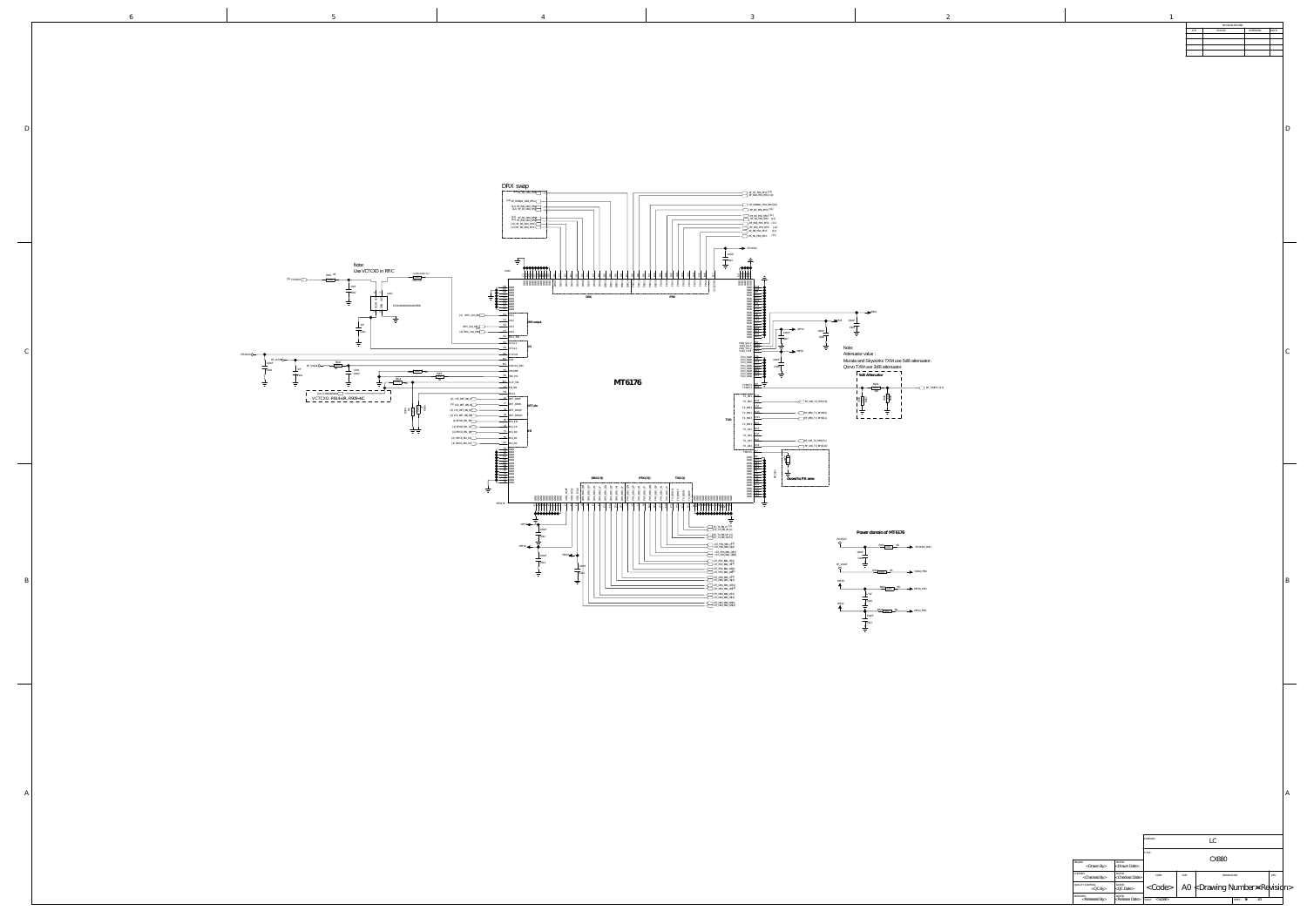| REVISION RECORD |         |           |       |  |  |  |
|-----------------|---------|-----------|-------|--|--|--|
| LTR             | ECO NO: | APPROVED: | DATE: |  |  |  |
|                 |         |           |       |  |  |  |
|                 |         |           |       |  |  |  |
|                 |         |           |       |  |  |  |
|                 |         |           |       |  |  |  |
|                 |         |           |       |  |  |  |
|                 |         |           |       |  |  |  |
|                 |         |           |       |  |  |  |
|                 |         |           |       |  |  |  |
|                 |         |           |       |  |  |  |

 $\mathcal{C}_{0}^{(n)}$ 

 $\overline{\phantom{a}}$ 

B



| ۰. |  |
|----|--|
|    |  |
|    |  |

A

DRAWN: <Drawn By> <Drawn Date> <Checked By> <QC By> RELEASED:<br>
<Released By><br>
<Release Date> <Checked Date> <QC Date> LC CX880  $]\texttt{`}\parallel`$  A0  $\texttt{ Number $\texttt{ Re $\texttt{ivisidn}>$$$ SHEET:  $\theta$ F 20 CODE: SIZE: REV: DRAWING NO: CHECKED: DATED: QUALITY CONTROL: DATED: COMPANY: TITLE: SCALE:  $<$  SCAle $>$   $\blacksquare$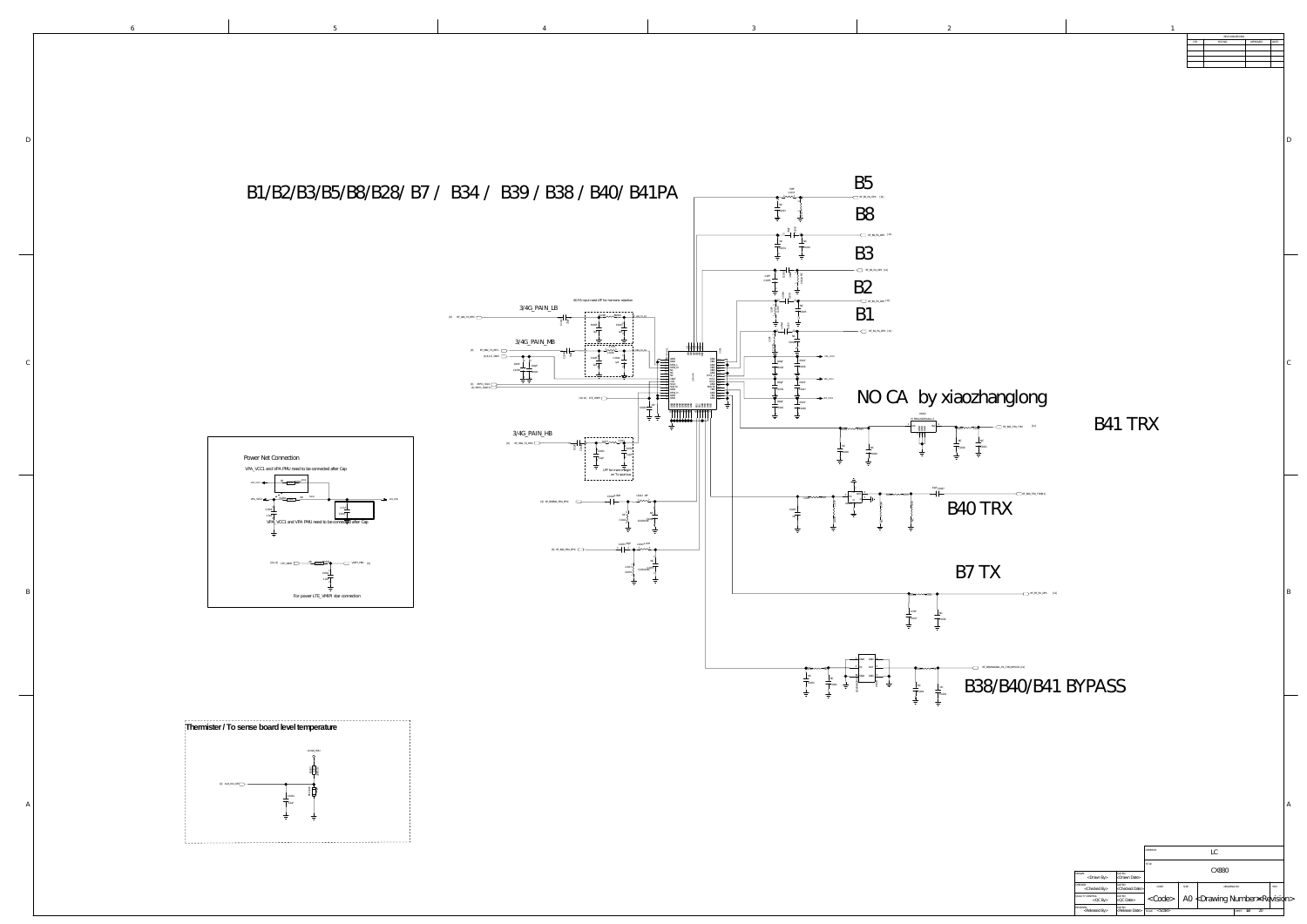<Drawn By> <Checked By> <QC By> <QC Date> RELEASED:<br>
<Released By><br>
<Release Date> <Drawn Date> hecked Date: LC CX880 <Code> A0 <Drawing Number><Revision> SHEET:  $\delta\theta$  20 CODE: SIZE: REV: DRAWING NO: DRAWN: DATED: CKED:  $'$  CONTROL COMPANY: TITLE: SCALE: SHEET: OF

B

5 4 3 2 1

D

 $\mathcal{C}_{0}^{(n)}$ 

B

A

D

 $\mathcal{C}_{0}^{(n)}$ 

 $\overline{\phantom{a}}$ 

A

|     | REVISION RECORD |           |       |  |  |  |
|-----|-----------------|-----------|-------|--|--|--|
| LTR | ECO NO:         | APPROVED: | DATE: |  |  |  |
|     |                 |           |       |  |  |  |
|     |                 |           |       |  |  |  |
|     |                 |           |       |  |  |  |
|     |                 |           |       |  |  |  |
|     |                 |           |       |  |  |  |

### **Thermister / To sense board level temperature**

# B41 TRX



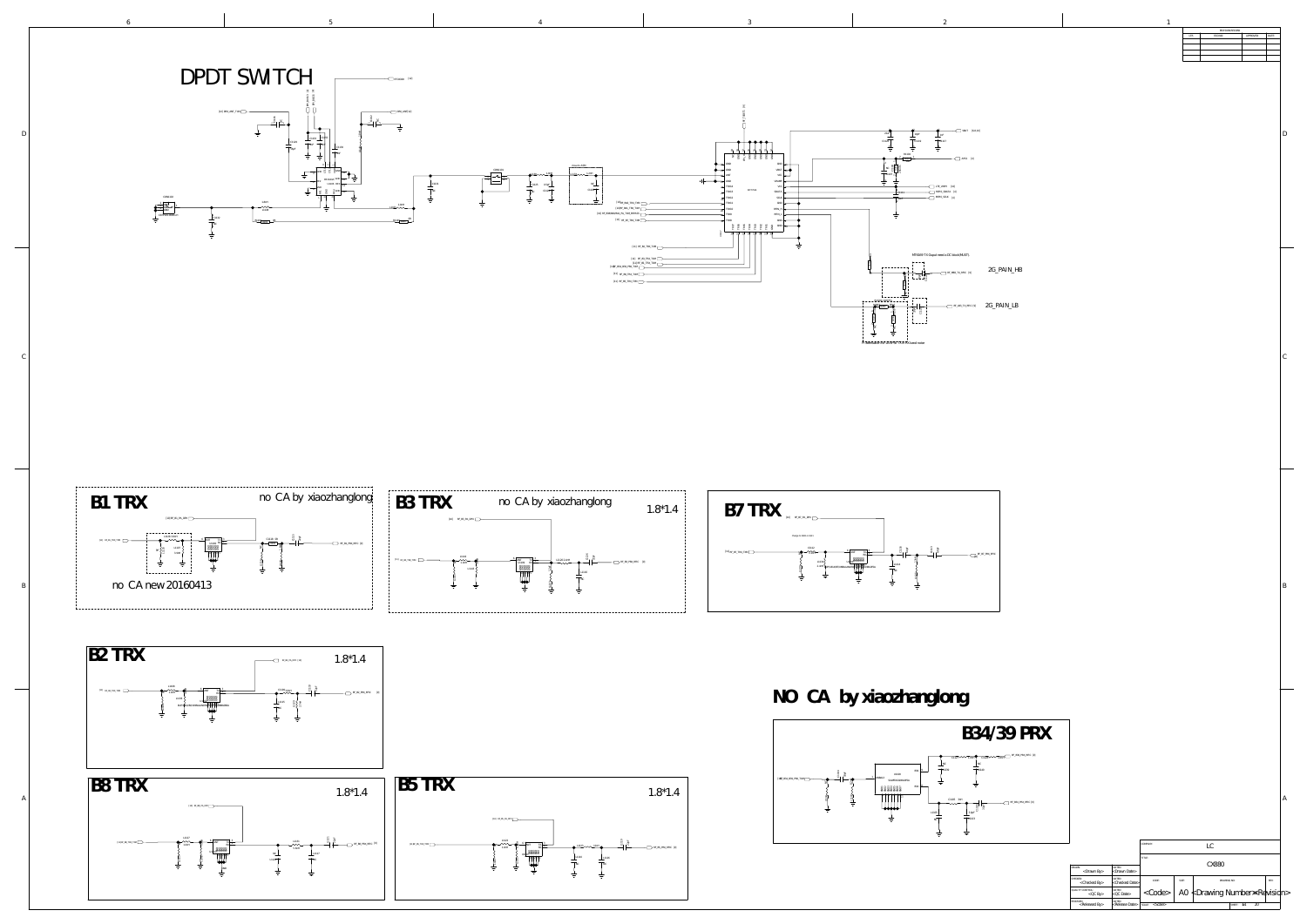DRAWN:<br>
<Drawn By> <Draw CHECKED:<br>
<Checked By> <Checked By> <QC By> <QC Date> QUALITY CONTROL: DATED: RELEASED:<br>
<Released By><br>
<Release Date> <sub>DATED:</sub><br><Drawn Date: DATED:<br><Checked Date LC CX880 <Code> A0 <Drawing Number><Revision> SHEET: 0d CODE: SIZE: REV: DRAWING NO: COMPANY: TITLE: SCALE: SHEET: OF

B

D

 $\mathcal{C}_{0}^{(n)}$ 

|     | REVISION RECORD |           |       |
|-----|-----------------|-----------|-------|
| LTR | ECO NO:         | APPROVED: | DATE: |
|     |                 |           |       |
|     |                 |           |       |
|     |                 |           |       |
|     |                 |           |       |
|     |                 |           |       |

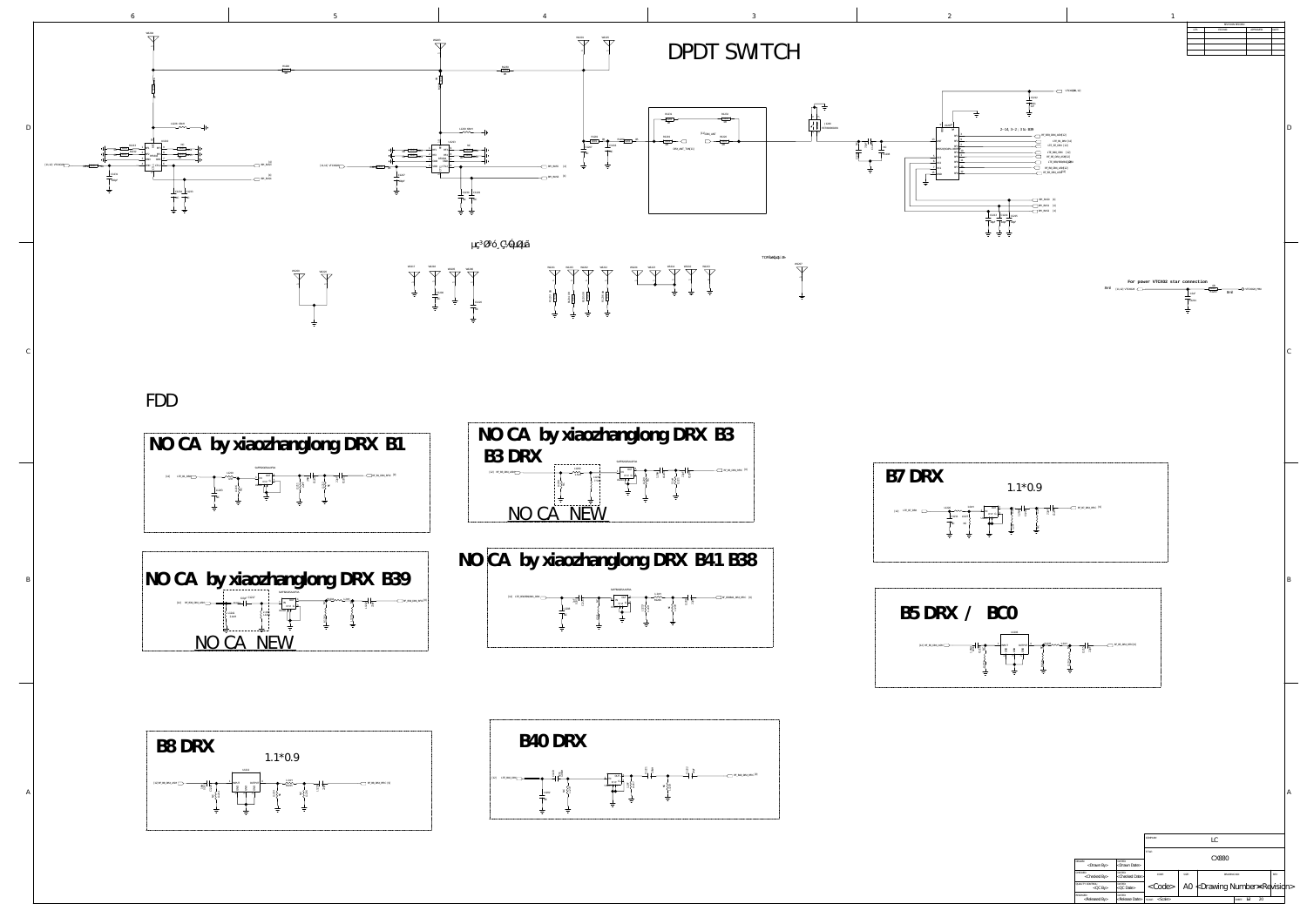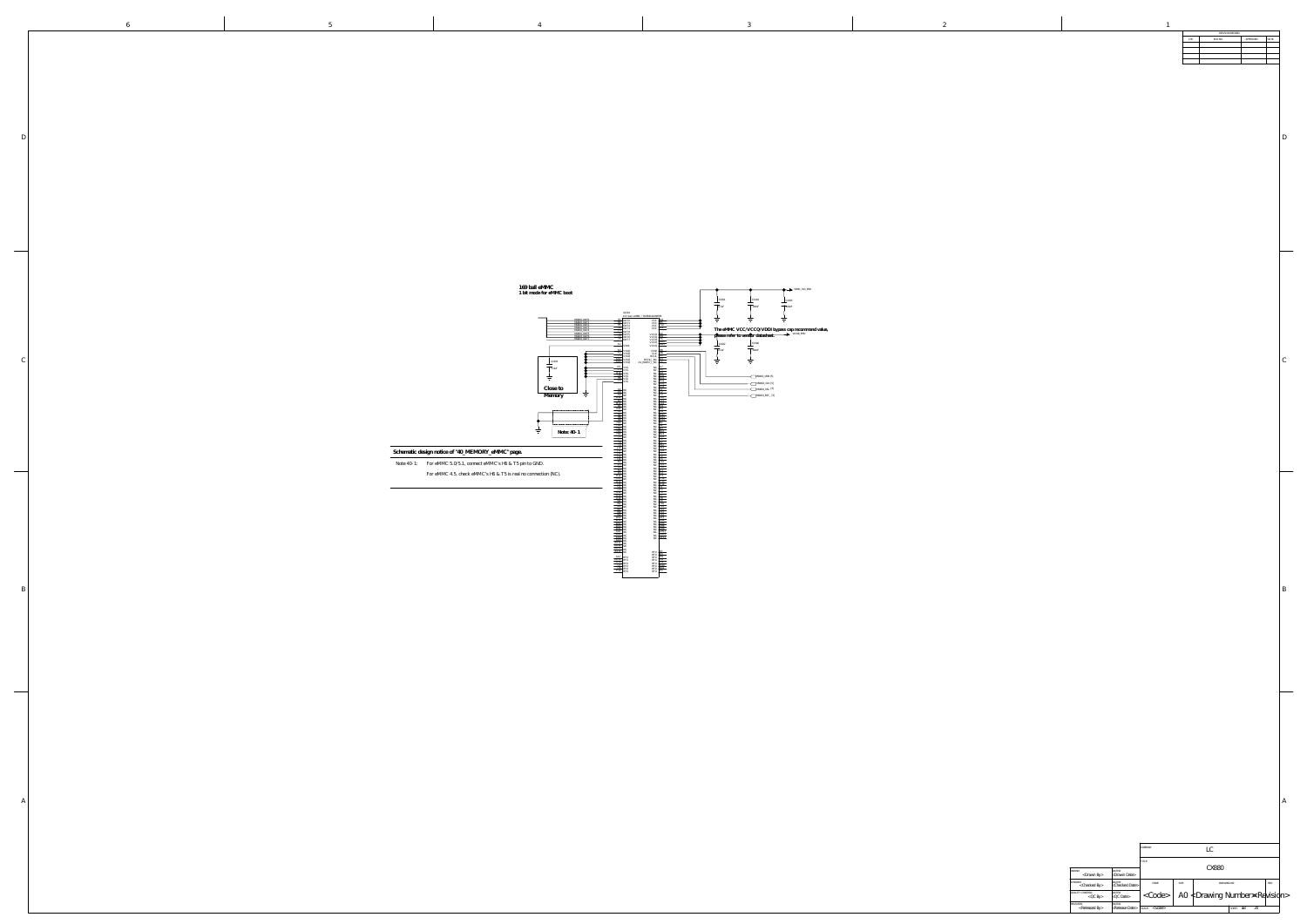DRAWN: <Drawn By> <Drawn Date> <Checked By> <QC By> <Released By> <Checked Date> <QC Date> <Release Date> LC CX880  $\langle \text{Code} \rangle$  | A0  $\langle \text{Drawing Number} \times \text{Re} \rangle$  $\sim$ Scale> 20 CHECKED: DATED: DATED: CODE: SIZE: SIZE: DRAWING NO: REV: REV: QUALITY CONTROL: DATED: RELEASED: DATED: COMPANY: TITLE: DRAWING NO: SCALE: SHEET: OF

B

| ———    | 169 ball eMMC<br>1 bit mode for eMMC boot<br>$\phi$ VEMC_3V3_PMU                                                                                                                                                                                                                                                                                                                                                                                                                                                                                                                                                                                                                                                                                                                                                                                                                                                                                                                                                                                                                                                                                                                                                                                                                                                                                                                                                                                                                                                                                                                                                                                                                                                                                                                                                                                                                                                                                                                                                                                                                                                                                                                                                                                                                                                                                                                                                                                                                                                                                               |
|--------|----------------------------------------------------------------------------------------------------------------------------------------------------------------------------------------------------------------------------------------------------------------------------------------------------------------------------------------------------------------------------------------------------------------------------------------------------------------------------------------------------------------------------------------------------------------------------------------------------------------------------------------------------------------------------------------------------------------------------------------------------------------------------------------------------------------------------------------------------------------------------------------------------------------------------------------------------------------------------------------------------------------------------------------------------------------------------------------------------------------------------------------------------------------------------------------------------------------------------------------------------------------------------------------------------------------------------------------------------------------------------------------------------------------------------------------------------------------------------------------------------------------------------------------------------------------------------------------------------------------------------------------------------------------------------------------------------------------------------------------------------------------------------------------------------------------------------------------------------------------------------------------------------------------------------------------------------------------------------------------------------------------------------------------------------------------------------------------------------------------------------------------------------------------------------------------------------------------------------------------------------------------------------------------------------------------------------------------------------------------------------------------------------------------------------------------------------------------------------------------------------------------------------------------------------------------|
|        | $\frac{\text{C}}{4.7 \text{uF}}$<br>C1304<br>C1305<br>100nF<br>$\boxed{\phantom{1}100nF}$<br>U1301<br>$\frac{153 \text{ ball eMMC} / \text{H26M64208EMR}}{\bigcap_{\substack{\text{N=10}}{\text{N=10}}}}$<br>$\frac{\text{VCC}}{\text{VCC}} \begin{array}{c}\text{M6} \\ \text{M5} \\ \text{T10} \\ \text{VCC} \end{array}$<br>$\begin{tabular}{c} \top \end{tabular}$<br>MSDCO_DATO<br>MSDCO_DATO<br>MSDCO_DAT2<br>MSDCO_DAT2<br>MSDCO_DAT2<br>MSDCO_DAT3<br>MSDCO_DAT4<br>MSDCO_DAT5<br>MSDCO_DAT5<br>MSDCO_DAT5<br>MSDCO_DAT5<br>MSDCO_DAT5<br>MSDCO_DAT7<br>15<br>DAT7<br>15<br>DAT7<br>15<br>DAT7<br>15<br>DAT7<br>15<br>DAT7<br>15<br>DAT7<br>15<br>DA<br>$\frac{14}{10}$ $\frac{1}{10}$ $\frac{1}{10}$ $\frac{1}{10}$ $\frac{1}{10}$ $\frac{1}{10}$ $\frac{1}{10}$ $\frac{1}{10}$ $\frac{1}{10}$ $\frac{1}{10}$ $\frac{1}{10}$ $\frac{1}{10}$ $\frac{1}{10}$ $\frac{1}{10}$ $\frac{1}{10}$ $\frac{1}{10}$ $\frac{1}{10}$ $\frac{1}{10}$ $\frac{1}{10}$ $\frac{1}{10}$<br>$\overline{\phantom{a}}$ VDDI<br>$\frac{1}{2.2}$ uF<br>$\boxed{\phantom{1}100nF}$<br><b>EVERY SEE AND ARRANGEMENT OF SEE AND SEE AND SEE AND SEE AND SEE AND SEE AND SEE AND SEE AND SEE AND SEE AND SEE AND SEE AND SECURE AND SECURE AND SECURE AND SECURE SEE AND SECURE SEE AND SECURE SECURE SECURE SECURE SECUR</b><br>C1303<br>المستشفين<br>$\boxed{\phantom{1}1.0\text{uF}}$<br>RC 2002 ARE ARREST AND MARKET SERIES AND MANUSIAL CONTROLL OF A SERIES AND MANUSIAL CONTROLL OF A SERIES AND MANUSIAL CONTROLL OF A SERIES AND MANUSIAL CONTROLL OF A SERIES AND MANUSIAL CONTROLL OF A SERIES AND MANUSIAL CO<br>M<br>PESS<br>RIO VSS<br>RIO VSS<br>LIB<br>VSS<br>HES VSS<br>TE VSS<br>TE VSS<br>MSDCO_CMD [5]<br>$\frac{1}{\sqrt{2}}$<br>Close to<br>Memory<br>$\begin{tabular}{c c} \multicolumn{1}{c }{\multicolumn{1}{c }{\multicolumn{1}{c }{\multicolumn{1}{c }{\multicolumn{1}{c }{\multicolumn{1}{c }{\multicolumn{1}{c }{\multicolumn{1}{c }{\multicolumn{1}{c }{\multicolumn{1}{c }{\multicolumn{1}{c }{\multicolumn{1}{c }{\multicolumn{1}{c }{\multicolumn{1}{c }{\multicolumn{1}{c }{\multicolumn{1}{c }{\multicolumn{1}{c }{\multicolumn{1}{c }{\multicolumn{1}{c }{\multicolumn{1}{c }{\multicolumn{1}{c }{$<br>$\overline{\phantom{0}}$ MSDCO_RST_[5]<br>$\mathbb{R}^n$<br>Note: 40-1<br>the control of the control of<br>$\frac{110}{N}$ NC<br>Schematic design notice of "40_MEMORY_eMMC" page.<br>$\frac{112}{113}$ NC<br>$\frac{113}{114}$ NC<br>$\frac{114}{N}$ NC<br>Note 40-1: For eMMC 5.0/5.1, connect eMMC's H6 & T5 pin to GND.<br>$K3$ No |
| $\mid$ | $\begin{array}{r l}\n & R2 \\ \hline\n R3 & \text{NC} \\ \hline\n R12 & \text{NC} \\ \hline\n R13 & \text{NC} \\ \hline\n R14 & \text{NC}\n\end{array}$<br>For eMMC 4.5, check eMMC's H6 & T5 is real no connection (NC).<br>THE TIP WAS NOT WELD AND NOT WAS ALLES AND NOT WAS ARRESTED WITH THE WAY AND NOT WAS NOT WITH THE WAY AND NOT WELD A MANUFACTURE OF THE WAY AND NOT THE WAY AND NOT THE WAY OF THE WAY OF THE WAY OF THE WAY OF THE WAY OF THE<br>$\_$ AA2 $\pm$ NC<br>AAS NC<br>AAS NC<br>AAS NC<br>AA11 NC<br>AA12 NC<br>AA12 NC<br>AA12 RFU<br>AA10 RFU<br>II0 RFU<br>II6 RFU<br>II6 RFU<br>PIO RFU<br>PIO RFU<br>PIO RFU<br>PIO RFU<br>PIO RFU<br>PIO RFU<br>PIO RFU<br>PIO RFU<br>PIO RFU<br>PIO RFU<br>PIO RFU<br>PIO RFU<br>PIO RFU<br>PIO RFU<br>$\begin{tabular}{l c} RFL & H7 \\ \hline RFU & K5 \\ \hline RFU & M8 \\ \hline RFU & M9 \\ \hline RFU & M10 \\ \hline RFU & N10 \\ \hline KFU & P3 \\ \hline RFU & P3 \\ \hline \end{tabular}$<br>$\sim$ $\sim$ $\sim$                                                                                                                                                                                                                                                                                                                                                                                                                                                                                                                                                                                                                                                                                                                                                                                                                                                                                                                                                                                                                                                                                                                                                                                                                                                                                                                                                                                                                                                                                                                                                                   |
|        |                                                                                                                                                                                                                                                                                                                                                                                                                                                                                                                                                                                                                                                                                                                                                                                                                                                                                                                                                                                                                                                                                                                                                                                                                                                                                                                                                                                                                                                                                                                                                                                                                                                                                                                                                                                                                                                                                                                                                                                                                                                                                                                                                                                                                                                                                                                                                                                                                                                                                                                                                                |
|        | COMPANY:<br>DRAWN:<br><drawn by=""><br/> <drawn date=""><br/> CHECKED:<br/> <checked by=""><br/> Checked Date&gt;<br/> ODE:</checked></drawn></drawn>                                                                                                                                                                                                                                                                                                                                                                                                                                                                                                                                                                                                                                                                                                                                                                                                                                                                                                                                                                                                                                                                                                                                                                                                                                                                                                                                                                                                                                                                                                                                                                                                                                                                                                                                                                                                                                                                                                                                                                                                                                                                                                                                                                                                                                                                                                                                                                                                          |

A

| REVISION RECORD |         |           |       |  |  |  |
|-----------------|---------|-----------|-------|--|--|--|
| LTR             | ECO NO: | APPROVED: | DATE: |  |  |  |
|                 |         |           |       |  |  |  |
|                 |         |           |       |  |  |  |
|                 |         |           |       |  |  |  |
|                 |         |           |       |  |  |  |
|                 |         |           |       |  |  |  |
|                 |         |           |       |  |  |  |

 $\mathbb{D}$ 

 $\frac{1}{\sqrt{1-\frac{1}{2}}}\left( \frac{1}{\sqrt{1-\frac{1}{2}}}\right) ^{2}$ 

 $\mathcal{C}_{0}^{(n)}$ 



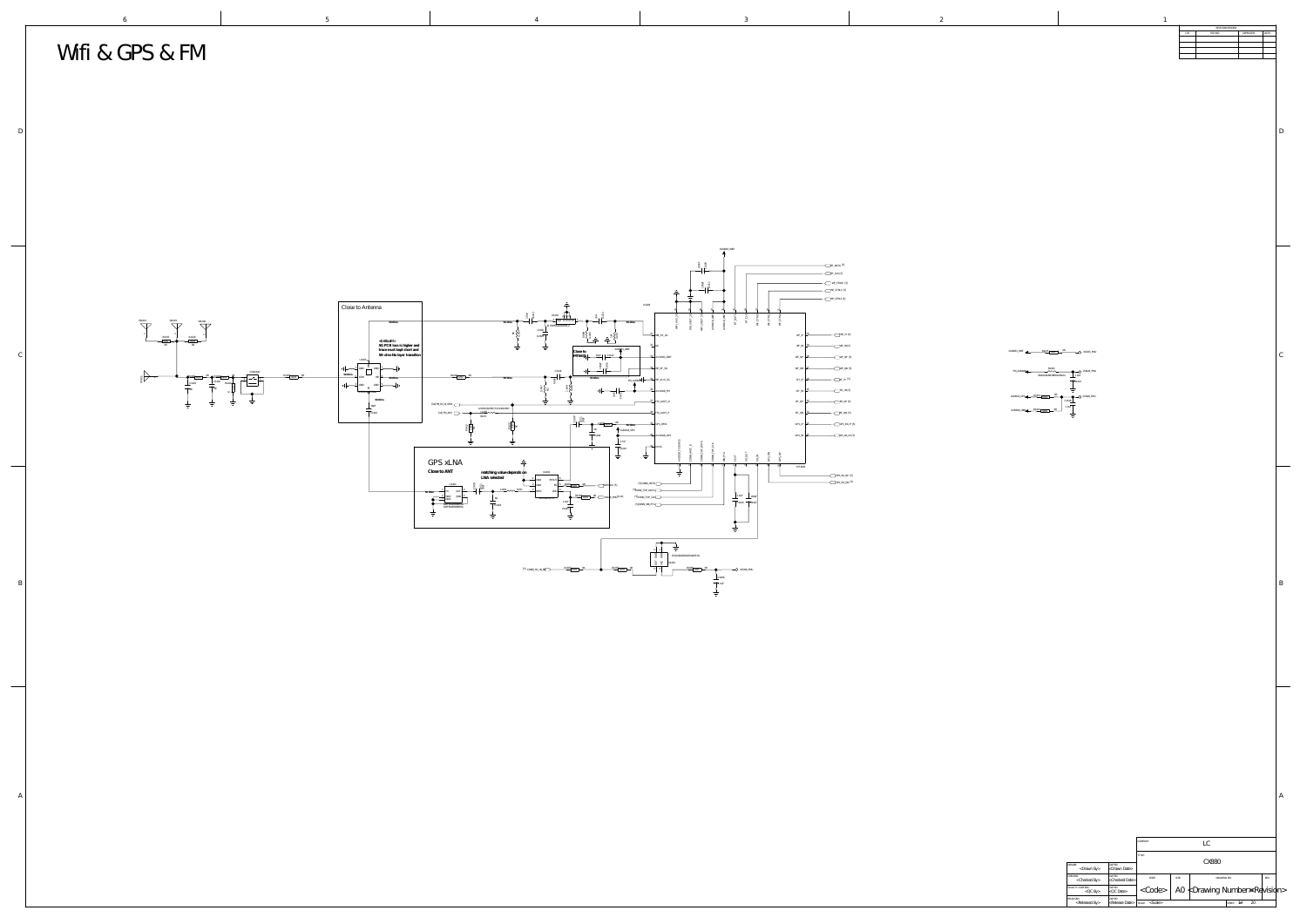<Drawn By> <Checked By> <QC By> <Released By> <Drawn Date> <Checked Date> <QC Date> <Release Date> LC CX880  $\langle \text{Code} \rangle$  | A0  $\langle \text{Drawing Number} \times \text{Re} \rangle$ <Scale>  $\blacksquare$   $\blacksquare$   $\blacksquare$   $\blacksquare$   $\blacksquare$   $\blacksquare$   $\blacksquare$   $\blacksquare$   $\blacksquare$   $\blacksquare$   $\blacksquare$   $\blacksquare$   $\blacksquare$   $\blacksquare$   $\blacksquare$   $\blacksquare$   $\blacksquare$   $\blacksquare$   $\blacksquare$   $\blacksquare$   $\blacksquare$   $\blacksquare$   $\blacksquare$   $\blacksquare$   $\blacksquare$   $\blacksquare$   $\blacksquare$   $\blacksquare$   $\blacksquare$   $\blacksquare$   $\blacks$ CODE: SIZE: I SIZE: DRAWING NO: REV: DRAWN: DATED: CHECKED: DATED: QUALITY CONTROL: DATED: RELEASED: DATED: TITLE: DRAWING NO: SCALE: SHEET: OF

COMPANY:

B



D

A

 $\mathcal{C}$ 

| $\,1\,$ |                           |                 |           |       |
|---------|---------------------------|-----------------|-----------|-------|
|         |                           | REVISION RECORD |           |       |
|         | $\ensuremath{\text{LTR}}$ | $ECO$ $NO:$     | APPROVED: | DATE: |
|         |                           |                 |           |       |
|         |                           |                 |           |       |
|         |                           |                 |           |       |
|         |                           |                 |           |       |
|         |                           |                 |           |       |
|         |                           |                 |           |       |
|         |                           |                 |           |       |
|         |                           |                 |           |       |
|         |                           |                 |           |       |
|         |                           |                 |           |       |
|         |                           |                 |           |       |
|         |                           |                 |           |       |
|         |                           |                 |           |       |
|         |                           |                 |           |       |
|         |                           |                 |           |       |
|         |                           |                 |           |       |
|         |                           |                 |           |       |
|         |                           |                 |           |       |
|         |                           |                 |           |       |
|         |                           |                 |           |       |
|         |                           |                 |           |       |
|         |                           |                 |           |       |
|         |                           |                 |           |       |
|         |                           |                 |           |       |
|         |                           |                 |           |       |
|         |                           |                 |           |       |
|         |                           |                 |           |       |
|         |                           |                 |           |       |
|         |                           |                 |           |       |
|         |                           |                 |           |       |
|         |                           |                 |           |       |
|         |                           |                 |           |       |
|         |                           |                 |           |       |
|         |                           |                 |           |       |
|         |                           |                 |           |       |
|         |                           |                 |           |       |
|         |                           |                 |           |       |
|         |                           |                 |           |       |
|         |                           |                 |           |       |
|         |                           |                 |           |       |

 $\text{AVDD33\_WBT}$   $\begin{array}{ccc} \text{R1415} & \text{O402} & \text{OR} & \text{O6} \end{array}$   $\text{VCN33\_PMU}$ 



AVDD18\_WBT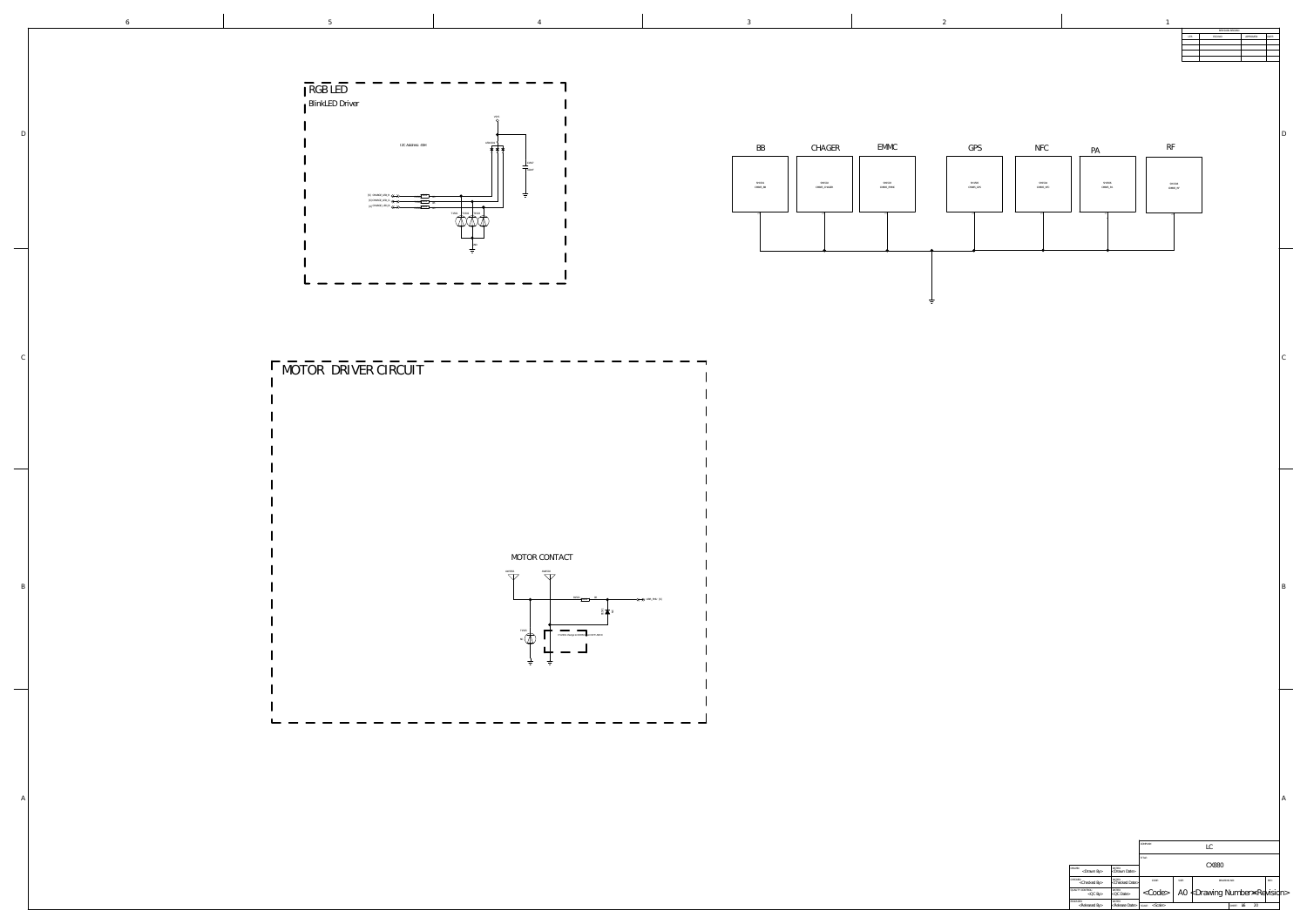| <checked by=""></checked>                                | <checked date=""></checked>                     | CODE:<br>SIZE:       | drawing no:                                    |                | KEV: |  |
|----------------------------------------------------------|-------------------------------------------------|----------------------|------------------------------------------------|----------------|------|--|
| QUALITY CONTROL:<br>DATED:<br>$<$ QC Date $>$<br>$QC$ By |                                                 | $\langle$ Code $>$ ' | A0 $\angle$ Drawing Number $\approx$ Rewisidn> |                |      |  |
| DATED:<br>RELEASED:                                      |                                                 |                      |                                                |                |      |  |
| <released by=""></released>                              | $\kappa$ Release Date>   scale: $\kappa$ Scale> |                      |                                                | SHEET:<br>- Ф. | 20   |  |

|              | $\,6\,$ |                                        | $\mathcal{5}$              |
|--------------|---------|----------------------------------------|----------------------------|
|              |         |                                        |                            |
| $\mathbf D$  |         |                                        | RGB LED<br>BlinkLED Driver |
|              |         |                                        |                            |
|              |         |                                        |                            |
| C            |         |                                        | MOTOR DRIVER               |
|              |         |                                        |                            |
|              |         |                                        |                            |
|              |         |                                        |                            |
| $\, {\bf B}$ |         |                                        |                            |
|              |         |                                        |                            |
|              |         |                                        |                            |
|              |         | $\blacksquare$<br>$\qquad \qquad \Box$ |                            |
| $\mathsf{A}$ |         |                                        |                            |
|              |         |                                        |                            |
|              |         |                                        |                            |





MOTOR CONTACT



## RIVER CIRCUIT

 $\qquad \qquad \blacksquare$ 







SH1501 CM885\_BB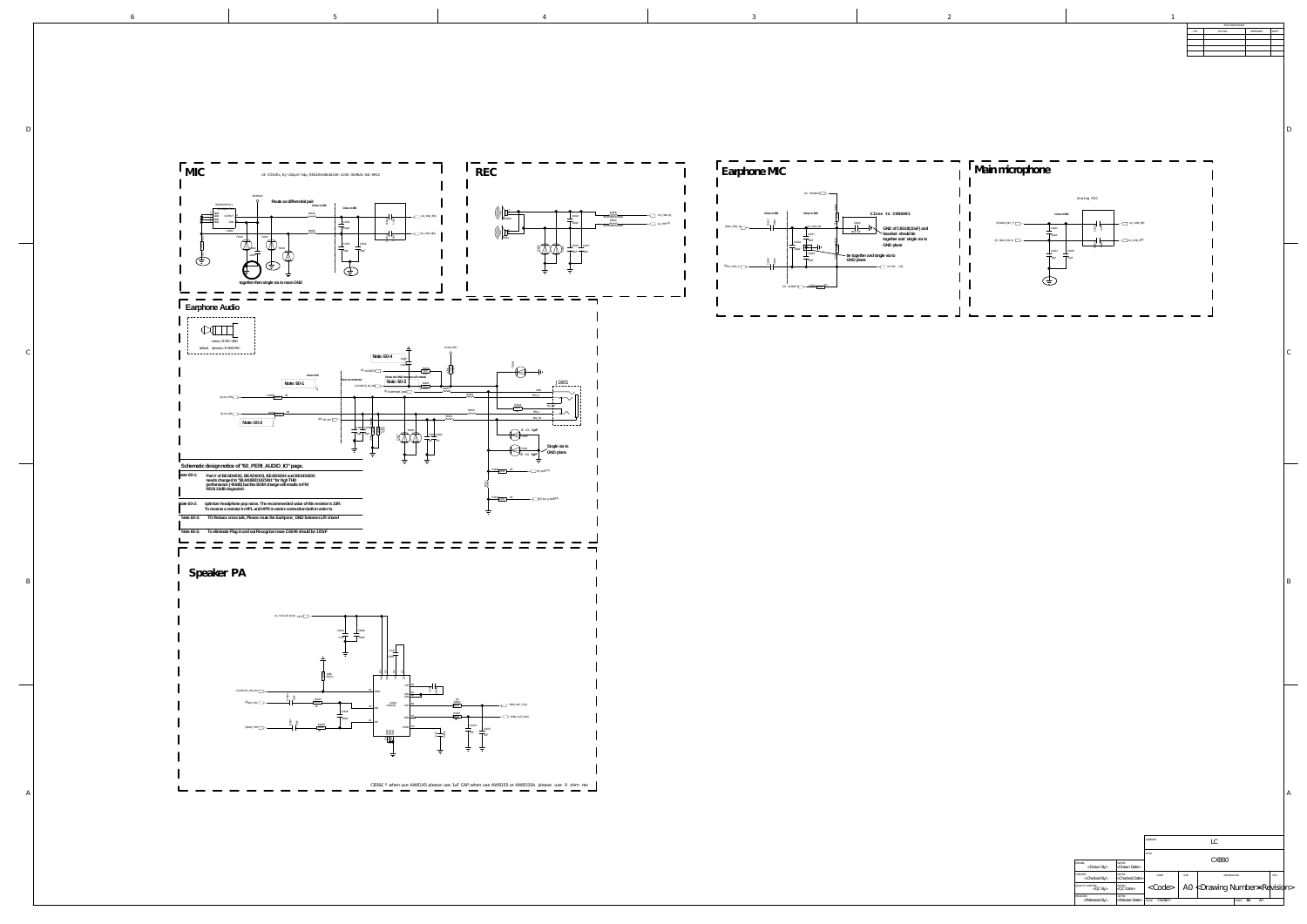6

B

 $\mathcal{C}_{0}^{(n)}$ 

D

C836£° when use AW8145 please use 1uF CAP; when use AW8155 or AW8155A please use 0 ohm res

5 4 3 2 1



|                                          |                                           | TITLE:       |       |                              |        |    |      |  |
|------------------------------------------|-------------------------------------------|--------------|-------|------------------------------|--------|----|------|--|
| DRAWN:<br><drawn by=""></drawn>          | DATED:<br><drawn date=""></drawn>         |              | CX880 |                              |        |    |      |  |
| CHECKED:<br><checked by=""></checked>    | DATED:<br><checked date=""></checked>     | CODE:        | SIZE: | DRAWING NO:                  |        |    | REV: |  |
| QUALITY CONTROL:<br>$<$ QC By $>$        | DATED:<br>$&$ QC Date>                    | $<$ Code $>$ |       | A0 ≮Drawing Number≋Revisidn> |        |    |      |  |
| RELEASED:<br><released by=""></released> | DATED:<br>$\kappa$ Release Date>   scale> |              |       |                              | SHEET: | 20 |      |  |

![](_page_15_Figure_0.jpeg)

### **Speaker PA**

![](_page_15_Figure_2.jpeg)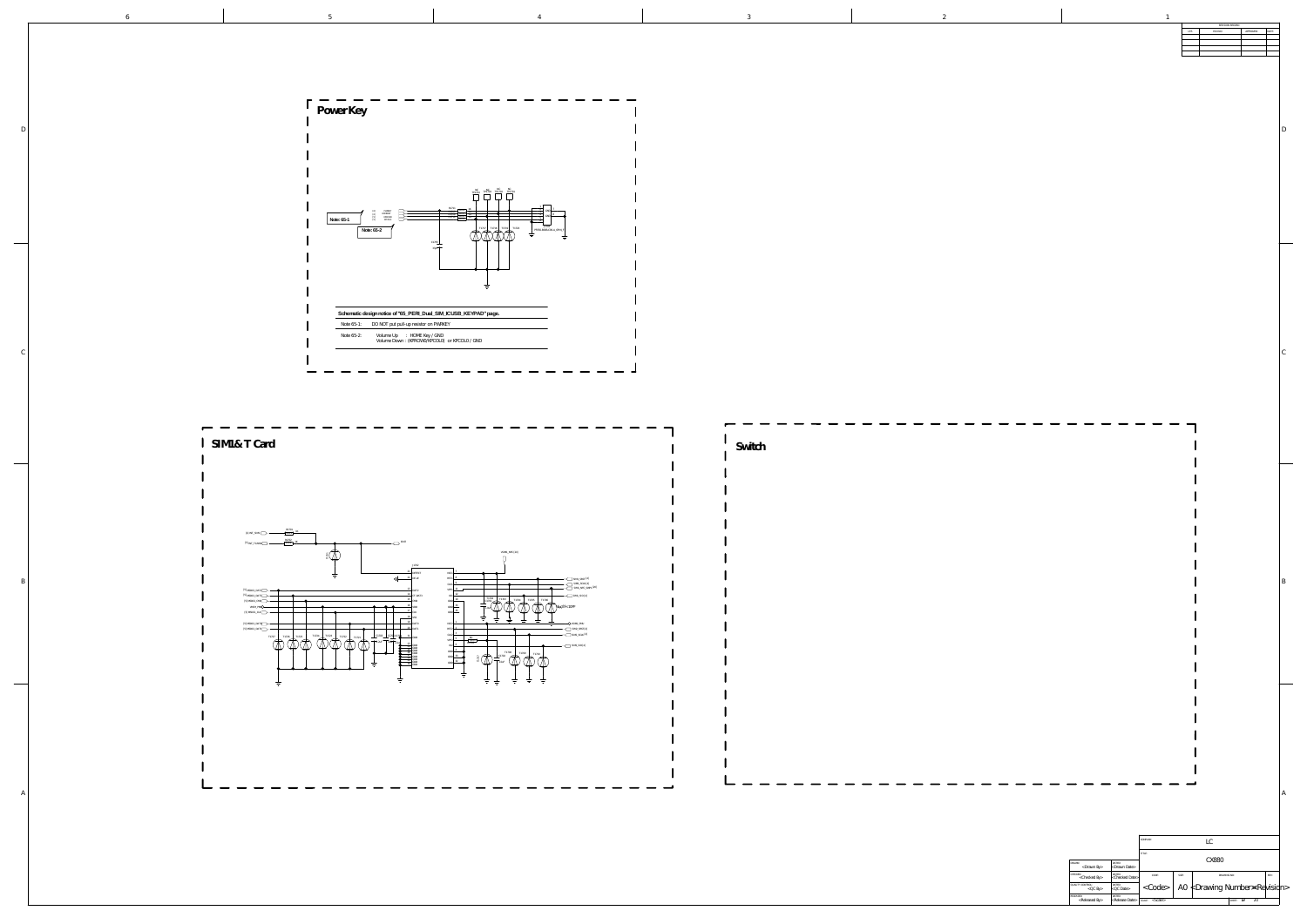|                                          |                                       | TITLE:<br>CX880               |       |                              |                              |    |  |  |
|------------------------------------------|---------------------------------------|-------------------------------|-------|------------------------------|------------------------------|----|--|--|
| DRAWN:<br>$\langle$ Drawn By             | DATED:<br><drawn date=""></drawn>     |                               |       |                              |                              |    |  |  |
| CHECKED:<br><checked by=""></checked>    | DATED:<br><checked date=""></checked> | CODE:                         | SIZE: | DRAWING NO:<br>REV:          |                              |    |  |  |
| QUALITY CONTROL:<br>$QCD$ By             | DATED:<br><qc date=""></qc>           | $\langle \text{Code} \rangle$ |       | A0 ≮Drawing Number≤Revisidn> |                              |    |  |  |
| RELEASED:<br><released by=""></released> | DATED:<br><release date=""></release> | $<$ Scale $>$<br>SCALE:       |       |                              | $\delta \tilde{H}$<br>SHEET: | 20 |  |  |

|          | $_{\rm LTR}$ | REVISION RECORD<br>ECO NO: | APPROVED: | DATE: |              |
|----------|--------------|----------------------------|-----------|-------|--------------|
|          |              |                            |           |       |              |
|          |              |                            |           |       |              |
|          |              |                            |           |       |              |
|          |              |                            |           |       |              |
|          |              |                            |           |       |              |
|          |              |                            |           |       | $\mathbf{D}$ |
|          |              |                            |           |       |              |
|          |              |                            |           |       |              |
|          |              |                            |           |       |              |
|          |              |                            |           |       |              |
|          |              |                            |           |       |              |
|          |              |                            |           |       |              |
|          |              |                            |           |       |              |
|          |              |                            |           |       |              |
|          |              |                            |           |       |              |
|          |              |                            |           |       |              |
|          |              |                            |           |       |              |
|          |              |                            |           |       |              |
|          |              |                            |           |       | $\mathsf C$  |
|          |              |                            |           |       |              |
|          |              |                            |           |       |              |
|          |              |                            |           |       |              |
|          |              |                            |           |       |              |
|          |              |                            |           |       |              |
|          |              |                            |           |       |              |
|          |              |                            |           |       |              |
|          |              |                            |           |       |              |
|          |              |                            |           |       |              |
|          |              |                            |           |       |              |
|          |              |                            |           |       |              |
|          |              |                            |           |       |              |
|          |              |                            |           |       |              |
|          |              |                            |           |       | $\, {\bf B}$ |
|          |              |                            |           |       |              |
|          |              |                            |           |       |              |
|          |              |                            |           |       |              |
|          |              |                            |           |       |              |
|          |              |                            |           |       |              |
|          |              |                            |           |       |              |
|          |              |                            |           |       |              |
|          |              |                            |           |       |              |
|          |              |                            |           |       |              |
|          |              |                            |           |       |              |
|          |              |                            |           |       |              |
|          |              |                            |           |       |              |
|          |              |                            |           |       | $\mathbb A$  |
|          |              |                            |           |       |              |
| COMPANY: |              |                            |           |       |              |
|          |              | ${\rm LC}$                 |           |       |              |

 $\sim$ 

B

 $\mathbb{D}$ 

 $\mathcal{C}_{0}^{(n)}$ 

|             | re ou 1. Duit par par up resister on Fritanni                              |  |
|-------------|----------------------------------------------------------------------------|--|
| pte 65-2: I | Volume Up : HOME Key / GND<br>Volume Down: (KPROWO/KPCOLO) or KPCOLO / GND |  |
|             |                                                                            |  |

| Switch            |  |  |  |                              |
|-------------------|--|--|--|------------------------------|
|                   |  |  |  |                              |
|                   |  |  |  |                              |
|                   |  |  |  |                              |
|                   |  |  |  |                              |
|                   |  |  |  |                              |
|                   |  |  |  |                              |
|                   |  |  |  |                              |
| — — — — — — — — — |  |  |  | $\qquad \qquad \blacksquare$ |

![](_page_16_Figure_0.jpeg)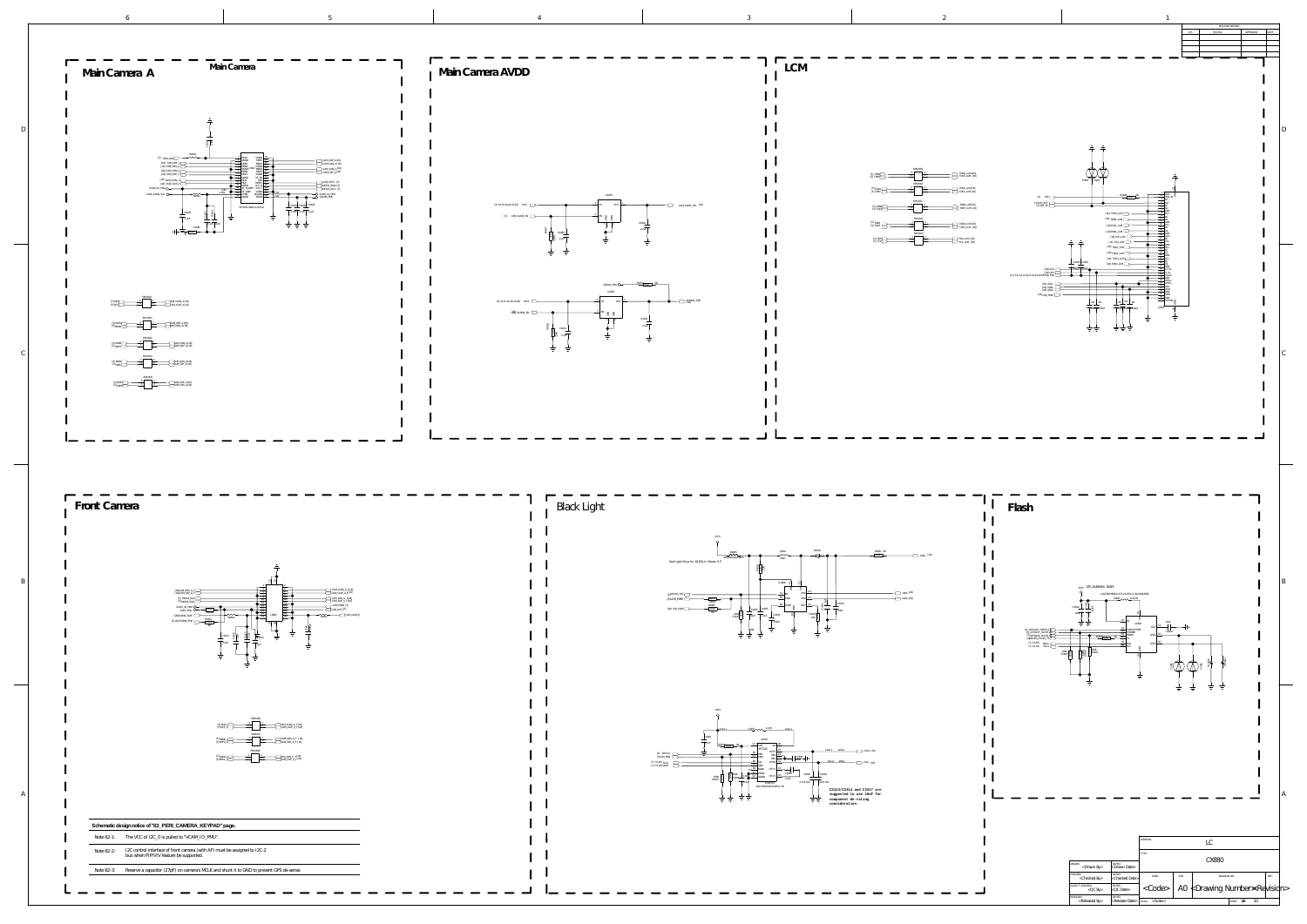![](_page_17_Figure_7.jpeg)

SHEET:  $\delta 8$  20

SCALE: SHEET: OF

**Flash**

 $\mathbf{I}$ 

![](_page_17_Figure_0.jpeg)

[5,7,8,18] SCL0 [5,7,8,18] SDA0 [5]GPIO60\_FLASH

 $[5]$  GPIO140\_FLA

RELEASED:<br>
<Released By><br>
<Release Date>

[5] GPIO255\_TORCH\_EN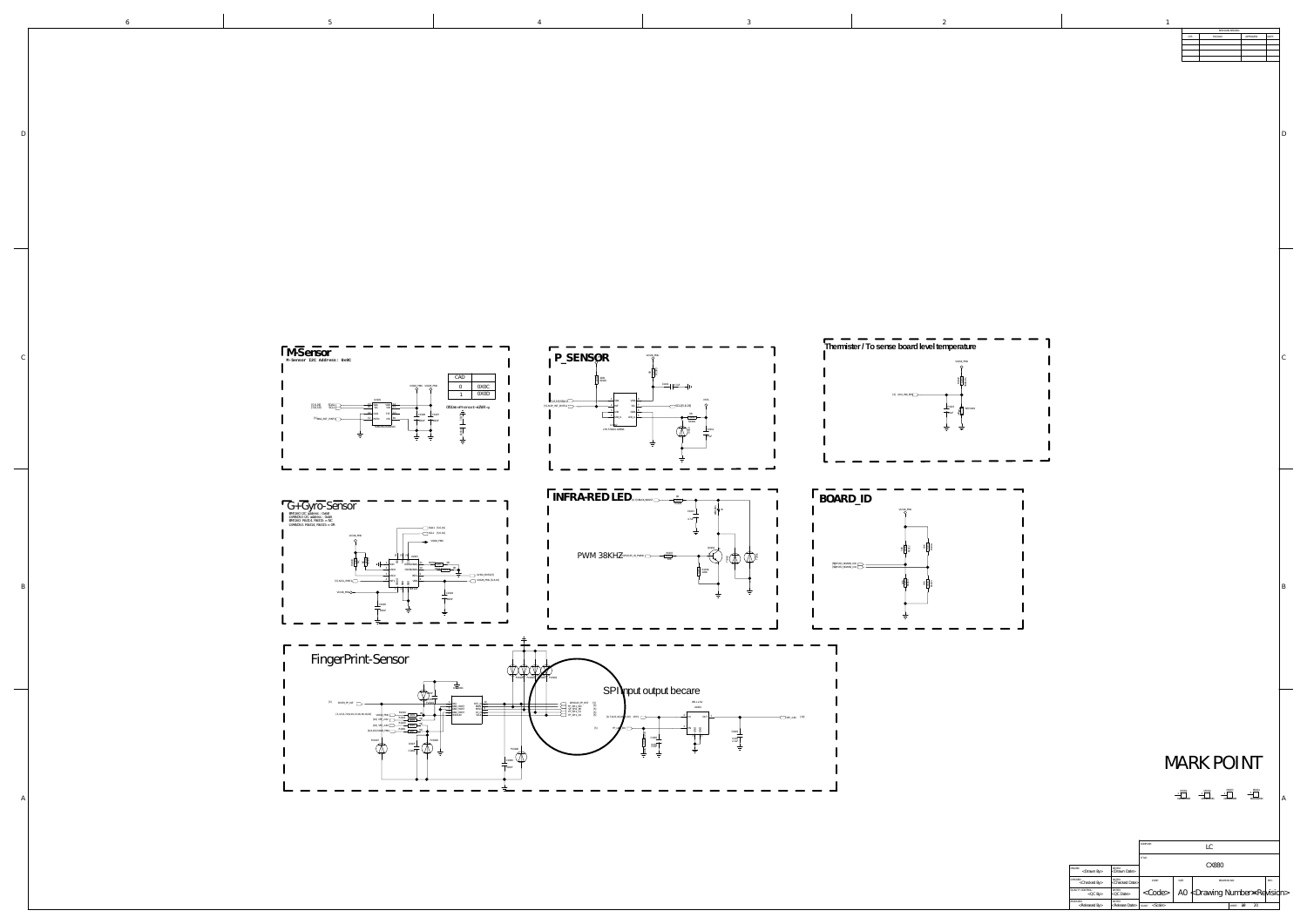| $\ensuremath{\text{LTR}}$ | REVISION RECORD<br>$ECO NO:$ | APPROVED: | DATE: |                                  |
|---------------------------|------------------------------|-----------|-------|----------------------------------|
|                           |                              |           |       |                                  |
|                           |                              |           |       |                                  |
|                           |                              |           |       |                                  |
|                           |                              |           |       |                                  |
|                           |                              |           |       |                                  |
|                           |                              |           |       |                                  |
|                           |                              |           |       | $\begin{array}{c} \n\end{array}$ |
|                           |                              |           |       |                                  |
|                           |                              |           |       |                                  |
|                           |                              |           |       |                                  |
|                           |                              |           |       |                                  |
|                           |                              |           |       |                                  |
|                           |                              |           |       |                                  |
|                           |                              |           |       |                                  |
|                           |                              |           |       |                                  |
|                           |                              |           |       |                                  |
|                           |                              |           |       |                                  |
|                           |                              |           |       |                                  |
|                           |                              |           |       |                                  |
|                           |                              |           |       |                                  |
|                           |                              |           |       |                                  |
|                           |                              |           |       |                                  |
|                           |                              |           |       |                                  |
|                           |                              |           |       |                                  |
|                           |                              |           |       |                                  |
|                           |                              |           |       | $\mathsf C$                      |
|                           |                              |           |       |                                  |
|                           |                              |           |       |                                  |
|                           |                              |           |       |                                  |
|                           |                              |           |       |                                  |
|                           |                              |           |       |                                  |
|                           |                              |           |       |                                  |
|                           |                              |           |       |                                  |
|                           |                              |           |       |                                  |
|                           |                              |           |       |                                  |
|                           |                              |           |       |                                  |
|                           |                              |           |       |                                  |
|                           |                              |           |       |                                  |
|                           |                              |           |       |                                  |
|                           |                              |           |       |                                  |
|                           |                              |           |       |                                  |
|                           |                              |           |       |                                  |
|                           |                              |           |       |                                  |
|                           |                              |           |       | $\, {\bf B}$                     |
|                           |                              |           |       |                                  |
|                           |                              |           |       |                                  |
|                           |                              |           |       |                                  |
|                           |                              |           |       |                                  |
|                           |                              |           |       |                                  |
|                           |                              |           |       |                                  |
|                           |                              |           |       |                                  |
|                           |                              |           |       |                                  |
|                           |                              |           |       |                                  |

A

![](_page_18_Picture_0.jpeg)

|                                          |                                       | COMPANY:                |       | LC                                           |          |      |  |
|------------------------------------------|---------------------------------------|-------------------------|-------|----------------------------------------------|----------|------|--|
|                                          |                                       | TITLE:                  |       |                                              |          |      |  |
| DRAWN:<br>$<$ Drawn By $>$               | DATED:<br><drawn date=""></drawn>     | CX880                   |       |                                              |          |      |  |
| CHECKED:<br><checked by=""></checked>    | DATED:<br><checked date=""></checked> | CODE:                   | SIZE: | DRAWING NO:                                  |          | REV: |  |
| <b>QUALITY CONTROL:</b><br>$QC$ By       | DATED:<br>$<$ QC Date $>$             | $<$ Code $>$            |       | A0 $\nless$ Drawing Number $\Join$ Revisidn> |          |      |  |
| RELEASED:<br><released by=""></released> | DATED:<br><release date=""></release> | $<$ Scale $>$<br>SCALE: |       | SHEET:                                       | 20<br>∄6 |      |  |

## MARK POINT

1 M1001 MARKD2MM 1 M1002 MARKD2MM  $\frac{M1003}{1}$ MARKD2MM

1 M<sub>1004</sub> MARKD2MM